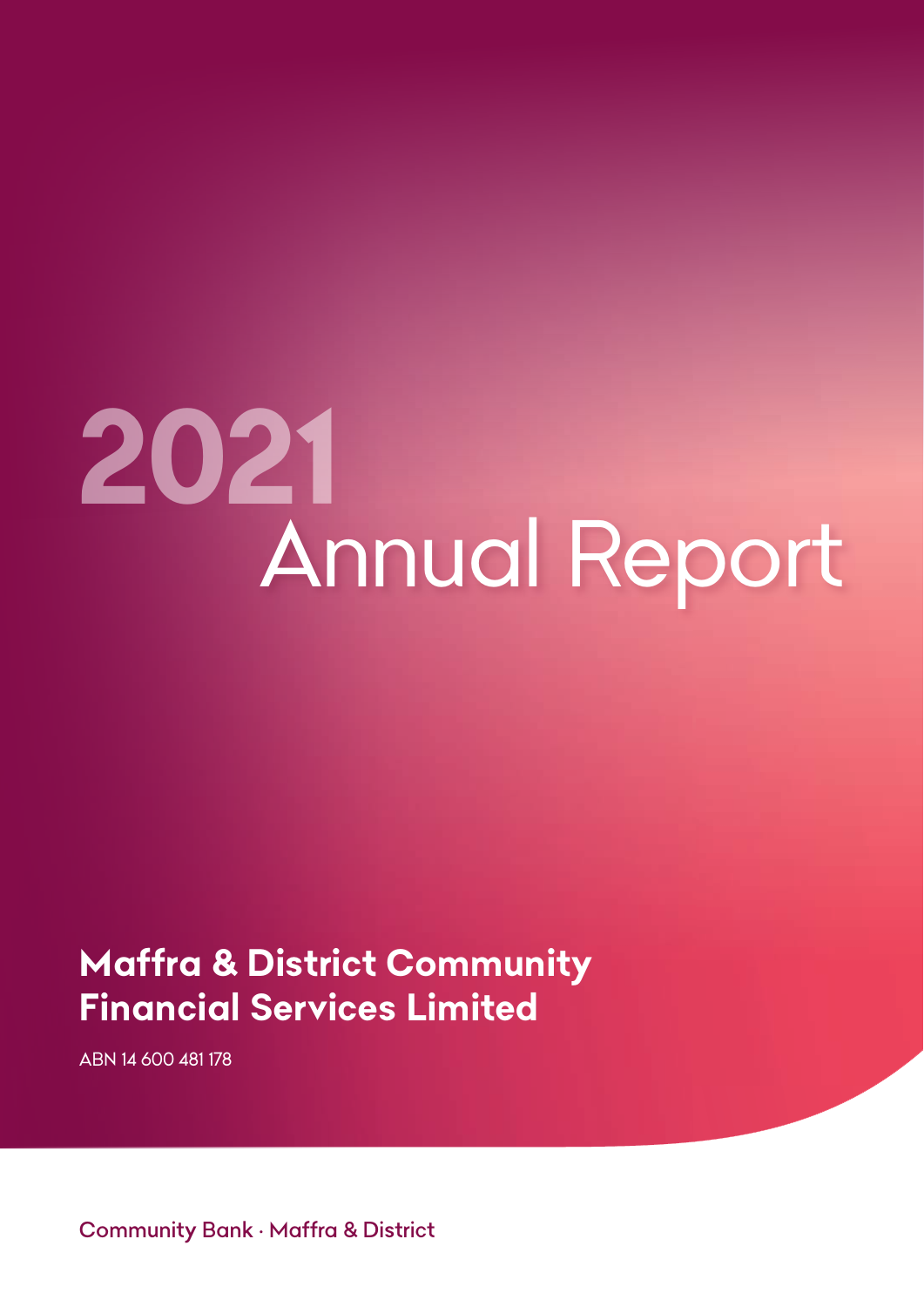# *2021 Annual Report*

# *Maffra & District Community Financial Services Limited*

*ABN 14 600 481 178*

*Community Bank • Maffra & District*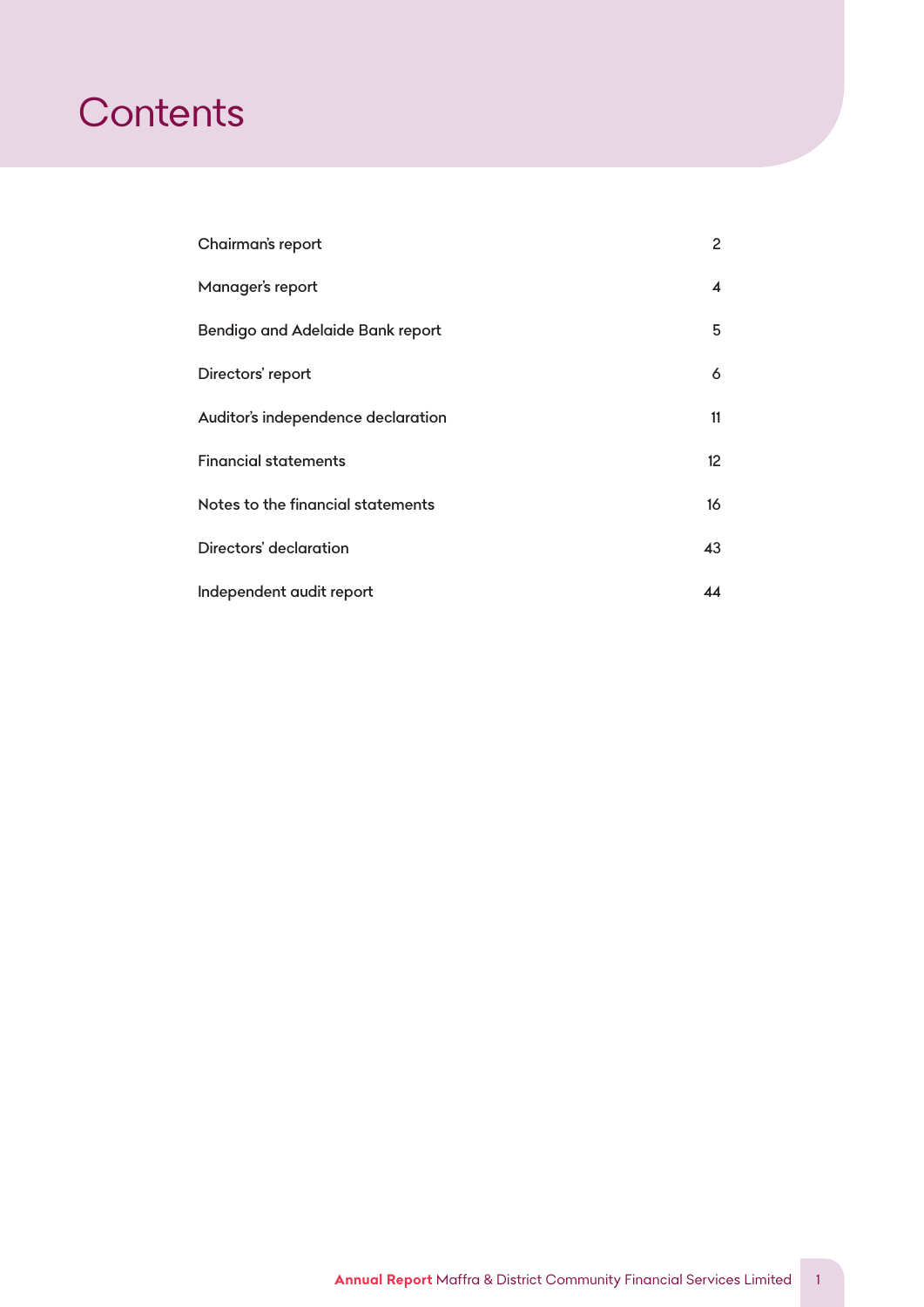# *Contents*

| Chairman's report                  | $\overline{2}$          |
|------------------------------------|-------------------------|
| Manager's report                   | $\overline{\mathbf{4}}$ |
| Bendigo and Adelaide Bank report   | 5                       |
| Directors' report                  | 6                       |
| Auditor's independence declaration | 11                      |
| Financial statements               | 12 <sup>°</sup>         |
| Notes to the financial statements  | 16                      |
| Directors' declaration             | 43                      |
| Independent audit report           | 44                      |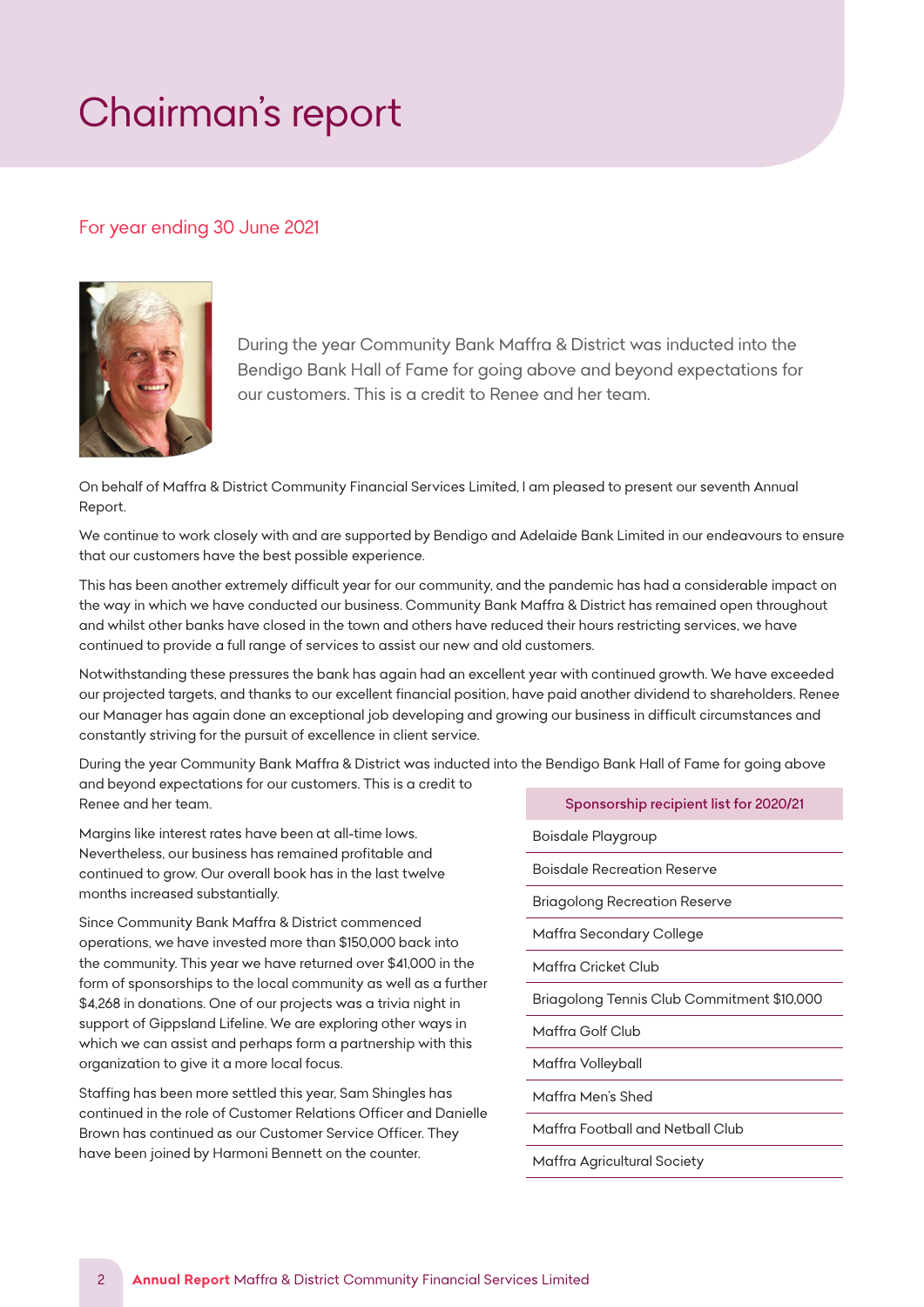# <span id="page-2-0"></span>*Chairman's report*

# *For year ending 30 June 2021*



During the year Community Bank Maffra & District was inducted into the Bendigo Bank Hall of Fame for going above and beyond expectations for our customers. This is a credit to Renee and her team.

On behalf of Maffra & District Community Financial Services Limited, I am pleased to present our seventh Annual *Report.* growth, we have exceeded targets and that the output financial position have been able to our excellent financial position  $\mathcal{L}$ 

*We continue to work closely with and are supported by Bendigo and Adelaide Bank Limited in our endeavours to ensure that our customers have the best possible experience.* we continue to work closer with and die supported by behalge and Adelaide bank Einheid in our chaedvours to ensure

This has been another extremely difficult year for our community, and the pandemic has had a considerable impact on the way in which we have conducted our business. Community Bank Maffra & District has remained open throughout and whilst other banks have closed in the town and others have reduced their hours restricting services, we have continued to provide a full range of services to assist our new and old customers.

Notwithstanding these pressures the bank has again had an excellent year with continued growth. We have exceeded *our projected targets, and thanks to our excellent financial position, have paid another dividend to shareholders. Renee*  role. Danielle Brown has continued as our Customer Service Officer. Although we have been understaffed for the *our Manager has again done an exceptional job developing and growing our business in difficult circumstances and*  **can having for the eigenst and and and here pursuit** give and service ping and growing our addition to monitorine and and constantly striving for the pursuit of excellence in client service.

*During the year Community Bank Maffra & District was inducted into the Bendigo Bank Hall of Fame for going above*  and beyond expectations for our customers. This is a credit to **the services of Michelle Wright who has tireless** *Renee and her team.* maintain our excellent customer service. secretarial work of the Board. She has recorded minutes, sent out agendas, dealt with correspondence and *Sponsorship recipient list for 2020/21*

Margins like interest rates have been at all-time lows. Nevertheless, our business has remained profitable and **The Board Has established a Marketing Committee to promo**<br>Pointable Decention Decentership of the leadership of the leadership of the activities of the leadership of continued to grow. Our overall book has in the last twelve **Board Member Linda Hecreation Reserve** Processes and I<br>Reserve the Board of the Board of the Board of the Board of the Board of the I thank all members for the I *months increased substantially.* time and commitment to the organisation.

*Since Community Bank Maffra & District commenced*  operations, we have invested more than \$150,000 back into **Finally, the community of the continues will be contin** the community. This year we have returned over \$41,000 in the **community. This year we have returned** over \$41,000 in the **community.** This year we have returned over \$41,000 in the **community.** form of sponsorships to the local community as well as a further *\$4,268 in donations. One of our projects was a trivia night in support of Gippsland Lifeline. We are exploring other ways in which we can assist and perhaps form a partnership with this organization to give it a more local focus.*

*Staffing has been more settled this year, Sam Shingles has continued in the role of Customer Relations Officer and Danielle*  **Rob Christie** *Brown has continued as our Customer Service Officer. They*  **Chairman** *have been joined by Harmoni Bennett on the counter.*

*Boisdale Playgroup*

*Boisdale Recreation Reserve*

*Briagolong Recreation Reserve*

*Maffra Secondary College*

*Maffra Cricket Club*

*Briagolong Tennis Club Commitment \$10,000*

*Maffra Golf Club*

*Maffra Volleyball*

*Maffra Men's Shed*

*Maffra Football and Netball Club*

*Maffra Agricultural Society*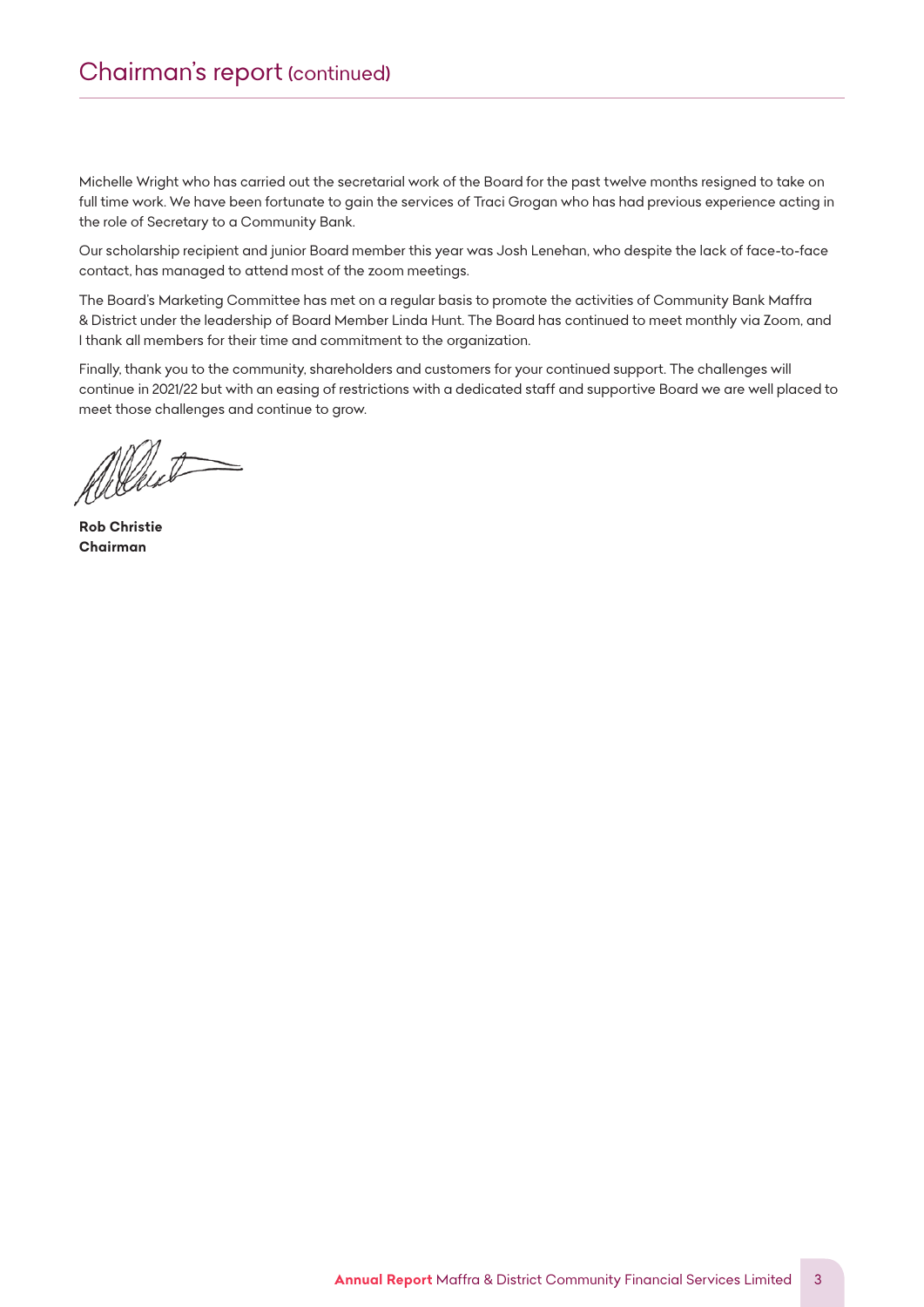# *Chairman's report (continued)*

*Michelle Wright who has carried out the secretarial work of the Board for the past twelve months resigned to take on full time work. We have been fortunate to gain the services of Traci Grogan who has had previous experience acting in the role of Secretary to a Community Bank.*

*Our scholarship recipient and junior Board member this year was Josh Lenehan, who despite the lack of face-to-face contact, has managed to attend most of the zoom meetings.*

*The Board's Marketing Committee has met on a regular basis to promote the activities of Community Bank Maffra & District under the leadership of Board Member Linda Hunt. The Board has continued to meet monthly via Zoom, and I thank all members for their time and commitment to the organization.*

Finally, thank you to the community, shareholders and customers for your continued support. The challenges will *continue in 2021/22 but with an easing of restrictions with a dedicated staff and supportive Board we are well placed to meet those challenges and continue to grow.*

Albert

*Rob Christie Chairman*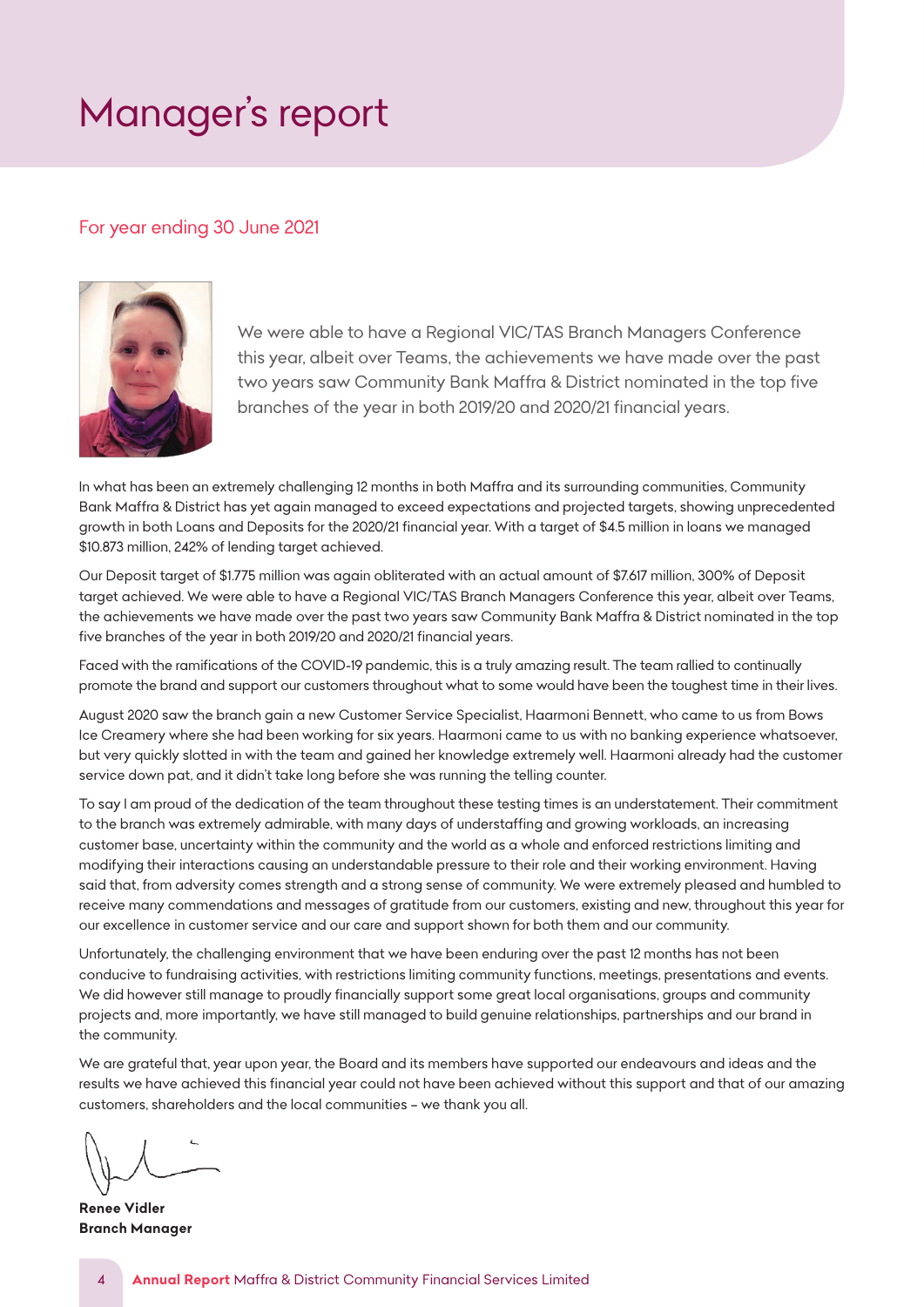# <span id="page-4-0"></span>*Manager's report*

# *For year ending 30 June 2021*



We were able to have a Regional VIC/TAS Branch Managers Conference this year, albeit over Teams, the achievements we have made over the past two years saw Community Bank Maffra & District nominated in the top five branches of the year in both 2019/20 and 2020/21 financial years.

In what has been an extremely challenging 12 months in both Maffra and its surrounding communities, Community Bank Maffra & District has yet again managed to exceed expectations and projected targets, showing unprecedented growth in both Loans and Deposits for the 2020/21 financial year. With a target of \$4.5 million in loans we managed<br>Asserts with a case of the with the control of the control of the control of the control of the control of  $$10.873$  million, 242% of lending target achieved.

*Our Deposit target of \$1.775 million was again obliterated with an actual amount of \$7.617 million, 300% of Deposit*  target achieved. We were able to have a Regional VIC/TAS Branch Managers Conference this year, albeit over Teams, the achievements we have made over the past two years saw Community Bank Maffra & District nominated in the top five branches of the year in both 2019/20 and 2020/21 financial years.

Faced with the ramifications of the COVID-19 pandemic, this is a truly amazing result. The team rallied to continually promote the brand and support our customers throughout what to some would have been the toughest time in their lives.

August 2020 saw the branch gain a new Customer Service Specialist, Haarmoni Bennett, who came to us from Bows Ice Creamery where she had been working for six years. Haarmoni came to us with no banking experience whatsoever, but very quickly slotted in with the team and gained her knowledge extremely well. Haarmoni already had the customer<br>... service down pat, and it didn't take long before she was running the telling counter.

To say I am proud of the dedication of the team throughout these testing times is an understatement. Their commitment to the branch was extremely admirable, with many days of understaffing and growing workloads, an increasing *customer base, uncertainty within the community and the world as a whole and enforced restrictions limiting and*  modifying their interactions causing an understandable pressure to their role and their working environment. Having said that, from adversity comes strength and a strong sense of community. We were extremely pleased and humbled to receive many commendations and messages of gratitude from our customers, existing and new, throughout this year for our excellence in customer service and our care and support shown for both them and our community.

Unfortunately, the challenging environment that we have been enduring over the past 12 months has not been conducive to fundraising activities, with restrictions limiting community functions, meetings, presentations and events. We did however still manage to proudly financially support some great local organisations, groups and community *projects and, more importantly, we have still managed to build genuine relationships, partnerships and our brand in*  the community. That, year upon year, that, year, the Board and its members have supported our endeavours and its members have supported our endeavours and its members have supported our endeavours and its members of the su

We are grateful that, year upon year, the Board and its members have supported our endeavours and ideas and the results we have achieved this financial year could not have been achieved without this support and that of our amazing *customers, shareholders and the local communities – we thank you all.*

*Renee Vidler* **Renee Vidler** *Branch Manager* **Branch Manager**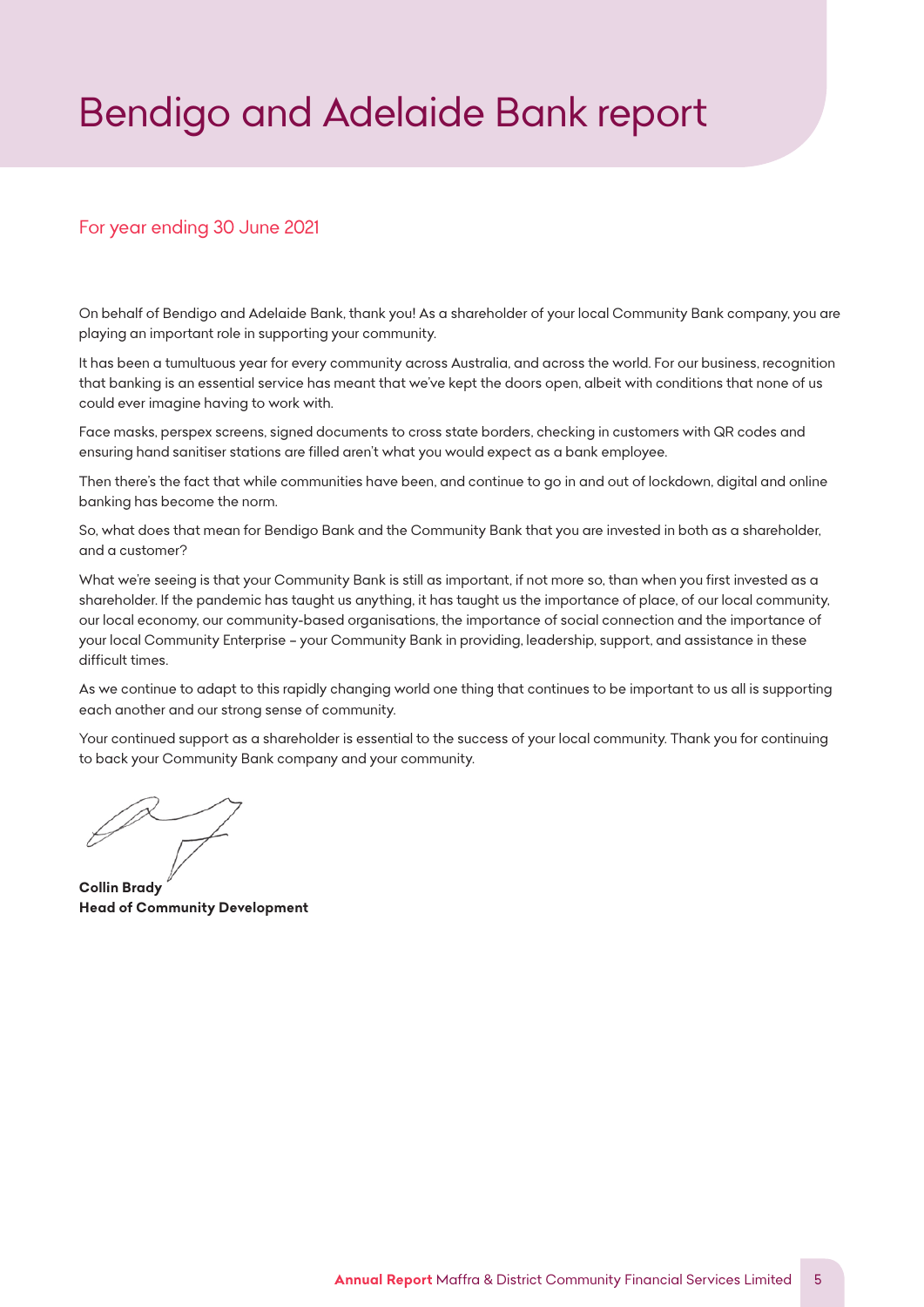# <span id="page-5-0"></span>*Bendigo and Adelaide Bank report*

# *For year ending 30 June 2021*

*On behalf of Bendigo and Adelaide Bank, thank you! As a shareholder of your local Community Bank company, you are playing an important role in supporting your community.*

*It has been a tumultuous year for every community across Australia, and across the world. For our business, recognition that banking is an essential service has meant that we've kept the doors open, albeit with conditions that none of us could ever imagine having to work with.* 

*Face masks, perspex screens, signed documents to cross state borders, checking in customers with QR codes and ensuring hand sanitiser stations are filled aren't what you would expect as a bank employee.* 

*Then there's the fact that while communities have been, and continue to go in and out of lockdown, digital and online banking has become the norm.* 

*So, what does that mean for Bendigo Bank and the Community Bank that you are invested in both as a shareholder, and a customer?* 

*What we're seeing is that your Community Bank is still as important, if not more so, than when you first invested as a shareholder. If the pandemic has taught us anything, it has taught us the importance of place, of our local community, our local economy, our community-based organisations, the importance of social connection and the importance of your local Community Enterprise – your Community Bank in providing, leadership, support, and assistance in these difficult times.*

*As we continue to adapt to this rapidly changing world one thing that continues to be important to us all is supporting each another and our strong sense of community.* 

*Your continued support as a shareholder is essential to the success of your local community. Thank you for continuing to back your Community Bank company and your community.*

*Collin Brady Head of Community Development*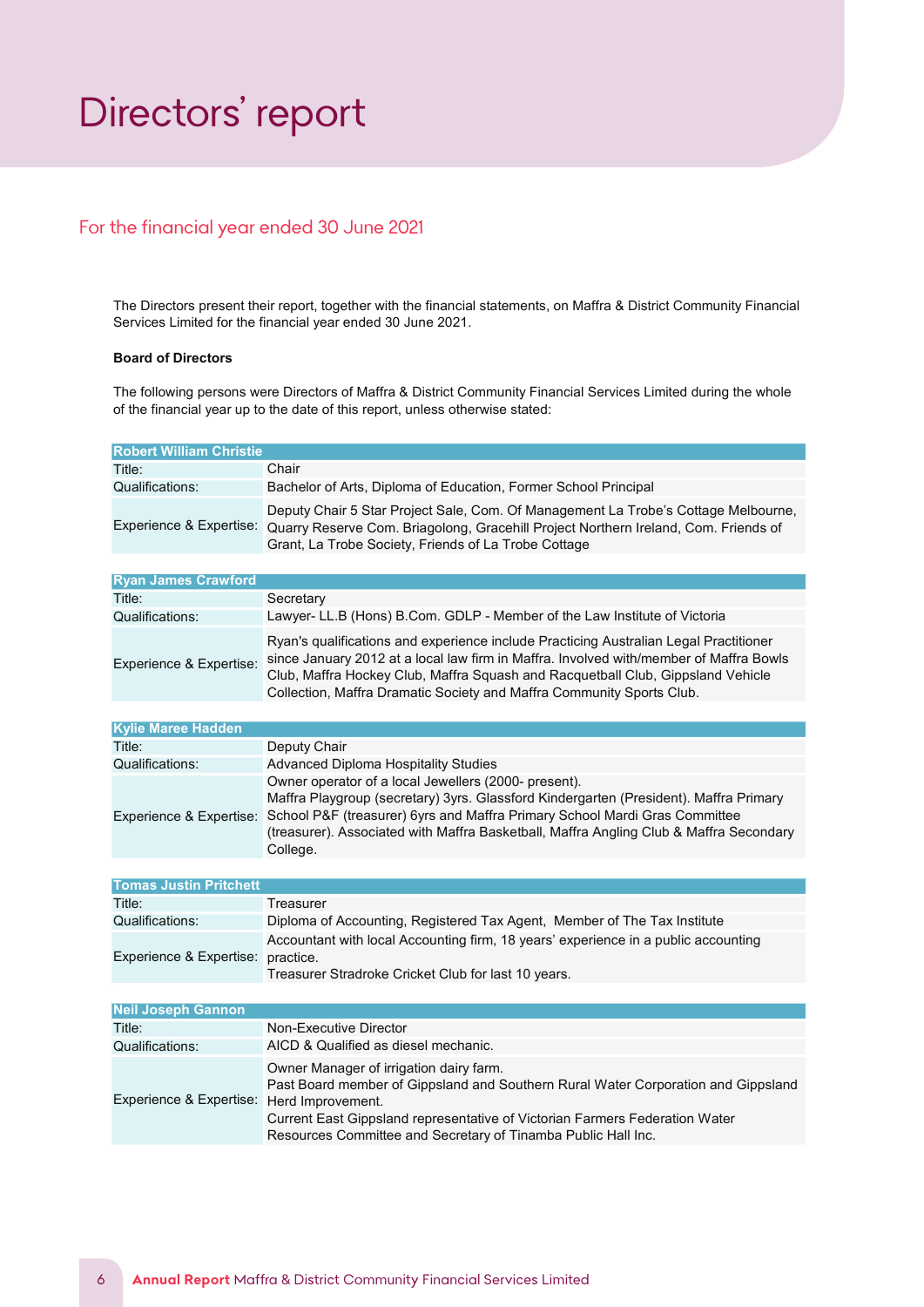# <span id="page-6-0"></span>*Directors' report*

# For the financial year ended 30 June 2021

The Directors present their report, together with the financial statements, on Maffra & District Community Financial Services Limited for the financial year ended 30 June 2021.

#### Board of Directors

The following persons were Directors of Maffra & District Community Financial Services Limited during the whole of the financial year up to the date of this report, unless otherwise stated:

| <b>Robert William Christie</b>            |                                                                                                                                                                                                                                                                                                                                                           |
|-------------------------------------------|-----------------------------------------------------------------------------------------------------------------------------------------------------------------------------------------------------------------------------------------------------------------------------------------------------------------------------------------------------------|
| Title:                                    | Chair                                                                                                                                                                                                                                                                                                                                                     |
| Qualifications:                           | Bachelor of Arts, Diploma of Education, Former School Principal                                                                                                                                                                                                                                                                                           |
|                                           | Deputy Chair 5 Star Project Sale, Com. Of Management La Trobe's Cottage Melbourne,<br>Experience & Expertise: Quarry Reserve Com. Briagolong, Gracehill Project Northern Ireland, Com. Friends of<br>Grant, La Trobe Society, Friends of La Trobe Cottage                                                                                                 |
|                                           |                                                                                                                                                                                                                                                                                                                                                           |
| <b>Ryan James Crawford</b>                |                                                                                                                                                                                                                                                                                                                                                           |
| Title:                                    | Secretary                                                                                                                                                                                                                                                                                                                                                 |
| Qualifications:                           | Lawyer- LL.B (Hons) B.Com. GDLP - Member of the Law Institute of Victoria                                                                                                                                                                                                                                                                                 |
| Experience & Expertise:                   | Ryan's qualifications and experience include Practicing Australian Legal Practitioner<br>since January 2012 at a local law firm in Maffra. Involved with/member of Maffra Bowls<br>Club, Maffra Hockey Club, Maffra Squash and Racquetball Club, Gippsland Vehicle<br>Collection, Maffra Dramatic Society and Maffra Community Sports Club.               |
|                                           |                                                                                                                                                                                                                                                                                                                                                           |
| <b>Kylie Maree Hadden</b>                 |                                                                                                                                                                                                                                                                                                                                                           |
| Title:                                    | Deputy Chair                                                                                                                                                                                                                                                                                                                                              |
| Qualifications:                           | <b>Advanced Diploma Hospitality Studies</b>                                                                                                                                                                                                                                                                                                               |
|                                           | Owner operator of a local Jewellers (2000- present).<br>Maffra Playgroup (secretary) 3yrs. Glassford Kindergarten (President). Maffra Primary<br>Experience & Expertise: School P&F (treasurer) 6yrs and Maffra Primary School Mardi Gras Committee<br>(treasurer). Associated with Maffra Basketball, Maffra Angling Club & Maffra Secondary<br>College. |
|                                           |                                                                                                                                                                                                                                                                                                                                                           |
| <b>Tomas Justin Pritchett</b>             |                                                                                                                                                                                                                                                                                                                                                           |
| Title:                                    | Treasurer                                                                                                                                                                                                                                                                                                                                                 |
| Qualifications:                           | Diploma of Accounting, Registered Tax Agent, Member of The Tax Institute                                                                                                                                                                                                                                                                                  |
| Experience & Expertise: practice.         | Accountant with local Accounting firm, 18 years' experience in a public accounting<br>Treasurer Stradroke Cricket Club for last 10 years.                                                                                                                                                                                                                 |
| <b>Neil Joseph Gannon</b>                 |                                                                                                                                                                                                                                                                                                                                                           |
| Title:                                    | Non-Executive Director                                                                                                                                                                                                                                                                                                                                    |
| Qualifications:                           | AICD & Qualified as diesel mechanic.                                                                                                                                                                                                                                                                                                                      |
|                                           |                                                                                                                                                                                                                                                                                                                                                           |
| Experience & Expertise: Herd Improvement. | Owner Manager of irrigation dairy farm.<br>Past Board member of Gippsland and Southern Rural Water Corporation and Gippsland<br>Current East Gippsland representative of Victorian Farmers Federation Water<br>Resources Committee and Secretary of Tinamba Public Hall Inc.                                                                              |
|                                           |                                                                                                                                                                                                                                                                                                                                                           |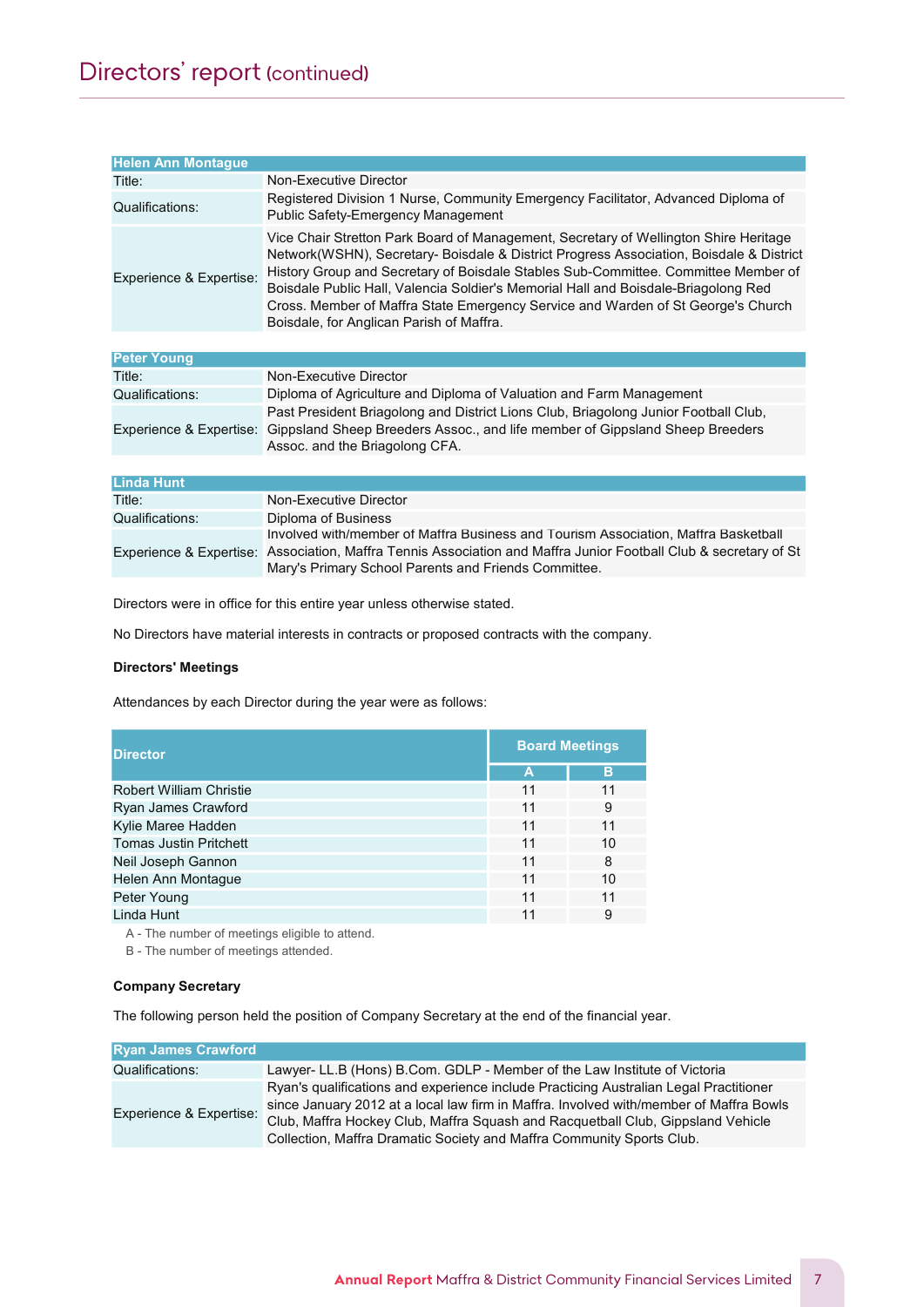| <b>Helen Ann Montague</b> |                                                                                                                                                                                                                                                                                                                                                                                                                                                                                             |
|---------------------------|---------------------------------------------------------------------------------------------------------------------------------------------------------------------------------------------------------------------------------------------------------------------------------------------------------------------------------------------------------------------------------------------------------------------------------------------------------------------------------------------|
| Title:                    | Non-Executive Director                                                                                                                                                                                                                                                                                                                                                                                                                                                                      |
| Qualifications:           | Registered Division 1 Nurse, Community Emergency Facilitator, Advanced Diploma of<br><b>Public Safety-Emergency Management</b>                                                                                                                                                                                                                                                                                                                                                              |
| Experience & Expertise:   | Vice Chair Stretton Park Board of Management, Secretary of Wellington Shire Heritage<br>Network(WSHN), Secretary- Boisdale & District Progress Association, Boisdale & District<br>History Group and Secretary of Boisdale Stables Sub-Committee. Committee Member of<br>Boisdale Public Hall, Valencia Soldier's Memorial Hall and Boisdale-Briagolong Red<br>Cross. Member of Maffra State Emergency Service and Warden of St George's Church<br>Boisdale, for Anglican Parish of Maffra. |
|                           |                                                                                                                                                                                                                                                                                                                                                                                                                                                                                             |
| <b>Peter Young</b>        |                                                                                                                                                                                                                                                                                                                                                                                                                                                                                             |
| Title:                    | Non-Executive Director                                                                                                                                                                                                                                                                                                                                                                                                                                                                      |
| Qualifications:           | Diploma of Agriculture and Diploma of Valuation and Farm Management                                                                                                                                                                                                                                                                                                                                                                                                                         |
| Experience & Expertise:   | Past President Briagolong and District Lions Club, Briagolong Junior Football Club,<br>Gippsland Sheep Breeders Assoc., and life member of Gippsland Sheep Breeders<br>Assoc. and the Briagolong CFA.                                                                                                                                                                                                                                                                                       |
|                           |                                                                                                                                                                                                                                                                                                                                                                                                                                                                                             |
| <b>Linda Hunt</b>         |                                                                                                                                                                                                                                                                                                                                                                                                                                                                                             |
| Title:                    | Non-Executive Director                                                                                                                                                                                                                                                                                                                                                                                                                                                                      |
| Qualifications:           | Diploma of Business                                                                                                                                                                                                                                                                                                                                                                                                                                                                         |
|                           | Involved with/member of Maffra Business and Tourism Association, Maffra Basketball<br>Experience & Expertise: Association, Maffra Tennis Association and Maffra Junior Football Club & secretary of St<br>Mary's Primary School Parents and Friends Committee.                                                                                                                                                                                                                              |

Directors were in office for this entire year unless otherwise stated.

No Directors have material interests in contracts or proposed contracts with the company.

# Directors' Meetings

Attendances by each Director during the year were as follows:

| <b>Director</b>                | <b>Board Meetings</b> |    |  |
|--------------------------------|-----------------------|----|--|
|                                | Α                     | в  |  |
| <b>Robert William Christie</b> | 11                    | 11 |  |
| Ryan James Crawford            | 11                    | 9  |  |
| Kylie Maree Hadden             | 11                    | 11 |  |
| <b>Tomas Justin Pritchett</b>  | 11                    | 10 |  |
| Neil Joseph Gannon             | 11                    | 8  |  |
| Helen Ann Montague             | 11                    | 10 |  |
| Peter Young                    | 11                    | 11 |  |
| Linda Hunt                     | 11                    | 9  |  |

A - The number of meetings eligible to attend.

B - The number of meetings attended.

# Company Secretary

The following person held the position of Company Secretary at the end of the financial year.

| <b>Ryan James Crawford</b> |                                                                                                                                                                                                                                                                                                                                             |
|----------------------------|---------------------------------------------------------------------------------------------------------------------------------------------------------------------------------------------------------------------------------------------------------------------------------------------------------------------------------------------|
| Qualifications:            | Lawyer- LL.B (Hons) B.Com. GDLP - Member of the Law Institute of Victoria                                                                                                                                                                                                                                                                   |
| Experience & Expertise:    | Ryan's qualifications and experience include Practicing Australian Legal Practitioner<br>since January 2012 at a local law firm in Maffra. Involved with/member of Maffra Bowls<br>Club, Maffra Hockey Club, Maffra Squash and Racquetball Club, Gippsland Vehicle<br>Collection, Maffra Dramatic Society and Maffra Community Sports Club. |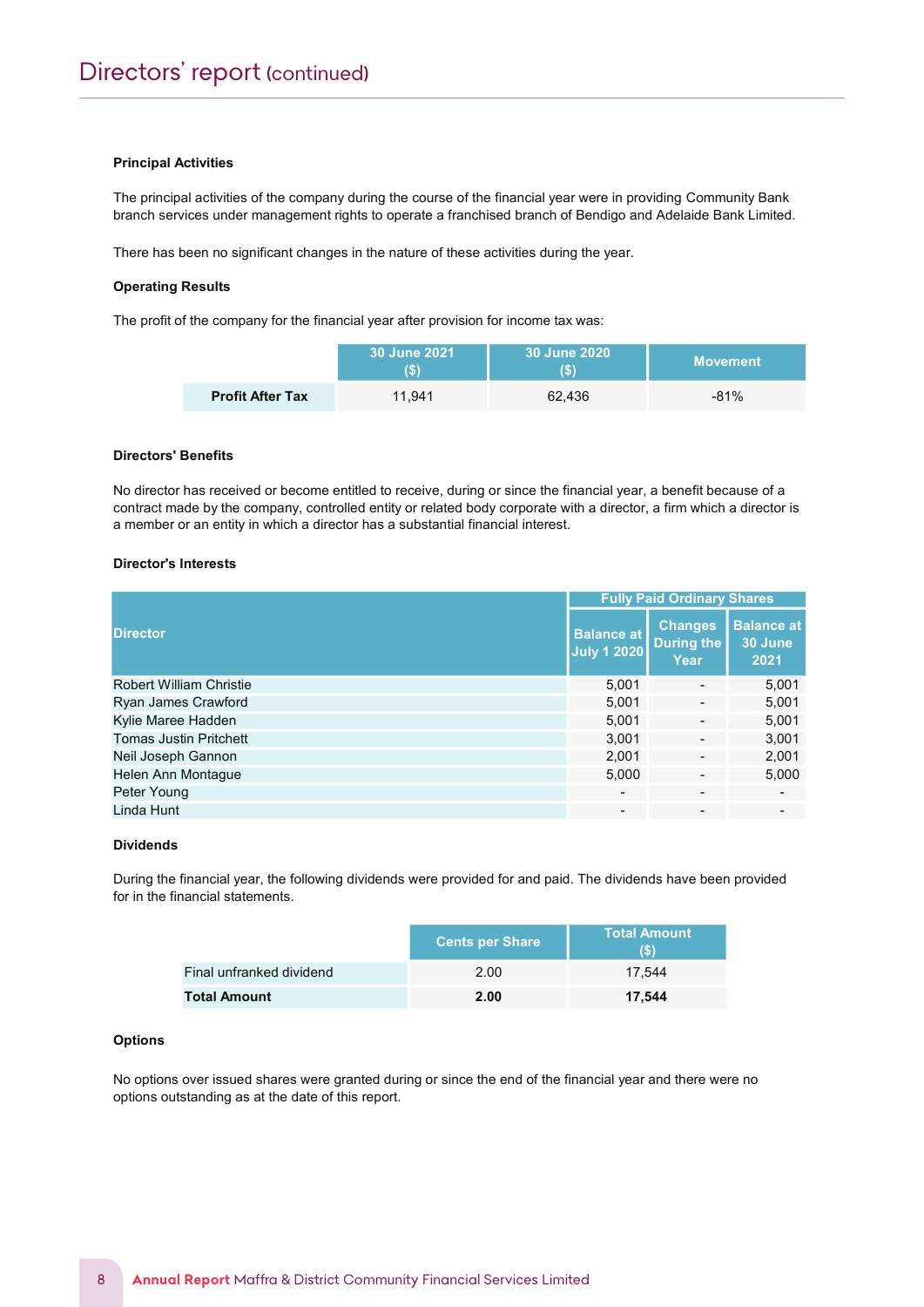#### Principal Activities

The principal activities of the company during the course of the financial year were in providing Community Bank branch services under management rights to operate a franchised branch of Bendigo and Adelaide Bank Limited.

There has been no significant changes in the nature of these activities during the year.

#### Operating Results

The profit of the company for the financial year after provision for income tax was:

|                         | 30 June 2021 | 30 June 2020<br>IS) | <b>Movement</b> |
|-------------------------|--------------|---------------------|-----------------|
| <b>Profit After Tax</b> | 11.941       | 62.436              | $-81%$          |

#### Directors' Benefits

No director has received or become entitled to receive, during or since the financial year, a benefit because of a contract made by the company, controlled entity or related body corporate with a director, a firm which a director is a member or an entity in which a director has a substantial financial interest.

#### Director's Interests

|                                | <b>Fully Paid Ordinary Shares</b>       |                                      |                                      |  |
|--------------------------------|-----------------------------------------|--------------------------------------|--------------------------------------|--|
| <b>Director</b>                | <b>Balance at</b><br><b>July 1 2020</b> | <b>Changes</b><br>During the<br>Year | <b>Balance at</b><br>30 June<br>2021 |  |
| <b>Robert William Christie</b> | 5,001                                   |                                      | 5,001                                |  |
| Ryan James Crawford            | 5,001                                   |                                      | 5,001                                |  |
| Kylie Maree Hadden             | 5,001                                   |                                      | 5,001                                |  |
| <b>Tomas Justin Pritchett</b>  | 3,001                                   | $\overline{\phantom{a}}$             | 3,001                                |  |
| Neil Joseph Gannon             | 2,001                                   | $\overline{\phantom{a}}$             | 2,001                                |  |
| Helen Ann Montague             | 5,000                                   |                                      | 5,000                                |  |
| Peter Young                    | $\overline{\phantom{a}}$                |                                      | $\blacksquare$                       |  |
| Linda Hunt                     |                                         |                                      |                                      |  |

#### Dividends

During the financial year, the following dividends were provided for and paid. The dividends have been provided for in the financial statements.

|                          | <b>Cents per Share</b> | <b>Total Amount</b><br>(S) |
|--------------------------|------------------------|----------------------------|
| Final unfranked dividend | 2.00                   | 17.544                     |
| <b>Total Amount</b>      | 2.00                   | 17.544                     |

#### **Options**

No options over issued shares were granted during or since the end of the financial year and there were no options outstanding as at the date of this report.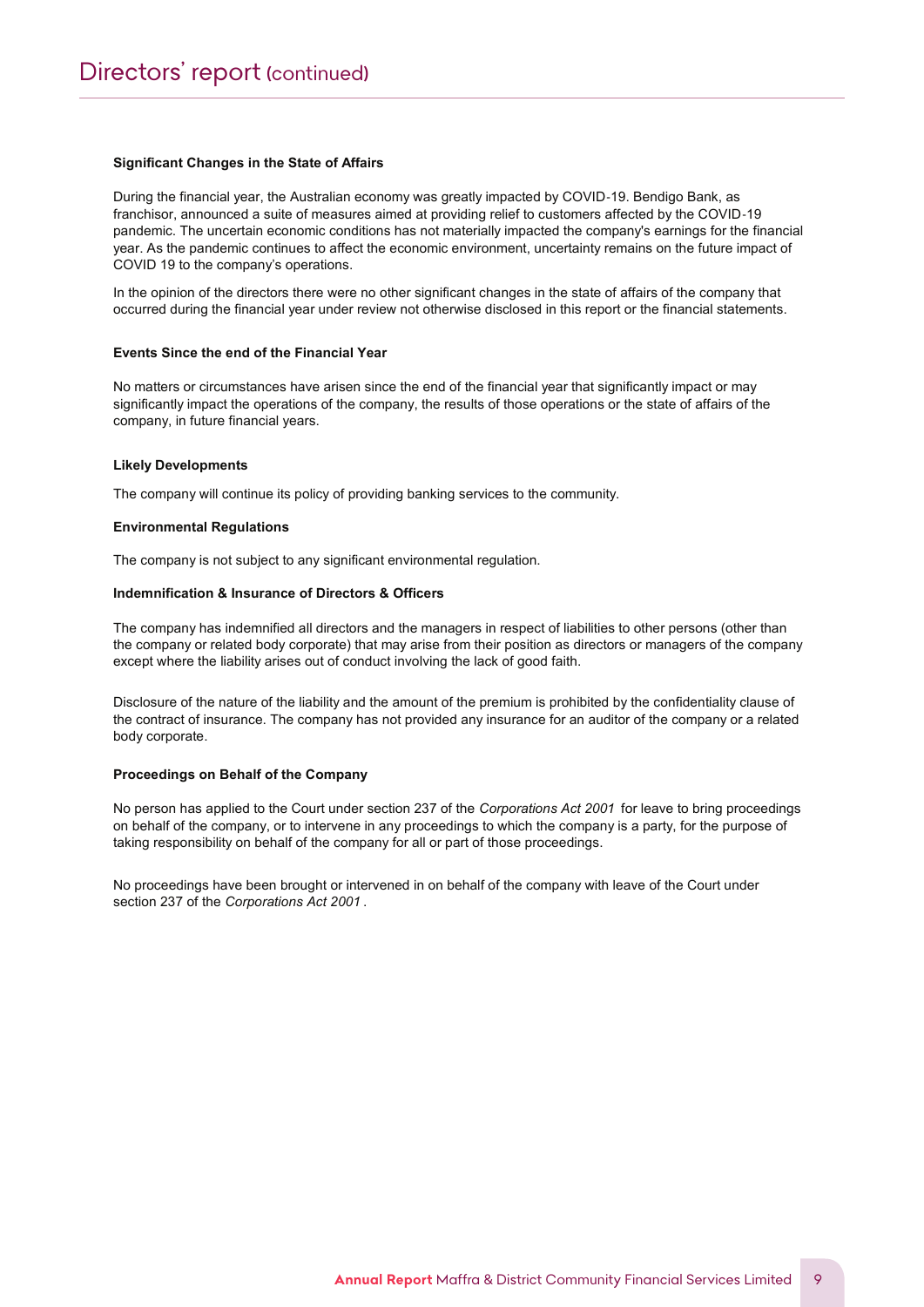#### Significant Changes in the State of Affairs

During the financial year, the Australian economy was greatly impacted by COVID‐19. Bendigo Bank, as franchisor, announced a suite of measures aimed at providing relief to customers affected by the COVID‐19 pandemic. The uncertain economic conditions has not materially impacted the company's earnings for the financial year. As the pandemic continues to affect the economic environment, uncertainty remains on the future impact of COVID 19 to the company's operations.

In the opinion of the directors there were no other significant changes in the state of affairs of the company that occurred during the financial year under review not otherwise disclosed in this report or the financial statements.

#### Events Since the end of the Financial Year

No matters or circumstances have arisen since the end of the financial year that significantly impact or may significantly impact the operations of the company, the results of those operations or the state of affairs of the company, in future financial years.

#### Likely Developments

The company will continue its policy of providing banking services to the community.

#### Environmental Regulations

The company is not subject to any significant environmental regulation.

#### Indemnification & Insurance of Directors & Officers

The company has indemnified all directors and the managers in respect of liabilities to other persons (other than the company or related body corporate) that may arise from their position as directors or managers of the company except where the liability arises out of conduct involving the lack of good faith.

Disclosure of the nature of the liability and the amount of the premium is prohibited by the confidentiality clause of the contract of insurance. The company has not provided any insurance for an auditor of the company or a related body corporate.

#### Proceedings on Behalf of the Company

No person has applied to the Court under section 237 of the Corporations Act 2001 for leave to bring proceedings on behalf of the company, or to intervene in any proceedings to which the company is a party, for the purpose of taking responsibility on behalf of the company for all or part of those proceedings.

No proceedings have been brought or intervened in on behalf of the company with leave of the Court under section 237 of the Corporations Act 2001 .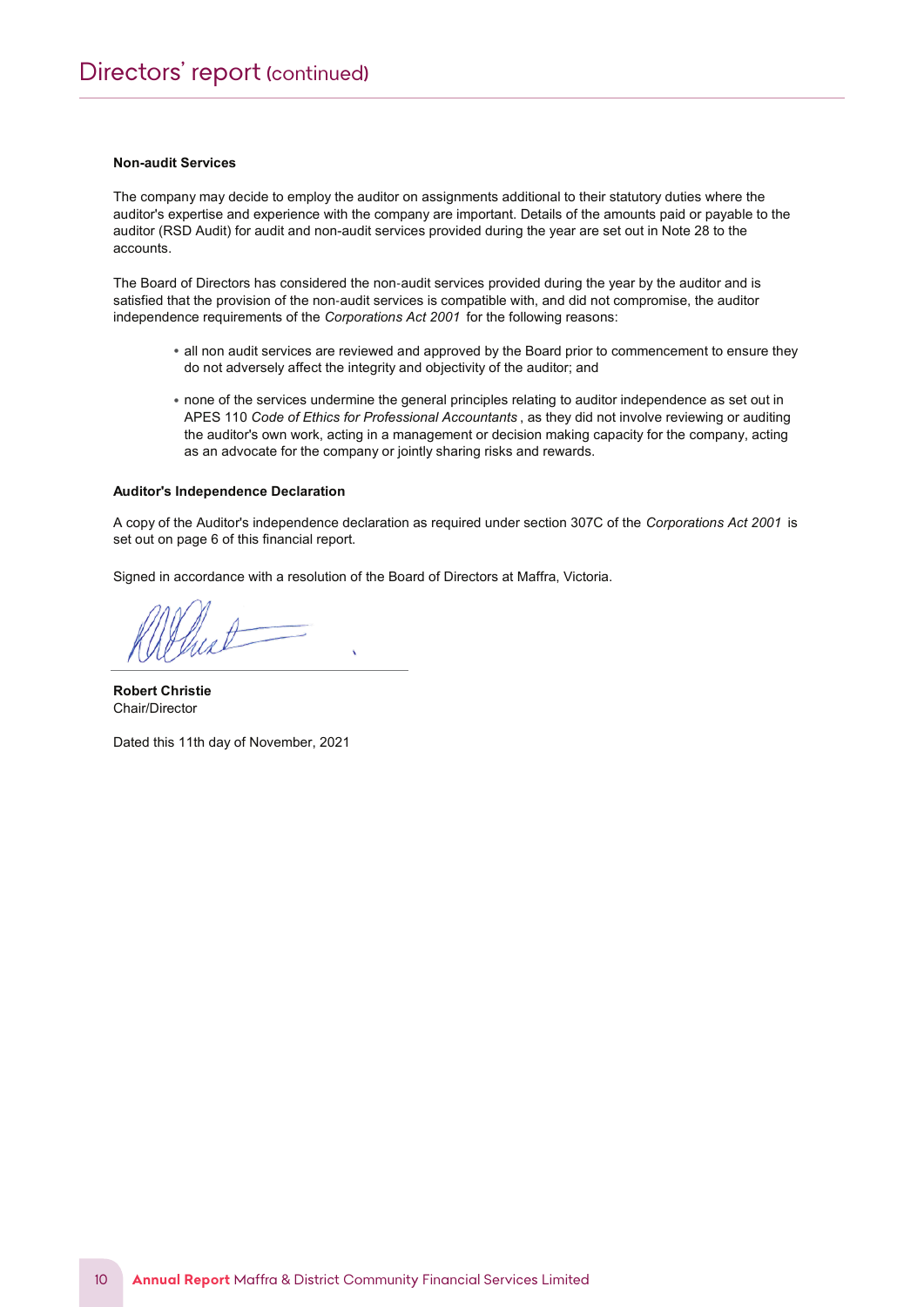#### Non-audit Services

The company may decide to employ the auditor on assignments additional to their statutory duties where the auditor's expertise and experience with the company are important. Details of the amounts paid or payable to the auditor (RSD Audit) for audit and non-audit services provided during the year are set out in Note 28 to the accounts.

The Board of Directors has considered the non-audit services provided during the year by the auditor and is satisfied that the provision of the non-audit services is compatible with, and did not compromise, the auditor independence requirements of the Corporations Act 2001 for the following reasons:

- all non audit services are reviewed and approved by the Board prior to commencement to ensure they do not adversely affect the integrity and objectivity of the auditor; and
- none of the services undermine the general principles relating to auditor independence as set out in APES 110 Code of Ethics for Professional Accountants, as they did not involve reviewing or auditing the auditor's own work, acting in a management or decision making capacity for the company, acting as an advocate for the company or jointly sharing risks and rewards.

#### Auditor's Independence Declaration

A copy of the Auditor's independence declaration as required under section 307C of the Corporations Act 2001 is set out on page 6 of this financial report.

Signed in accordance with a resolution of the Board of Directors at Maffra, Victoria.

Robert Christie Chair/Director

Dated this 11th day of November, 2021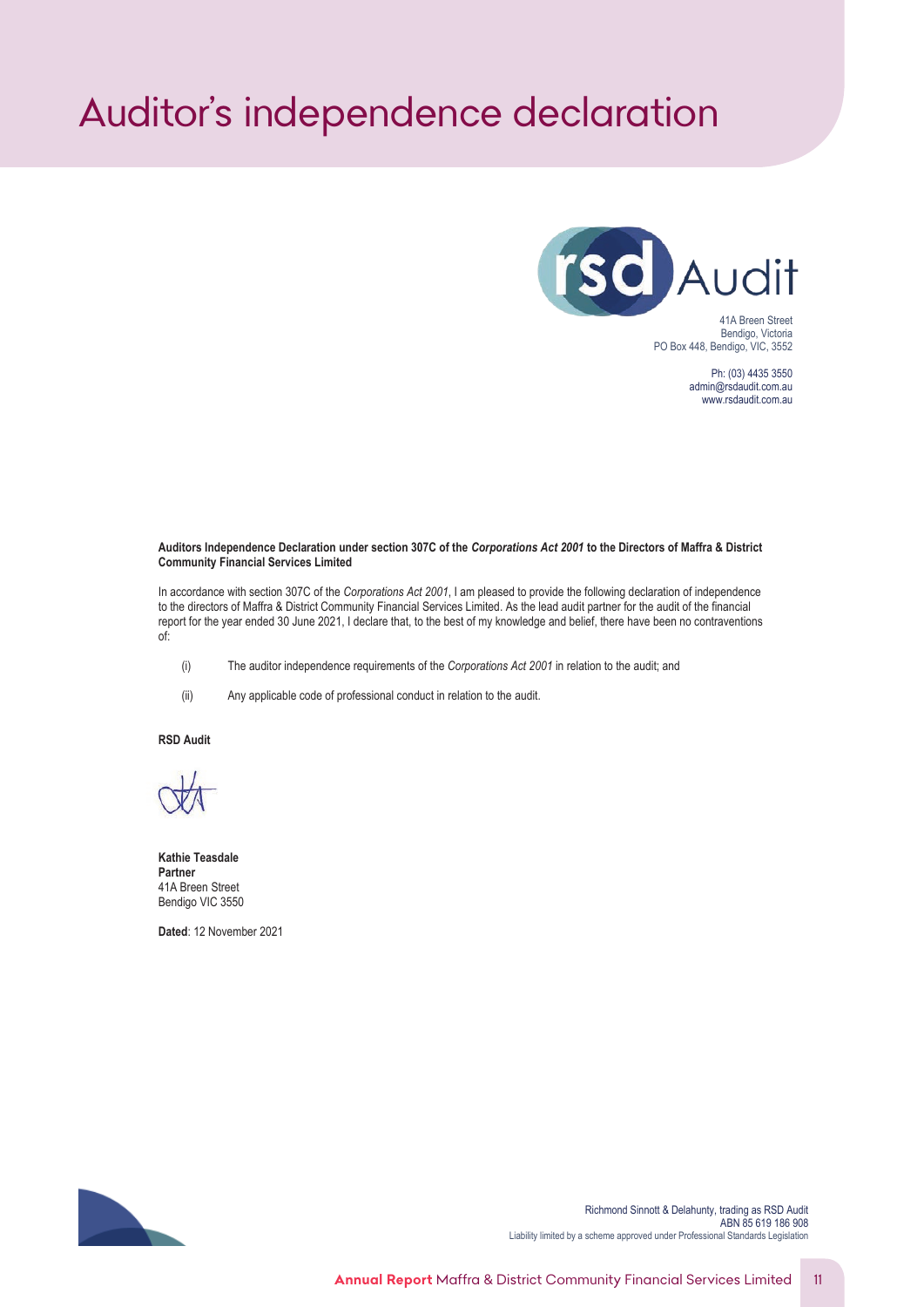# <span id="page-11-0"></span>*Auditor's independence declaration*



Ph: (03) 4435 3550 admin@rsdaudit.com.au www.rsdaudit.com.au

#### **Auditors Independence Declaration under section 307C of the** *Corporations Act 2001* **to the Directors of Maffra & District Community Financial Services Limited**

In accordance with section 307C of the *Corporations Act 2001*, I am pleased to provide the following declaration of independence to the directors of Maffra & District Community Financial Services Limited. As the lead audit partner for the audit of the financial report for the year ended 30 June 2021, I declare that, to the best of my knowledge and belief, there have been no contraventions of:

- (i) The auditor independence requirements of the *Corporations Act 2001* in relation to the audit; and
- (ii) Any applicable code of professional conduct in relation to the audit.

**RSD Audit**

**Kathie Teasdale Partner** 41A Breen Street Bendigo VIC 3550

**Dated**: 12 November 2021



Richmond Sinnott & Delahunty, trading as RSD Audit ABN 85 619 186 908 Liability limited by a scheme approved under Professional Standards Legislation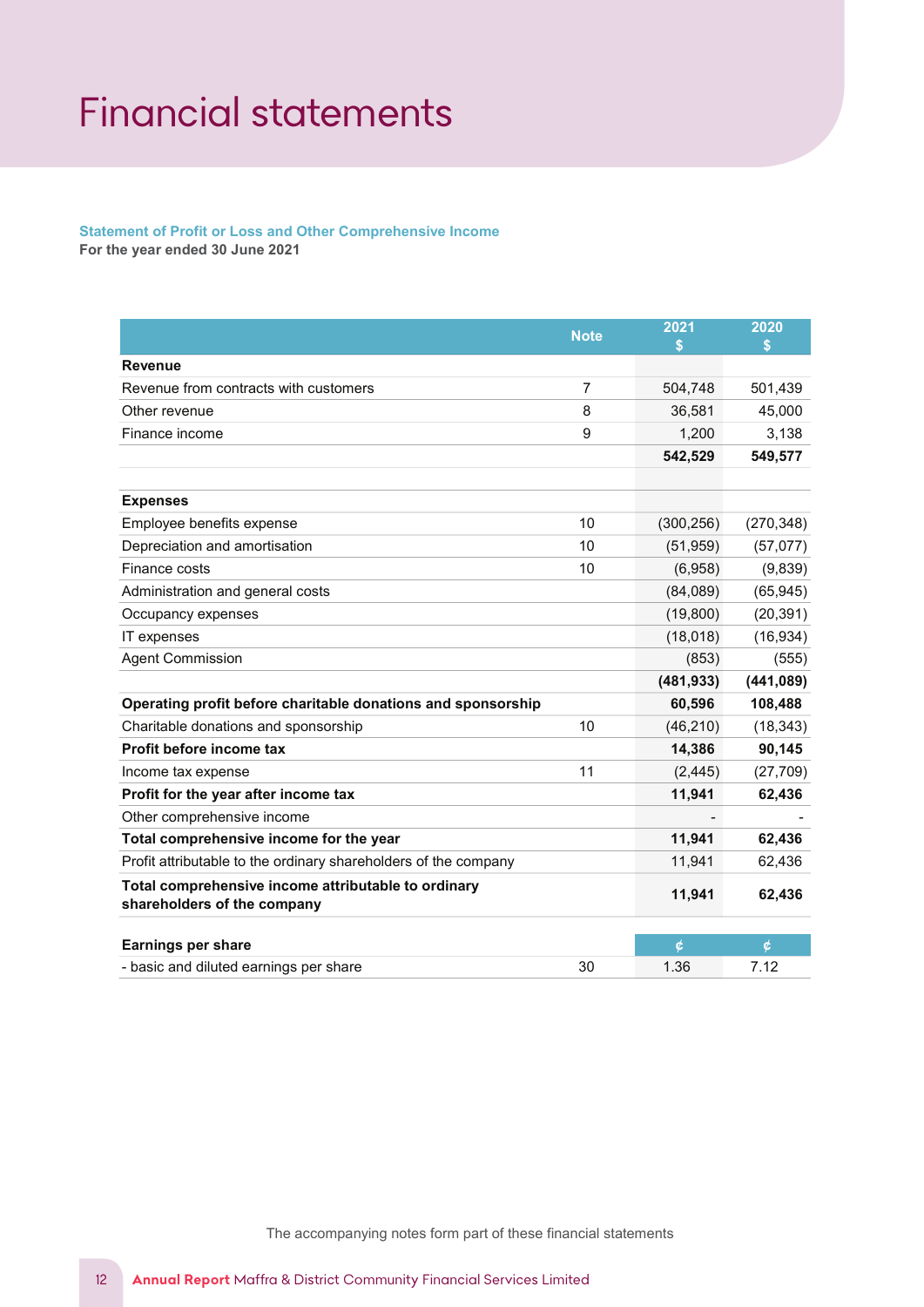# <span id="page-12-0"></span>Financial statements

# Statement of Profit or Loss and Other Comprehensive Income

For the year ended 30 June 2021

|                                                                                    | <b>Note</b>    | 2021<br>\$ | 2020<br>\$ |
|------------------------------------------------------------------------------------|----------------|------------|------------|
| <b>Revenue</b>                                                                     |                |            |            |
| Revenue from contracts with customers                                              | $\overline{7}$ | 504,748    | 501,439    |
| Other revenue                                                                      | 8              | 36,581     | 45,000     |
| Finance income                                                                     | 9              | 1,200      | 3,138      |
|                                                                                    |                | 542,529    | 549,577    |
| <b>Expenses</b>                                                                    |                |            |            |
| Employee benefits expense                                                          | 10             | (300, 256) | (270, 348) |
| Depreciation and amortisation                                                      | 10             | (51, 959)  | (57,077)   |
| Finance costs                                                                      | 10             | (6,958)    | (9,839)    |
| Administration and general costs                                                   |                | (84,089)   | (65, 945)  |
| Occupancy expenses                                                                 |                | (19, 800)  | (20, 391)  |
| IT expenses                                                                        |                | (18, 018)  | (16, 934)  |
| <b>Agent Commission</b>                                                            |                | (853)      | (555)      |
|                                                                                    |                | (481, 933) | (441, 089) |
| Operating profit before charitable donations and sponsorship                       |                | 60,596     | 108,488    |
| Charitable donations and sponsorship                                               | 10             | (46, 210)  | (18, 343)  |
| Profit before income tax                                                           |                | 14,386     | 90,145     |
| Income tax expense                                                                 | 11             | (2, 445)   | (27, 709)  |
| Profit for the year after income tax                                               |                | 11,941     | 62,436     |
| Other comprehensive income                                                         |                |            |            |
| Total comprehensive income for the year                                            |                | 11,941     | 62,436     |
| Profit attributable to the ordinary shareholders of the company                    |                | 11,941     | 62,436     |
| Total comprehensive income attributable to ordinary<br>shareholders of the company |                | 11,941     | 62,436     |
| <b>Earnings per share</b>                                                          |                | ¢          | ¢          |
| - basic and diluted earnings per share                                             | 30             | 1.36       | 7.12       |

The accompanying notes form part of these financial statements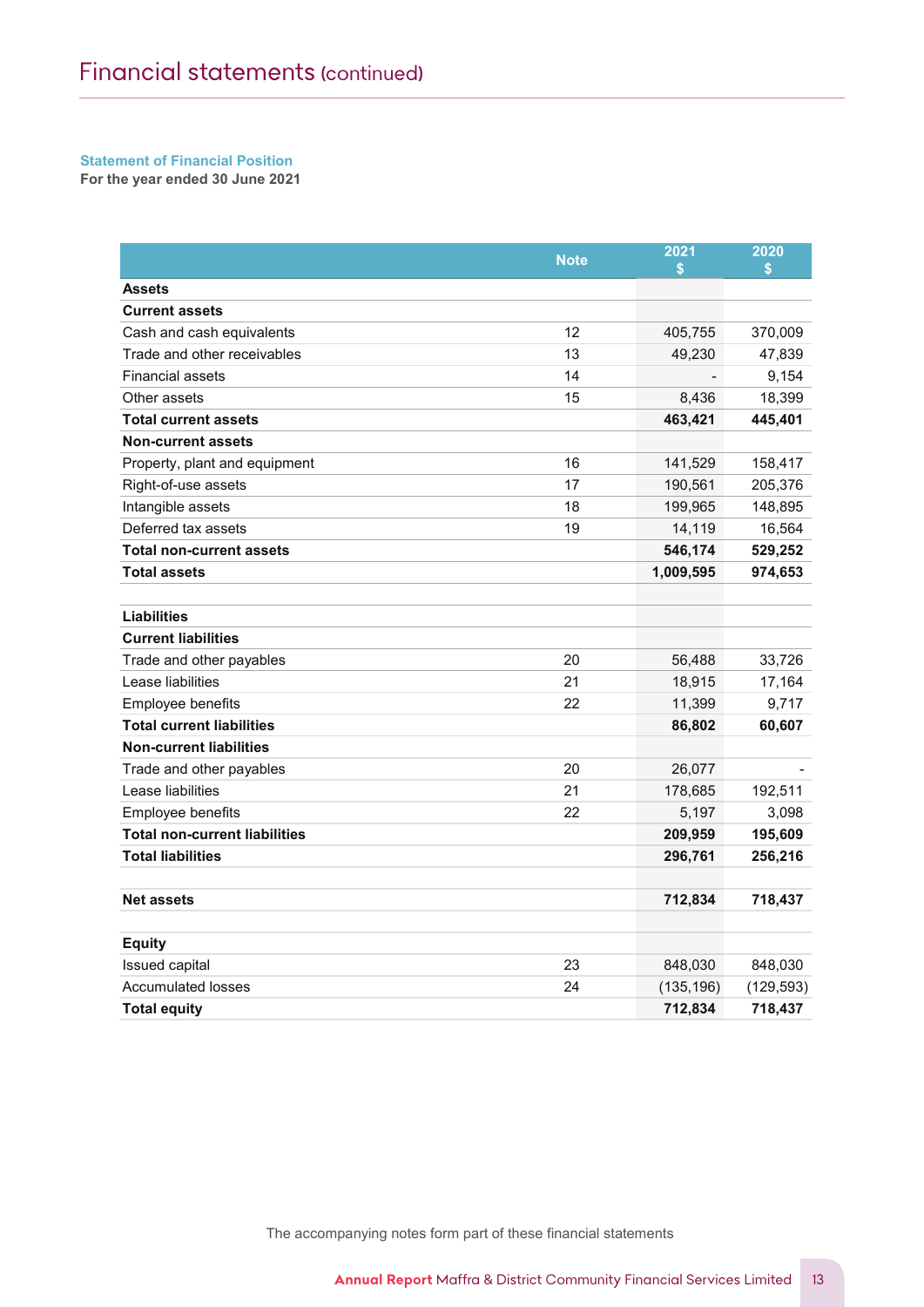#### Statement of Financial Position Statement of Profit or Loss and Other Comprehensive Income Statement of Financial Position

For the year ended 30 June 2021

|                                      | <b>Note</b> | 2021<br>\$ | 2020<br>\$ |
|--------------------------------------|-------------|------------|------------|
| <b>Assets</b>                        |             |            |            |
| <b>Current assets</b>                |             |            |            |
| Cash and cash equivalents            | 12          | 405,755    | 370,009    |
| Trade and other receivables          | 13          | 49,230     | 47,839     |
| <b>Financial assets</b>              | 14          |            | 9,154      |
| Other assets                         | 15          | 8,436      | 18,399     |
| <b>Total current assets</b>          |             | 463,421    | 445,401    |
| <b>Non-current assets</b>            |             |            |            |
| Property, plant and equipment        | 16          | 141,529    | 158,417    |
| Right-of-use assets                  | 17          | 190,561    | 205,376    |
| Intangible assets                    | 18          | 199,965    | 148,895    |
| Deferred tax assets                  | 19          | 14,119     | 16,564     |
| <b>Total non-current assets</b>      |             | 546,174    | 529,252    |
| <b>Total assets</b>                  |             | 1,009,595  | 974,653    |
|                                      |             |            |            |
| Liabilities                          |             |            |            |
| <b>Current liabilities</b>           |             |            |            |
| Trade and other payables             | 20          | 56,488     | 33,726     |
| Lease liabilities                    | 21          | 18,915     | 17,164     |
| Employee benefits                    | 22          | 11,399     | 9,717      |
| <b>Total current liabilities</b>     |             | 86,802     | 60,607     |
| <b>Non-current liabilities</b>       |             |            |            |
| Trade and other payables             | 20          | 26,077     |            |
| Lease liabilities                    | 21          | 178,685    | 192,511    |
| Employee benefits                    | 22          | 5,197      | 3,098      |
| <b>Total non-current liabilities</b> |             | 209,959    | 195,609    |
| <b>Total liabilities</b>             |             | 296,761    | 256,216    |
|                                      |             |            |            |
| <b>Net assets</b>                    |             | 712,834    | 718,437    |
|                                      |             |            |            |
| <b>Equity</b>                        |             |            |            |
| Issued capital                       | 23          | 848,030    | 848,030    |
| <b>Accumulated losses</b>            | 24          | (135, 196) | (129, 593) |
| Total equity                         |             | 712,834    | 718,437    |

The accompanying notes for  $\mathcal{I}_\text{max}$  for the statements for the statements for the statements for the statements of the statements of the statements of the statements of the statements of the statements of the stateme The accompanying notes form part of these financial statements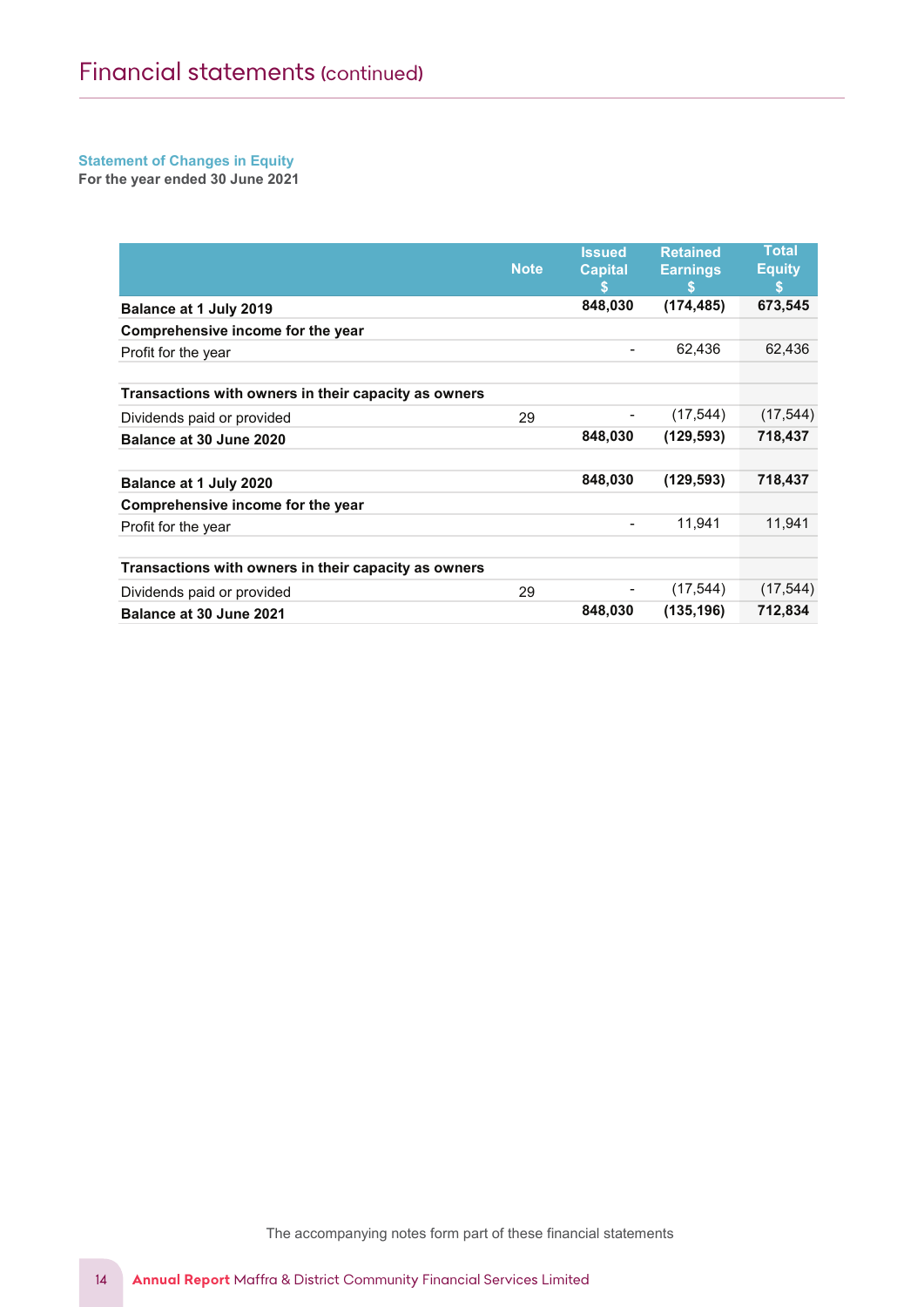#### Statement of Changes in Equity Statement of Profit or Loss and Other Comprehensive Income Statement of Unanges in Equity<br>-

For the year ended 30 June 2021

|                                                      | <b>Note</b> | <b>Issued</b><br><b>Capital</b><br>S | <b>Retained</b><br><b>Earnings</b><br>S | <b>Total</b><br><b>Equity</b><br>\$ |
|------------------------------------------------------|-------------|--------------------------------------|-----------------------------------------|-------------------------------------|
| Balance at 1 July 2019                               |             | 848,030                              | (174, 485)                              | 673,545                             |
| Comprehensive income for the year                    |             |                                      |                                         |                                     |
| Profit for the year                                  |             | -                                    | 62,436                                  | 62,436                              |
|                                                      |             |                                      |                                         |                                     |
| Transactions with owners in their capacity as owners |             |                                      |                                         |                                     |
| Dividends paid or provided                           | 29          |                                      | (17, 544)                               | (17, 544)                           |
| Balance at 30 June 2020                              |             | 848,030                              | (129, 593)                              | 718,437                             |
|                                                      |             |                                      |                                         |                                     |
| Balance at 1 July 2020                               |             | 848,030                              | (129, 593)                              | 718,437                             |
| Comprehensive income for the year                    |             |                                      |                                         |                                     |
| Profit for the year                                  |             | -                                    | 11,941                                  | 11,941                              |
|                                                      |             |                                      |                                         |                                     |
| Transactions with owners in their capacity as owners |             |                                      |                                         |                                     |
| Dividends paid or provided                           | 29          |                                      | (17, 544)                               | (17, 544)                           |
| Balance at 30 June 2021                              |             | 848,030                              | (135, 196)                              | 712,834                             |

The accompanying notes for  $\mathcal{I}_\mathcal{A}$  for the statements for the statements for the statements for the statements of the statements of the statements of the statements of the statements of the statements of the statem The accompanying notes form part of these financial statements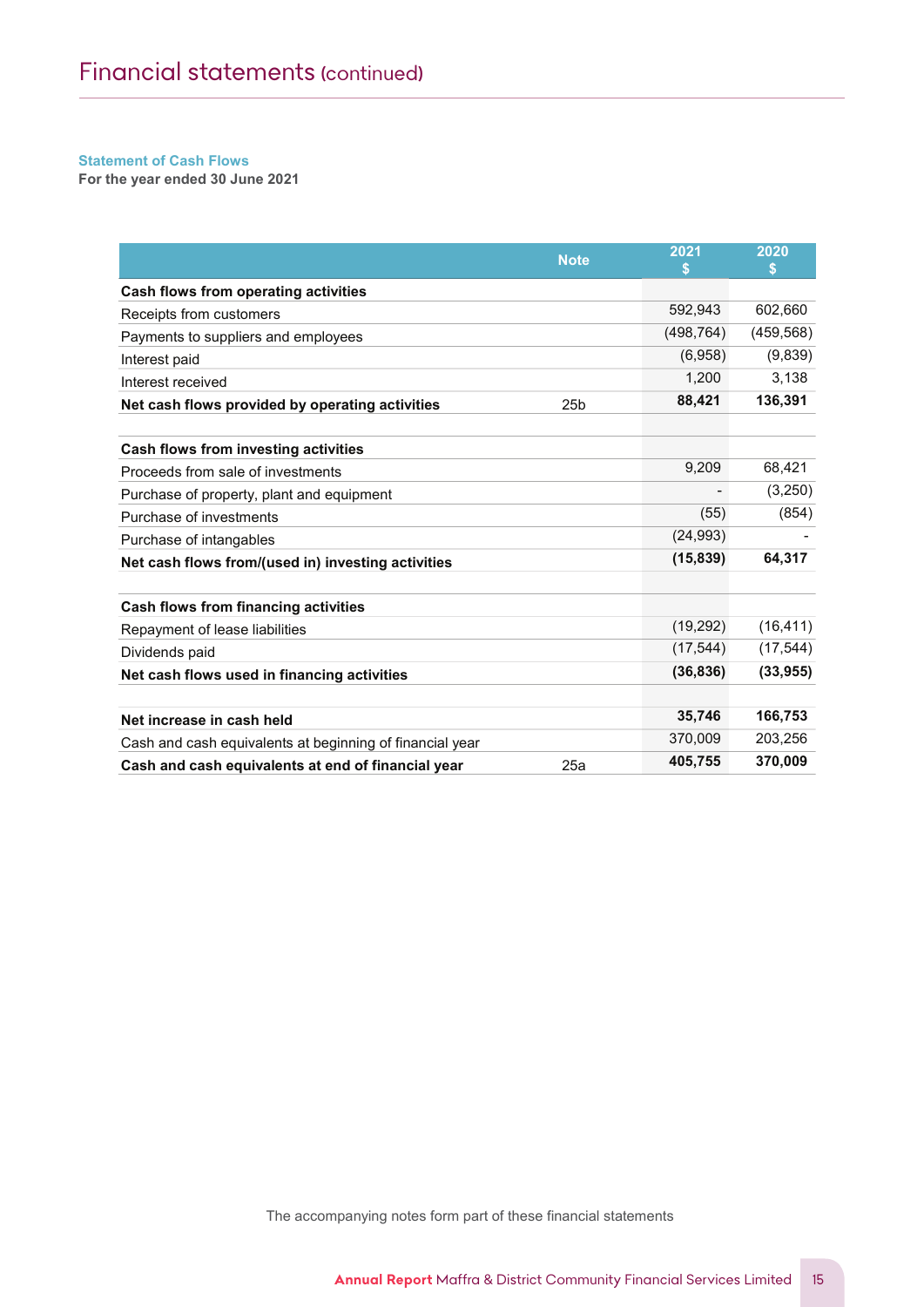$\mathcal{M}(\mathcal{M})$  and  $\mathcal{M}(\mathcal{M})$  is the District Community  $\mathcal{M}(\mathcal{M})$  is the  $\mathcal{M}(\mathcal{M})$ 

#### Statement of Cash Flows For the year ended 30 June 2021

For the year ended 30 June 2021

|                                                          | <b>Note</b>     | 2021       | 2020       |
|----------------------------------------------------------|-----------------|------------|------------|
|                                                          |                 | S          | S          |
| Cash flows from operating activities                     |                 |            |            |
| Receipts from customers                                  |                 | 592,943    | 602,660    |
| Payments to suppliers and employees                      |                 | (498, 764) | (459, 568) |
| Interest paid                                            |                 | (6,958)    | (9,839)    |
| Interest received                                        |                 | 1,200      | 3,138      |
| Net cash flows provided by operating activities          | 25 <sub>b</sub> | 88,421     | 136,391    |
| Cash flows from investing activities                     |                 |            |            |
| Proceeds from sale of investments                        |                 | 9,209      | 68,421     |
| Purchase of property, plant and equipment                |                 |            | (3,250)    |
| Purchase of investments                                  |                 | (55)       | (854)      |
| Purchase of intangables                                  |                 | (24, 993)  |            |
| Net cash flows from/(used in) investing activities       |                 | (15, 839)  | 64,317     |
| <b>Cash flows from financing activities</b>              |                 |            |            |
| Repayment of lease liabilities                           |                 | (19,292)   | (16, 411)  |
| Dividends paid                                           |                 | (17, 544)  | (17, 544)  |
| Net cash flows used in financing activities              |                 | (36, 836)  | (33, 955)  |
| Net increase in cash held                                |                 | 35,746     | 166,753    |
| Cash and cash equivalents at beginning of financial year |                 | 370,009    | 203,256    |
| Cash and cash equivalents at end of financial year       | 25a             | 405,755    | 370,009    |

The accompanying notes form part of these financial statements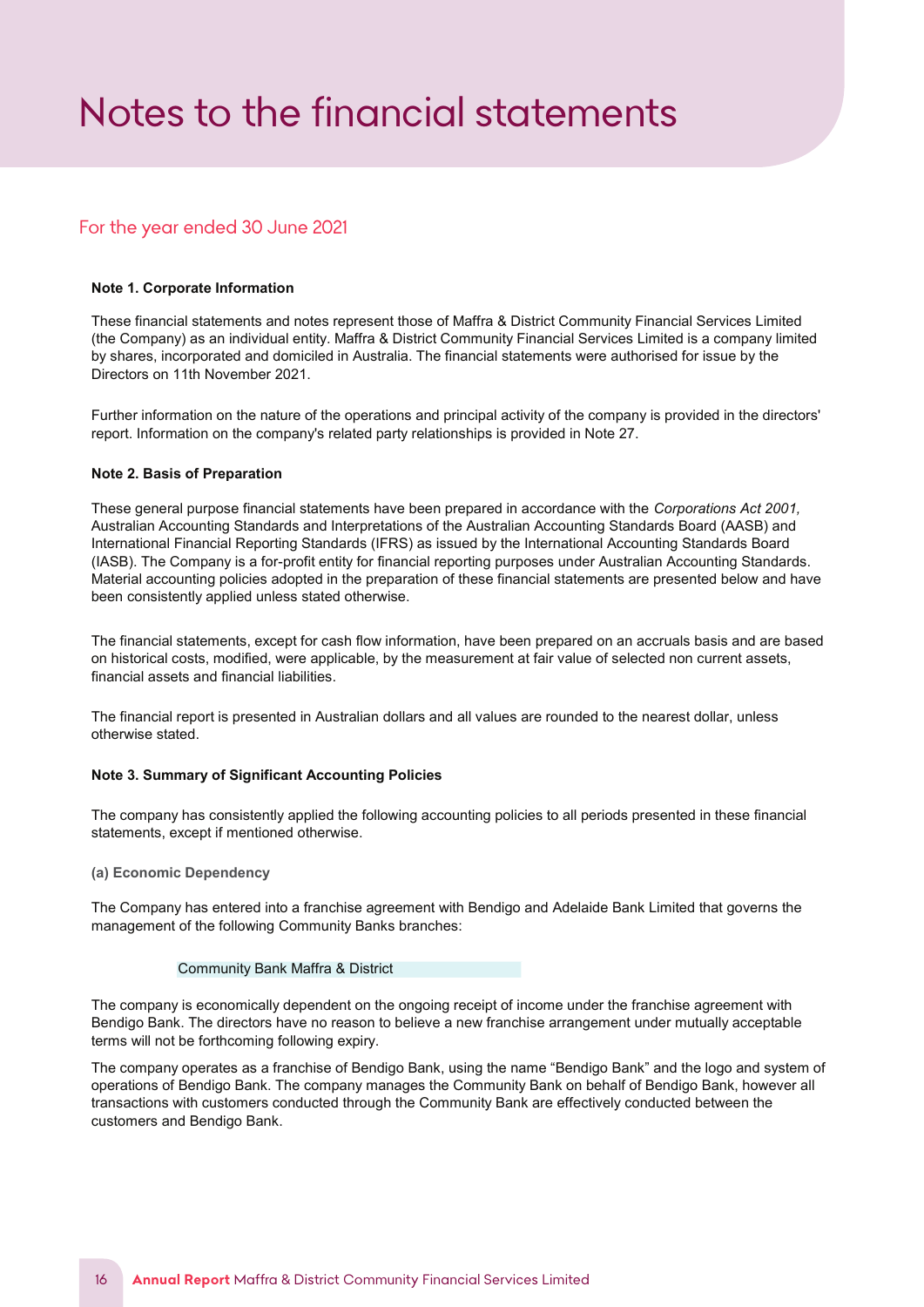# <span id="page-16-0"></span>*Notes to the financial statements*

# For the year ended 30 June 2021

# Note 1. Corporate Information

These financial statements and notes represent those of Maffra & District Community Financial Services Limited (the Company) as an individual entity. Maffra & District Community Financial Services Limited is a company limited by shares, incorporated and domiciled in Australia. The financial statements were authorised for issue by the Directors on 11th November 2021.

Further information on the nature of the operations and principal activity of the company is provided in the directors' report. Information on the company's related party relationships is provided in Note 27.

#### Note 2. Basis of Preparation

These general purpose financial statements have been prepared in accordance with the Corporations Act 2001, Australian Accounting Standards and Interpretations of the Australian Accounting Standards Board (AASB) and International Financial Reporting Standards (IFRS) as issued by the International Accounting Standards Board (IASB). The Company is a for-profit entity for financial reporting purposes under Australian Accounting Standards. Material accounting policies adopted in the preparation of these financial statements are presented below and have been consistently applied unless stated otherwise.

The financial statements, except for cash flow information, have been prepared on an accruals basis and are based on historical costs, modified, were applicable, by the measurement at fair value of selected non current assets, financial assets and financial liabilities.

The financial report is presented in Australian dollars and all values are rounded to the nearest dollar, unless otherwise stated.

#### Note 3. Summary of Significant Accounting Policies

The company has consistently applied the following accounting policies to all periods presented in these financial statements, except if mentioned otherwise.

#### (a) Economic Dependency

The Company has entered into a franchise agreement with Bendigo and Adelaide Bank Limited that governs the management of the following Community Banks branches:

#### Community Bank Maffra & District

The company is economically dependent on the ongoing receipt of income under the franchise agreement with Bendigo Bank. The directors have no reason to believe a new franchise arrangement under mutually acceptable terms will not be forthcoming following expiry.

The company operates as a franchise of Bendigo Bank, using the name "Bendigo Bank" and the logo and system of operations of Bendigo Bank. The company manages the Community Bank on behalf of Bendigo Bank, however all transactions with customers conducted through the Community Bank are effectively conducted between the customers and Bendigo Bank.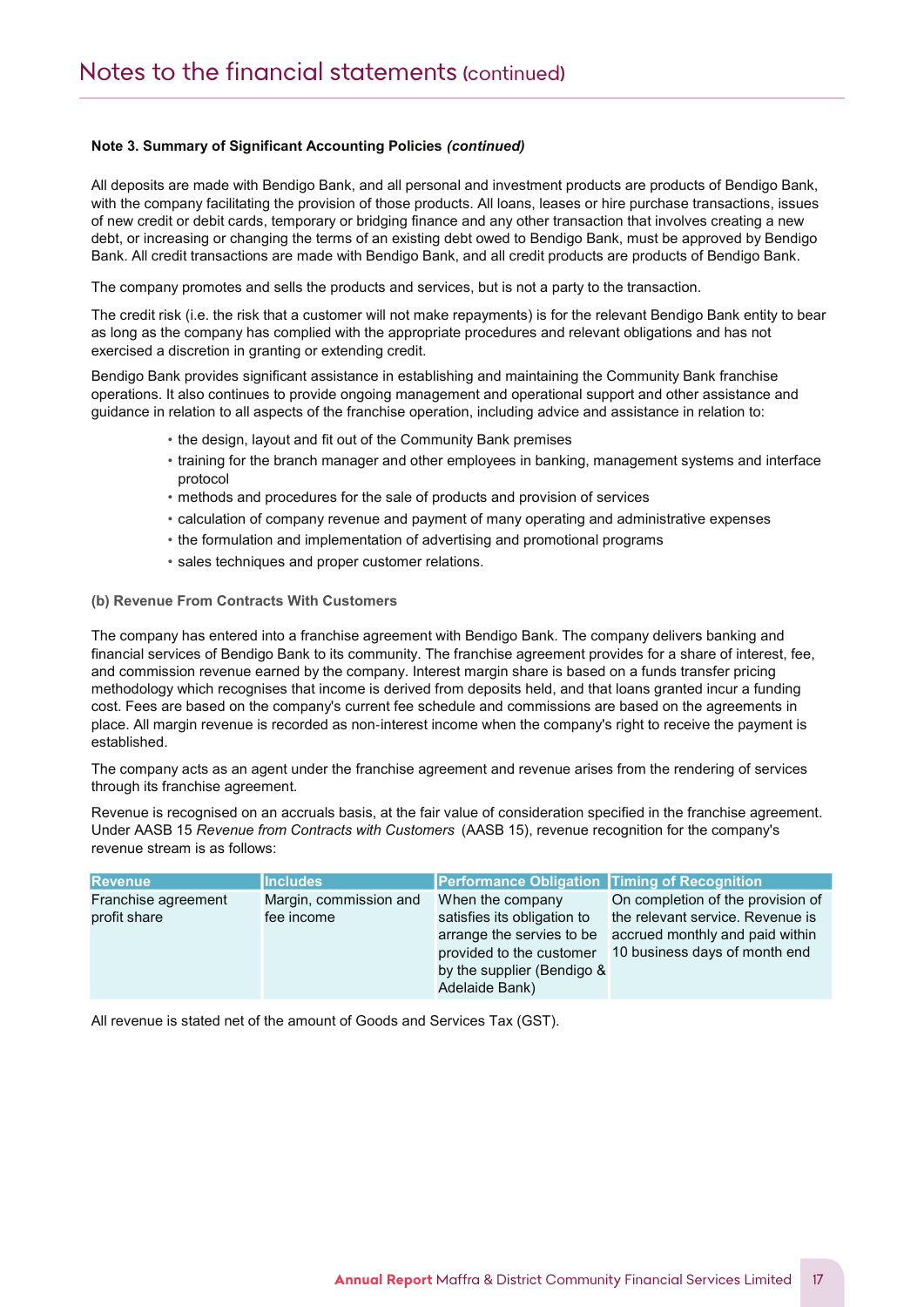Notes to the Financial Statements

All deposits are made with Bendigo Bank, and all personal and investment products are products of Bendigo Bank, with the company facilitating the provision of those products. All loans, leases or hire purchase transactions, issues of new credit or debit cards, temporary or bridging finance and any other transaction that involves creating a new debt, or increasing or changing the terms of an existing debt owed to Bendigo Bank, must be approved by Bendigo Bank. All credit transactions are made with Bendigo Bank, and all credit products are products of Bendigo Bank.

The company promotes and sells the products and services, but is not a party to the transaction.

The credit risk (i.e. the risk that a customer will not make repayments) is for the relevant Bendigo Bank entity to bear as long as the company has complied with the appropriate procedures and relevant obligations and has not exercised a discretion in granting or extending credit.

Bendigo Bank provides significant assistance in establishing and maintaining the Community Bank franchise operations. It also continues to provide ongoing management and operational support and other assistance and guidance in relation to all aspects of the franchise operation, including advice and assistance in relation to:

- the design, layout and fit out of the Community Bank premises
- training for the branch manager and other employees in banking, management systems and interface protocol
- methods and procedures for the sale of products and provision of services
- calculation of company revenue and payment of many operating and administrative expenses
- the formulation and implementation of advertising and promotional programs
- sales techniques and proper customer relations.

## (b) Revenue From Contracts With Customers

The company has entered into a franchise agreement with Bendigo Bank. The company delivers banking and financial services of Bendigo Bank to its community. The franchise agreement provides for a share of interest, fee, and commission revenue earned by the company. Interest margin share is based on a funds transfer pricing methodology which recognises that income is derived from deposits held, and that loans granted incur a funding cost. Fees are based on the company's current fee schedule and commissions are based on the agreements in place. All margin revenue is recorded as non‐interest income when the company's right to receive the payment is established.

The company acts as an agent under the franchise agreement and revenue arises from the rendering of services through its franchise agreement.

Revenue is recognised on an accruals basis, at the fair value of consideration specified in the franchise agreement. Under AASB 15 Revenue from Contracts with Customers (AASB 15), revenue recognition for the company's revenue stream is as follows:

| <b>Revenue</b>      | <b>Includes</b>        | <b>Performance Obligation Timing of Recognition</b> |                                   |
|---------------------|------------------------|-----------------------------------------------------|-----------------------------------|
| Franchise agreement | Margin, commission and | When the company                                    | On completion of the provision of |
| profit share        | fee income             | satisfies its obligation to                         | the relevant service. Revenue is  |
|                     |                        | arrange the servies to be                           | accrued monthly and paid within   |
|                     |                        | provided to the customer                            | 10 business days of month end     |
|                     |                        | by the supplier (Bendigo &                          |                                   |
|                     |                        | Adelaide Bank)                                      |                                   |

All revenue is stated net of the amount of Goods and Services Tax (GST).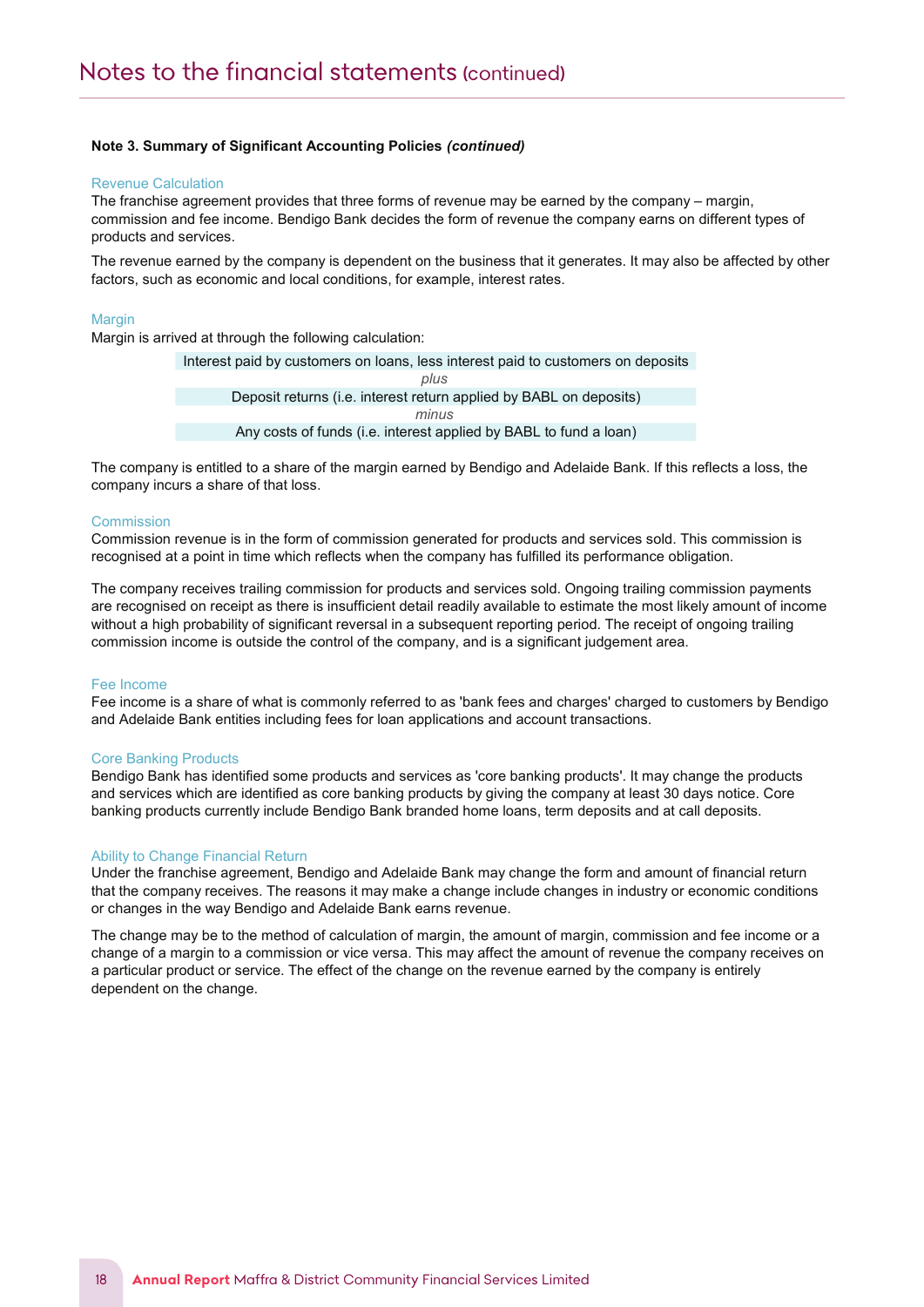#### Revenue Calculation

Notes to the Financial Statements

The franchise agreement provides that three forms of revenue may be earned by the company – margin, commission and fee income. Bendigo Bank decides the form of revenue the company earns on different types of products and services.

The revenue earned by the company is dependent on the business that it generates. It may also be affected by other factors, such as economic and local conditions, for example, interest rates.

#### **Margin**

Margin is arrived at through the following calculation:

Interest paid by customers on loans, less interest paid to customers on deposits Deposit returns (i.e. interest return applied by BABL on deposits) Any costs of funds (i.e. interest applied by BABL to fund a loan) plus minus

The company is entitled to a share of the margin earned by Bendigo and Adelaide Bank. If this reflects a loss, the company incurs a share of that loss.

#### **Commission**

Commission revenue is in the form of commission generated for products and services sold. This commission is recognised at a point in time which reflects when the company has fulfilled its performance obligation.

The company receives trailing commission for products and services sold. Ongoing trailing commission payments are recognised on receipt as there is insufficient detail readily available to estimate the most likely amount of income without a high probability of significant reversal in a subsequent reporting period. The receipt of ongoing trailing commission income is outside the control of the company, and is a significant judgement area.

#### Fee Income

Fee income is a share of what is commonly referred to as 'bank fees and charges' charged to customers by Bendigo and Adelaide Bank entities including fees for loan applications and account transactions.

#### Core Banking Products

Bendigo Bank has identified some products and services as 'core banking products'. It may change the products and services which are identified as core banking products by giving the company at least 30 days notice. Core banking products currently include Bendigo Bank branded home loans, term deposits and at call deposits.

#### Ability to Change Financial Return

Under the franchise agreement, Bendigo and Adelaide Bank may change the form and amount of financial return that the company receives. The reasons it may make a change include changes in industry or economic conditions or changes in the way Bendigo and Adelaide Bank earns revenue.

The change may be to the method of calculation of margin, the amount of margin, commission and fee income or a change of a margin to a commission or vice versa. This may affect the amount of revenue the company receives on a particular product or service. The effect of the change on the revenue earned by the company is entirely dependent on the change.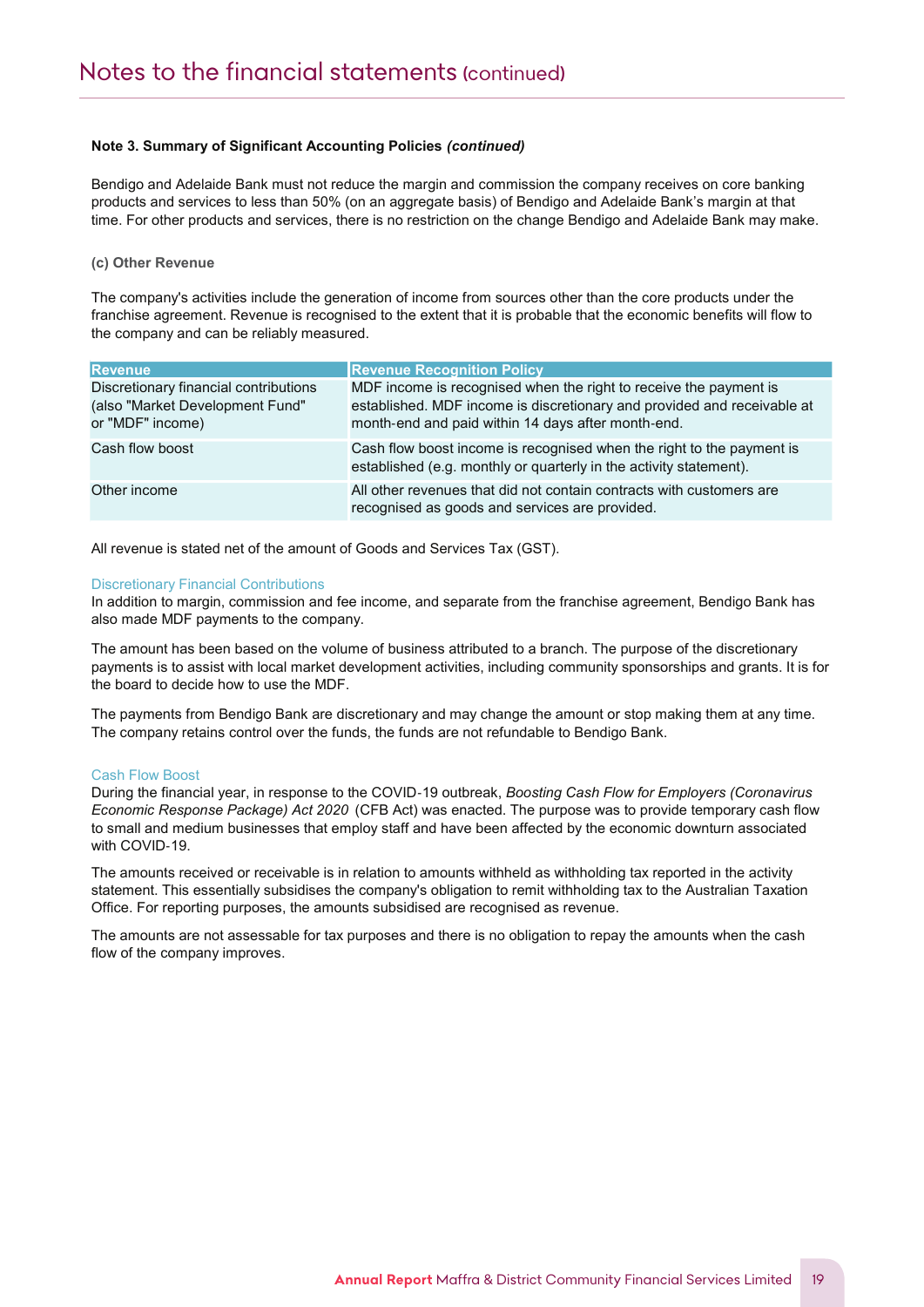Bendigo and Adelaide Bank must not reduce the margin and commission the company receives on core banking products and services to less than 50% (on an aggregate basis) of Bendigo and Adelaide Bank's margin at that time. For other products and services, there is no restriction on the change Bendigo and Adelaide Bank may make.

# (c) Other Revenue

Notes to the Financial Statements

The company's activities include the generation of income from sources other than the core products under the franchise agreement. Revenue is recognised to the extent that it is probable that the economic benefits will flow to the company and can be reliably measured.

| <b>Revenue</b>                                                                               | <b>Revenue Recognition Policy</b>                                                                                                                                                                  |
|----------------------------------------------------------------------------------------------|----------------------------------------------------------------------------------------------------------------------------------------------------------------------------------------------------|
| Discretionary financial contributions<br>(also "Market Development Fund"<br>or "MDF" income) | MDF income is recognised when the right to receive the payment is<br>established. MDF income is discretionary and provided and receivable at<br>month-end and paid within 14 days after month-end. |
| Cash flow boost                                                                              | Cash flow boost income is recognised when the right to the payment is<br>established (e.g. monthly or quarterly in the activity statement).                                                        |
| Other income                                                                                 | All other revenues that did not contain contracts with customers are<br>recognised as goods and services are provided.                                                                             |

All revenue is stated net of the amount of Goods and Services Tax (GST).

#### Discretionary Financial Contributions

In addition to margin, commission and fee income, and separate from the franchise agreement, Bendigo Bank has also made MDF payments to the company.

The amount has been based on the volume of business attributed to a branch. The purpose of the discretionary payments is to assist with local market development activities, including community sponsorships and grants. It is for the board to decide how to use the MDF.

The payments from Bendigo Bank are discretionary and may change the amount or stop making them at any time. The company retains control over the funds, the funds are not refundable to Bendigo Bank.

#### Cash Flow Boost

During the financial year, in response to the COVID-19 outbreak, Boosting Cash Flow for Employers (Coronavirus Economic Response Package) Act 2020 (CFB Act) was enacted. The purpose was to provide temporary cash flow to small and medium businesses that employ staff and have been affected by the economic downturn associated with COVID-19.

The amounts received or receivable is in relation to amounts withheld as withholding tax reported in the activity statement. This essentially subsidises the company's obligation to remit withholding tax to the Australian Taxation Office. For reporting purposes, the amounts subsidised are recognised as revenue.

The amounts are not assessable for tax purposes and there is no obligation to repay the amounts when the cash flow of the company improves.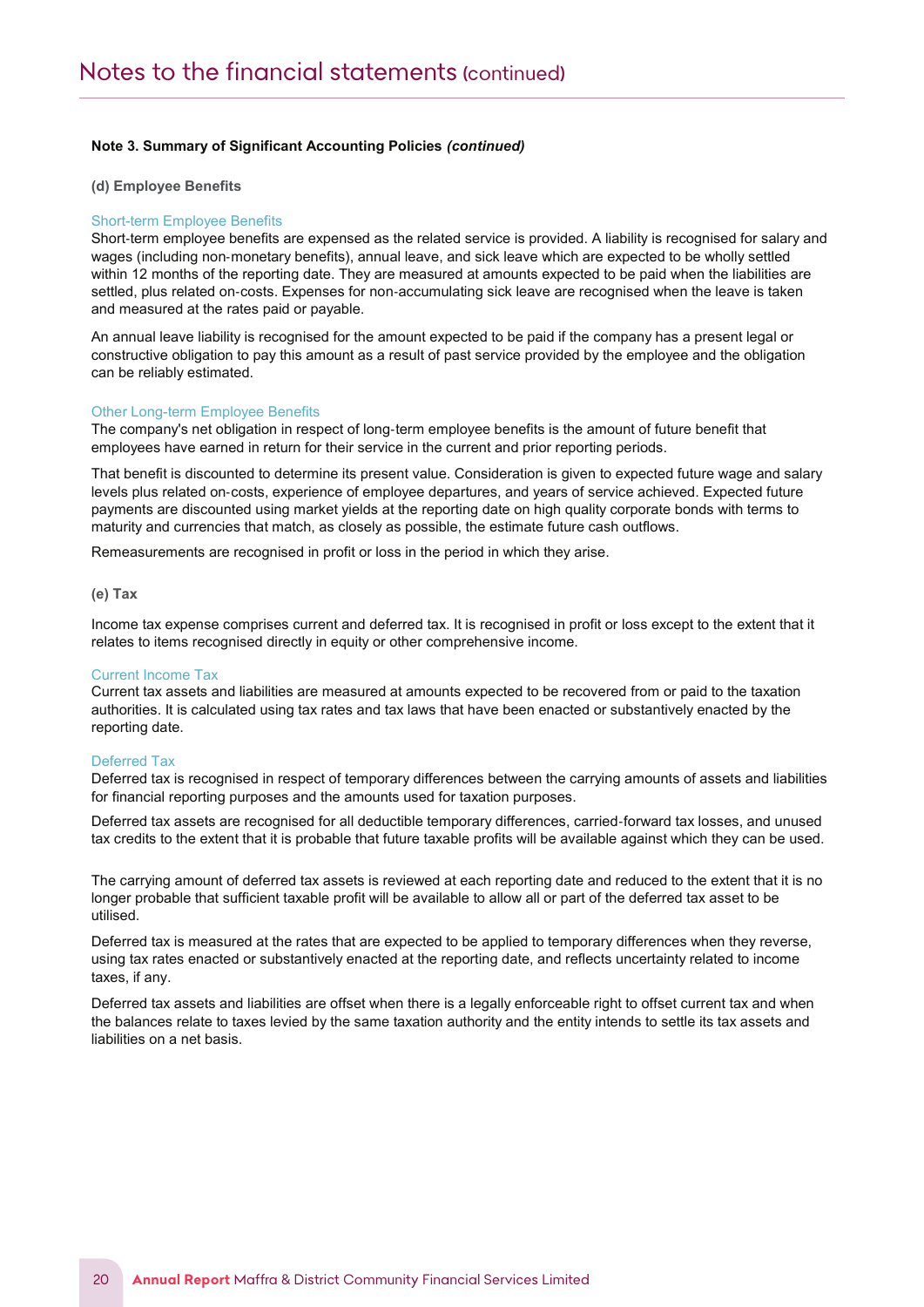#### (d) Employee Benefits

#### Short-term Employee Benefits

Notes to the Financial Statements

Short-term employee benefits are expensed as the related service is provided. A liability is recognised for salary and wages (including non‐monetary benefits), annual leave, and sick leave which are expected to be wholly settled within 12 months of the reporting date. They are measured at amounts expected to be paid when the liabilities are settled, plus related on-costs. Expenses for non-accumulating sick leave are recognised when the leave is taken and measured at the rates paid or payable.

An annual leave liability is recognised for the amount expected to be paid if the company has a present legal or constructive obligation to pay this amount as a result of past service provided by the employee and the obligation can be reliably estimated.

#### Other Long-term Employee Benefits

The company's net obligation in respect of long‐term employee benefits is the amount of future benefit that employees have earned in return for their service in the current and prior reporting periods.

That benefit is discounted to determine its present value. Consideration is given to expected future wage and salary levels plus related on‐costs, experience of employee departures, and years of service achieved. Expected future payments are discounted using market yields at the reporting date on high quality corporate bonds with terms to maturity and currencies that match, as closely as possible, the estimate future cash outflows.

Remeasurements are recognised in profit or loss in the period in which they arise.

#### (e) Tax

Income tax expense comprises current and deferred tax. It is recognised in profit or loss except to the extent that it relates to items recognised directly in equity or other comprehensive income.

#### Current Income Tax

Current tax assets and liabilities are measured at amounts expected to be recovered from or paid to the taxation authorities. It is calculated using tax rates and tax laws that have been enacted or substantively enacted by the reporting date.

#### Deferred Tax

Deferred tax is recognised in respect of temporary differences between the carrying amounts of assets and liabilities for financial reporting purposes and the amounts used for taxation purposes.

Deferred tax assets are recognised for all deductible temporary differences, carried‐forward tax losses, and unused tax credits to the extent that it is probable that future taxable profits will be available against which they can be used.

The carrying amount of deferred tax assets is reviewed at each reporting date and reduced to the extent that it is no longer probable that sufficient taxable profit will be available to allow all or part of the deferred tax asset to be utilised.

Deferred tax is measured at the rates that are expected to be applied to temporary differences when they reverse, using tax rates enacted or substantively enacted at the reporting date, and reflects uncertainty related to income taxes, if any.

Deferred tax assets and liabilities are offset when there is a legally enforceable right to offset current tax and when the balances relate to taxes levied by the same taxation authority and the entity intends to settle its tax assets and liabilities on a net basis.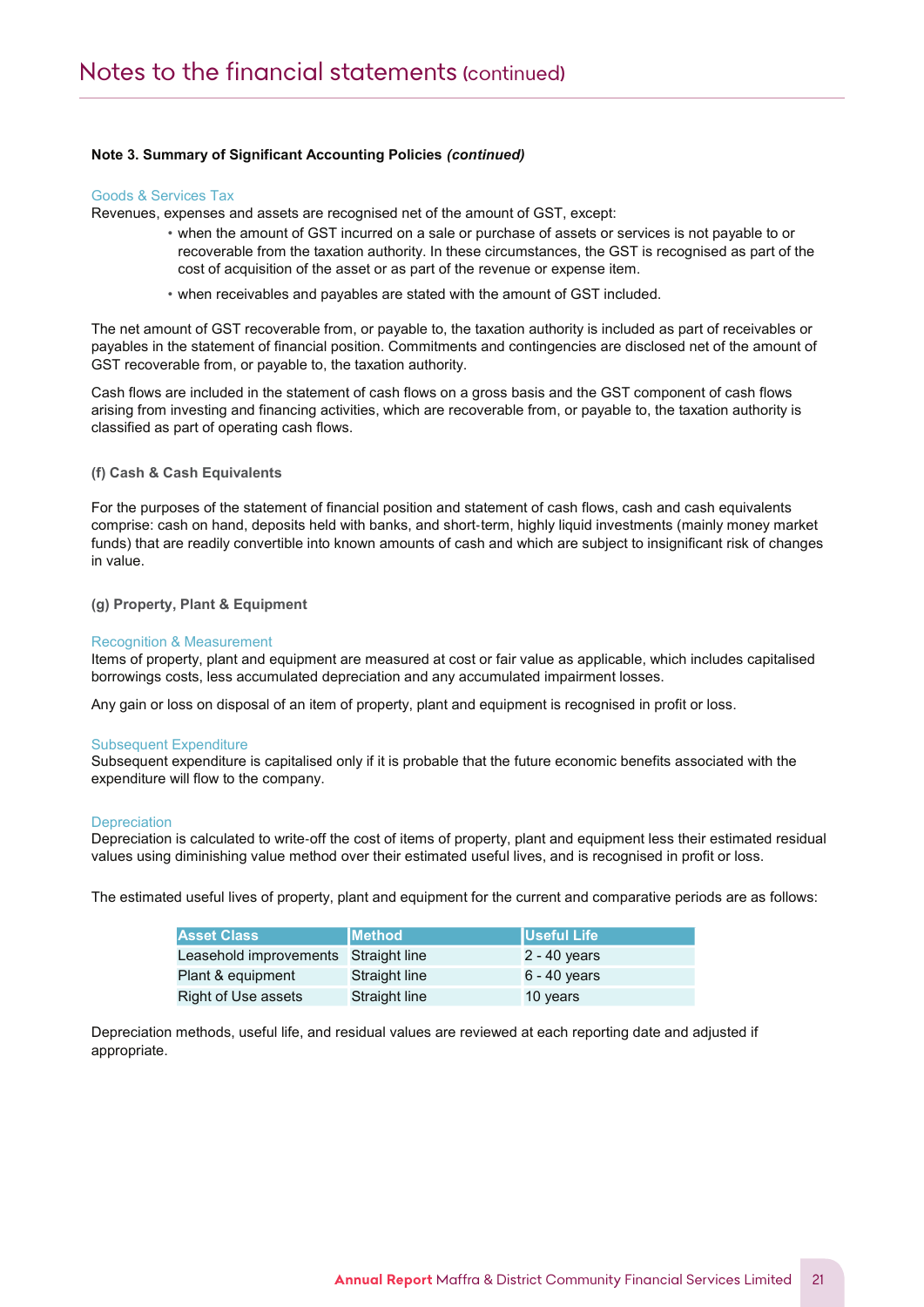#### Goods & Services Tax

Notes to the Financial Statements

Revenues, expenses and assets are recognised net of the amount of GST, except:

- when the amount of GST incurred on a sale or purchase of assets or services is not payable to or recoverable from the taxation authority. In these circumstances, the GST is recognised as part of the cost of acquisition of the asset or as part of the revenue or expense item.
- when receivables and payables are stated with the amount of GST included.

The net amount of GST recoverable from, or payable to, the taxation authority is included as part of receivables or payables in the statement of financial position. Commitments and contingencies are disclosed net of the amount of GST recoverable from, or payable to, the taxation authority.

Cash flows are included in the statement of cash flows on a gross basis and the GST component of cash flows arising from investing and financing activities, which are recoverable from, or payable to, the taxation authority is classified as part of operating cash flows.

#### (f) Cash & Cash Equivalents

For the purposes of the statement of financial position and statement of cash flows, cash and cash equivalents comprise: cash on hand, deposits held with banks, and short‐term, highly liquid investments (mainly money market funds) that are readily convertible into known amounts of cash and which are subject to insignificant risk of changes in value.

#### (g) Property, Plant & Equipment

#### Recognition & Measurement

Items of property, plant and equipment are measured at cost or fair value as applicable, which includes capitalised borrowings costs, less accumulated depreciation and any accumulated impairment losses.

Any gain or loss on disposal of an item of property, plant and equipment is recognised in profit or loss.

#### Subsequent Expenditure

Subsequent expenditure is capitalised only if it is probable that the future economic benefits associated with the expenditure will flow to the company.

#### **Depreciation**

Depreciation is calculated to write‐off the cost of items of property, plant and equipment less their estimated residual values using diminishing value method over their estimated useful lives, and is recognised in profit or loss.

The estimated useful lives of property, plant and equipment for the current and comparative periods are as follows:

| <b>Asset Class</b>                   | <b>IMethod</b>       | <b>IUseful Life</b> |
|--------------------------------------|----------------------|---------------------|
| Leasehold improvements Straight line |                      | $2 - 40$ years      |
| Plant & equipment                    | <b>Straight line</b> | $6 - 40$ years      |
| Right of Use assets                  | <b>Straight line</b> | 10 years            |

Depreciation methods, useful life, and residual values are reviewed at each reporting date and adjusted if appropriate.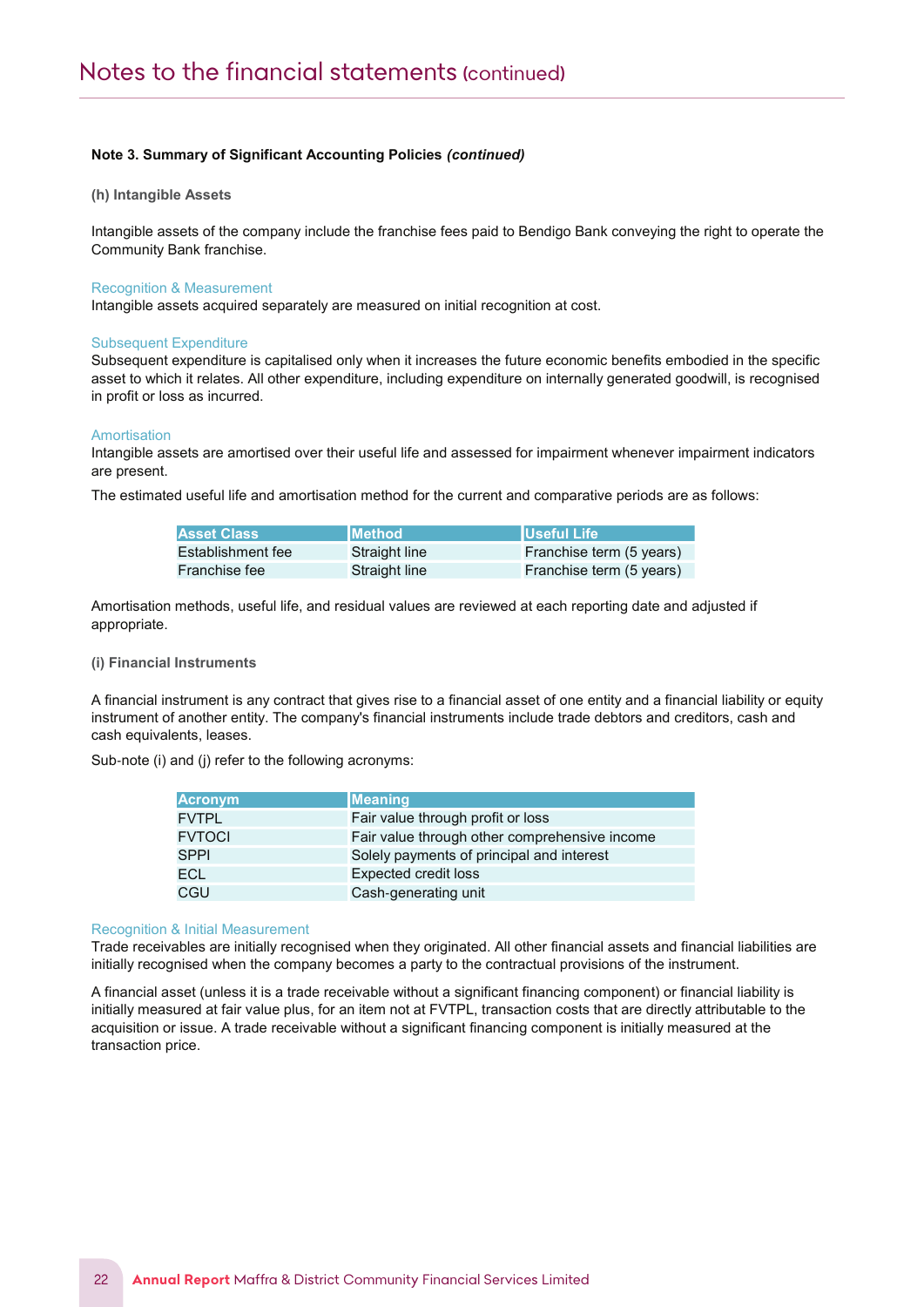#### (h) Intangible Assets

Intangible assets of the company include the franchise fees paid to Bendigo Bank conveying the right to operate the Community Bank franchise.

#### Recognition & Measurement

Notes to the Financial Statements

Intangible assets acquired separately are measured on initial recognition at cost.

#### Subsequent Expenditure

Subsequent expenditure is capitalised only when it increases the future economic benefits embodied in the specific asset to which it relates. All other expenditure, including expenditure on internally generated goodwill, is recognised in profit or loss as incurred.

#### **Amortisation**

Intangible assets are amortised over their useful life and assessed for impairment whenever impairment indicators are present.

The estimated useful life and amortisation method for the current and comparative periods are as follows:

| <b>Asset Class</b> | <b>IMethod</b> | <b>IUseful Life</b>      |
|--------------------|----------------|--------------------------|
| Establishment fee  | Straight line  | Franchise term (5 years) |
| Franchise fee      | Straight line  | Franchise term (5 years) |

Amortisation methods, useful life, and residual values are reviewed at each reporting date and adjusted if appropriate.

#### (i) Financial Instruments

A financial instrument is any contract that gives rise to a financial asset of one entity and a financial liability or equity instrument of another entity. The company's financial instruments include trade debtors and creditors, cash and cash equivalents, leases.

Sub-note (i) and (j) refer to the following acronyms:

| <b>Acronym</b> | <b>Meaning</b>                                |
|----------------|-----------------------------------------------|
| <b>FVTPL</b>   | Fair value through profit or loss             |
| <b>FVTOCI</b>  | Fair value through other comprehensive income |
| <b>SPPI</b>    | Solely payments of principal and interest     |
| <b>ECL</b>     | <b>Expected credit loss</b>                   |
| CGU            | Cash-generating unit                          |

#### Recognition & Initial Measurement

Trade receivables are initially recognised when they originated. All other financial assets and financial liabilities are initially recognised when the company becomes a party to the contractual provisions of the instrument.

A financial asset (unless it is a trade receivable without a significant financing component) or financial liability is initially measured at fair value plus, for an item not at FVTPL, transaction costs that are directly attributable to the acquisition or issue. A trade receivable without a significant financing component is initially measured at the transaction price.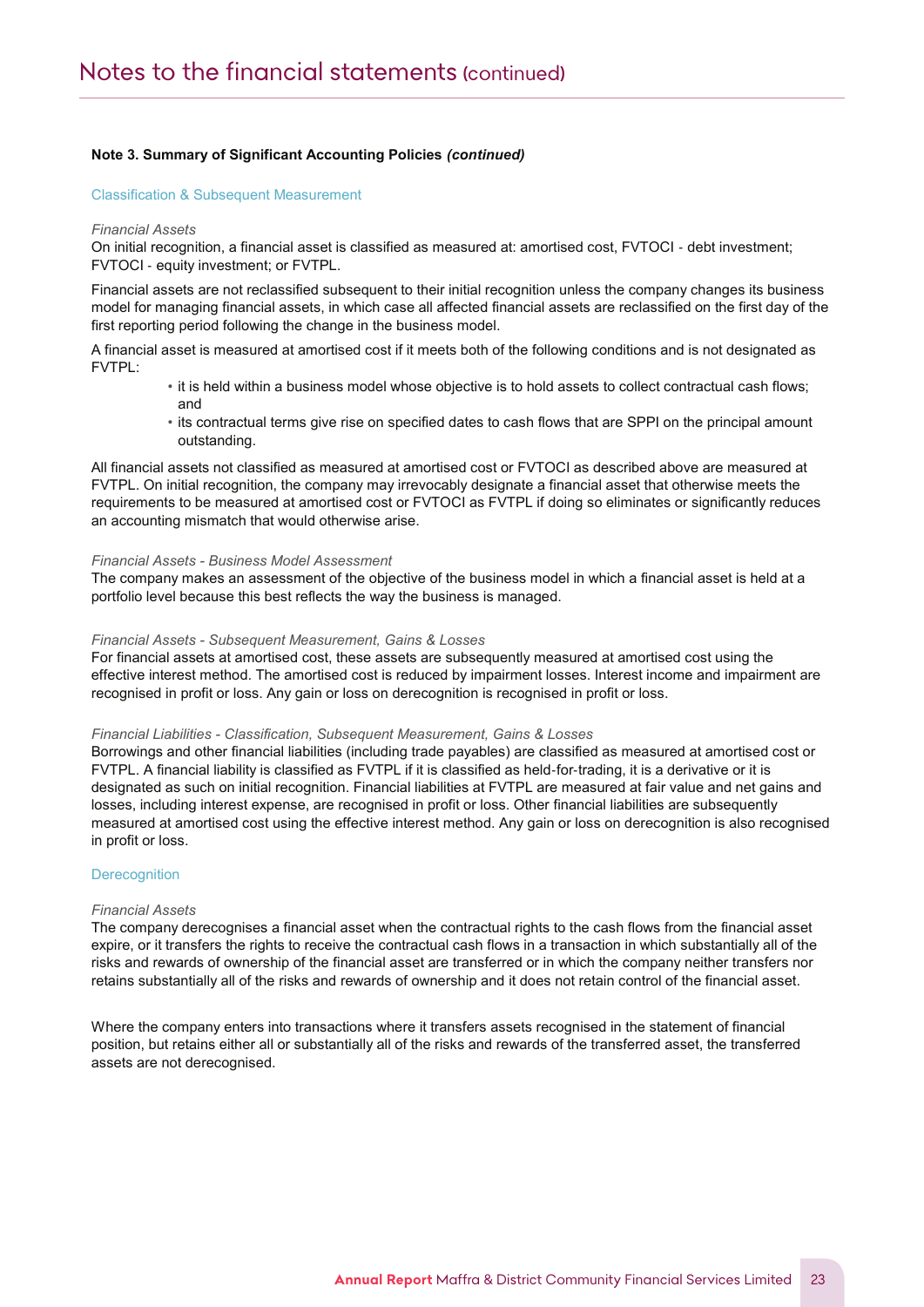#### Classification & Subsequent Measurement

Notes to the Financial Statements

#### Financial Assets

On initial recognition, a financial asset is classified as measured at: amortised cost, FVTOCI ‐ debt investment; FVTOCI ‐ equity investment; or FVTPL.

Financial assets are not reclassified subsequent to their initial recognition unless the company changes its business model for managing financial assets, in which case all affected financial assets are reclassified on the first day of the first reporting period following the change in the business model.

A financial asset is measured at amortised cost if it meets both of the following conditions and is not designated as FVTPL:

- it is held within a business model whose objective is to hold assets to collect contractual cash flows; and
- its contractual terms give rise on specified dates to cash flows that are SPPI on the principal amount outstanding.

All financial assets not classified as measured at amortised cost or FVTOCI as described above are measured at FVTPL. On initial recognition, the company may irrevocably designate a financial asset that otherwise meets the requirements to be measured at amortised cost or FVTOCI as FVTPL if doing so eliminates or significantly reduces an accounting mismatch that would otherwise arise.

#### Financial Assets - Business Model Assessment

The company makes an assessment of the objective of the business model in which a financial asset is held at a portfolio level because this best reflects the way the business is managed.

#### Financial Assets - Subsequent Measurement, Gains & Losses

For financial assets at amortised cost, these assets are subsequently measured at amortised cost using the effective interest method. The amortised cost is reduced by impairment losses. Interest income and impairment are recognised in profit or loss. Any gain or loss on derecognition is recognised in profit or loss.

#### Financial Liabilities - Classification, Subsequent Measurement, Gains & Losses

Borrowings and other financial liabilities (including trade payables) are classified as measured at amortised cost or FVTPL. A financial liability is classified as FVTPL if it is classified as held-for-trading, it is a derivative or it is designated as such on initial recognition. Financial liabilities at FVTPL are measured at fair value and net gains and losses, including interest expense, are recognised in profit or loss. Other financial liabilities are subsequently measured at amortised cost using the effective interest method. Any gain or loss on derecognition is also recognised in profit or loss.

# **Derecognition**

#### Financial Assets

The company derecognises a financial asset when the contractual rights to the cash flows from the financial asset expire, or it transfers the rights to receive the contractual cash flows in a transaction in which substantially all of the risks and rewards of ownership of the financial asset are transferred or in which the company neither transfers nor retains substantially all of the risks and rewards of ownership and it does not retain control of the financial asset.

Where the company enters into transactions where it transfers assets recognised in the statement of financial position, but retains either all or substantially all of the risks and rewards of the transferred asset, the transferred assets are not derecognised.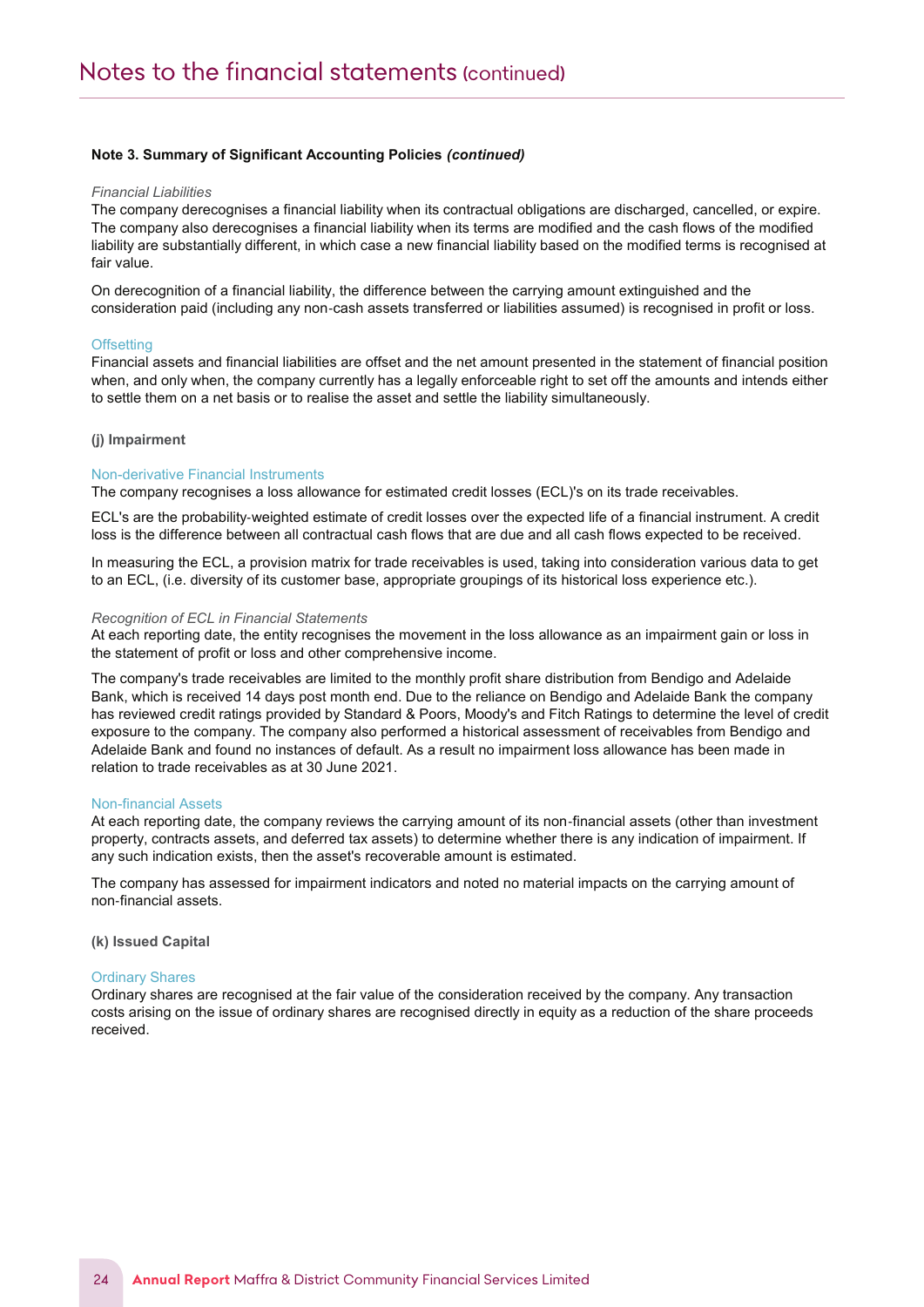#### Financial Liabilities

Notes to the Financial Statements

The company derecognises a financial liability when its contractual obligations are discharged, cancelled, or expire. The company also derecognises a financial liability when its terms are modified and the cash flows of the modified liability are substantially different, in which case a new financial liability based on the modified terms is recognised at fair value.

On derecognition of a financial liability, the difference between the carrying amount extinguished and the consideration paid (including any non‐cash assets transferred or liabilities assumed) is recognised in profit or loss.

#### **Offsetting**

Financial assets and financial liabilities are offset and the net amount presented in the statement of financial position when, and only when, the company currently has a legally enforceable right to set off the amounts and intends either to settle them on a net basis or to realise the asset and settle the liability simultaneously.

#### (j) Impairment

#### Non-derivative Financial Instruments

The company recognises a loss allowance for estimated credit losses (ECL)'s on its trade receivables.

ECL's are the probability‐weighted estimate of credit losses over the expected life of a financial instrument. A credit loss is the difference between all contractual cash flows that are due and all cash flows expected to be received.

In measuring the ECL, a provision matrix for trade receivables is used, taking into consideration various data to get to an ECL, (i.e. diversity of its customer base, appropriate groupings of its historical loss experience etc.).

#### Recognition of ECL in Financial Statements

At each reporting date, the entity recognises the movement in the loss allowance as an impairment gain or loss in the statement of profit or loss and other comprehensive income.

The company's trade receivables are limited to the monthly profit share distribution from Bendigo and Adelaide Bank, which is received 14 days post month end. Due to the reliance on Bendigo and Adelaide Bank the company has reviewed credit ratings provided by Standard & Poors, Moody's and Fitch Ratings to determine the level of credit exposure to the company. The company also performed a historical assessment of receivables from Bendigo and Adelaide Bank and found no instances of default. As a result no impairment loss allowance has been made in relation to trade receivables as at 30 June 2021.

#### Non-financial Assets

At each reporting date, the company reviews the carrying amount of its non-financial assets (other than investment property, contracts assets, and deferred tax assets) to determine whether there is any indication of impairment. If any such indication exists, then the asset's recoverable amount is estimated.

The company has assessed for impairment indicators and noted no material impacts on the carrying amount of non‐financial assets.

(k) Issued Capital

#### Ordinary Shares

Ordinary shares are recognised at the fair value of the consideration received by the company. Any transaction costs arising on the issue of ordinary shares are recognised directly in equity as a reduction of the share proceeds received.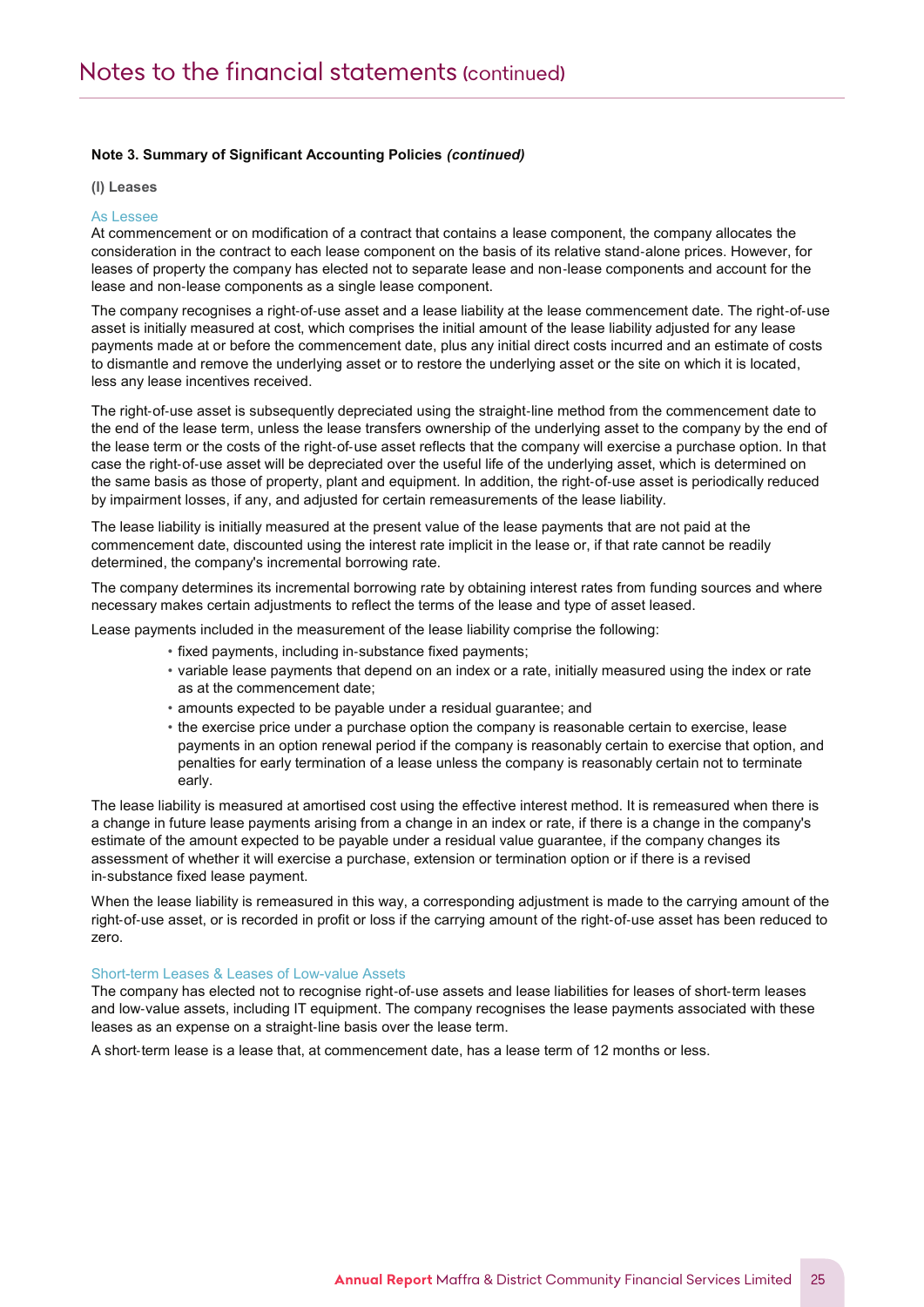(l) Leases

Notes to the Financial Statements

#### As Lessee

At commencement or on modification of a contract that contains a lease component, the company allocates the consideration in the contract to each lease component on the basis of its relative stand‐alone prices. However, for leases of property the company has elected not to separate lease and non‐lease components and account for the lease and non‐lease components as a single lease component.

The company recognises a right‐of‐use asset and a lease liability at the lease commencement date. The right‐of‐use asset is initially measured at cost, which comprises the initial amount of the lease liability adjusted for any lease payments made at or before the commencement date, plus any initial direct costs incurred and an estimate of costs to dismantle and remove the underlying asset or to restore the underlying asset or the site on which it is located, less any lease incentives received.

The right‐of‐use asset is subsequently depreciated using the straight‐line method from the commencement date to the end of the lease term, unless the lease transfers ownership of the underlying asset to the company by the end of the lease term or the costs of the right‐of‐use asset reflects that the company will exercise a purchase option. In that case the right‐of‐use asset will be depreciated over the useful life of the underlying asset, which is determined on the same basis as those of property, plant and equipment. In addition, the right‐of‐use asset is periodically reduced by impairment losses, if any, and adjusted for certain remeasurements of the lease liability.

The lease liability is initially measured at the present value of the lease payments that are not paid at the commencement date, discounted using the interest rate implicit in the lease or, if that rate cannot be readily determined, the company's incremental borrowing rate.

The company determines its incremental borrowing rate by obtaining interest rates from funding sources and where necessary makes certain adjustments to reflect the terms of the lease and type of asset leased.

Lease payments included in the measurement of the lease liability comprise the following:

- fixed payments, including in‐substance fixed payments;
- variable lease payments that depend on an index or a rate, initially measured using the index or rate as at the commencement date;
- amounts expected to be payable under a residual guarantee; and
- the exercise price under a purchase option the company is reasonable certain to exercise, lease payments in an option renewal period if the company is reasonably certain to exercise that option, and penalties for early termination of a lease unless the company is reasonably certain not to terminate early.

The lease liability is measured at amortised cost using the effective interest method. It is remeasured when there is a change in future lease payments arising from a change in an index or rate, if there is a change in the company's estimate of the amount expected to be payable under a residual value guarantee, if the company changes its assessment of whether it will exercise a purchase, extension or termination option or if there is a revised in‐substance fixed lease payment.

When the lease liability is remeasured in this way, a corresponding adjustment is made to the carrying amount of the right‐of‐use asset, or is recorded in profit or loss if the carrying amount of the right‐of‐use asset has been reduced to zero.

#### Short-term Leases & Leases of Low-value Assets

The company has elected not to recognise right‐of‐use assets and lease liabilities for leases of short‐term leases and low-value assets, including IT equipment. The company recognises the lease payments associated with these leases as an expense on a straight‐line basis over the lease term.

A short-term lease is a lease that, at commencement date, has a lease term of 12 months or less.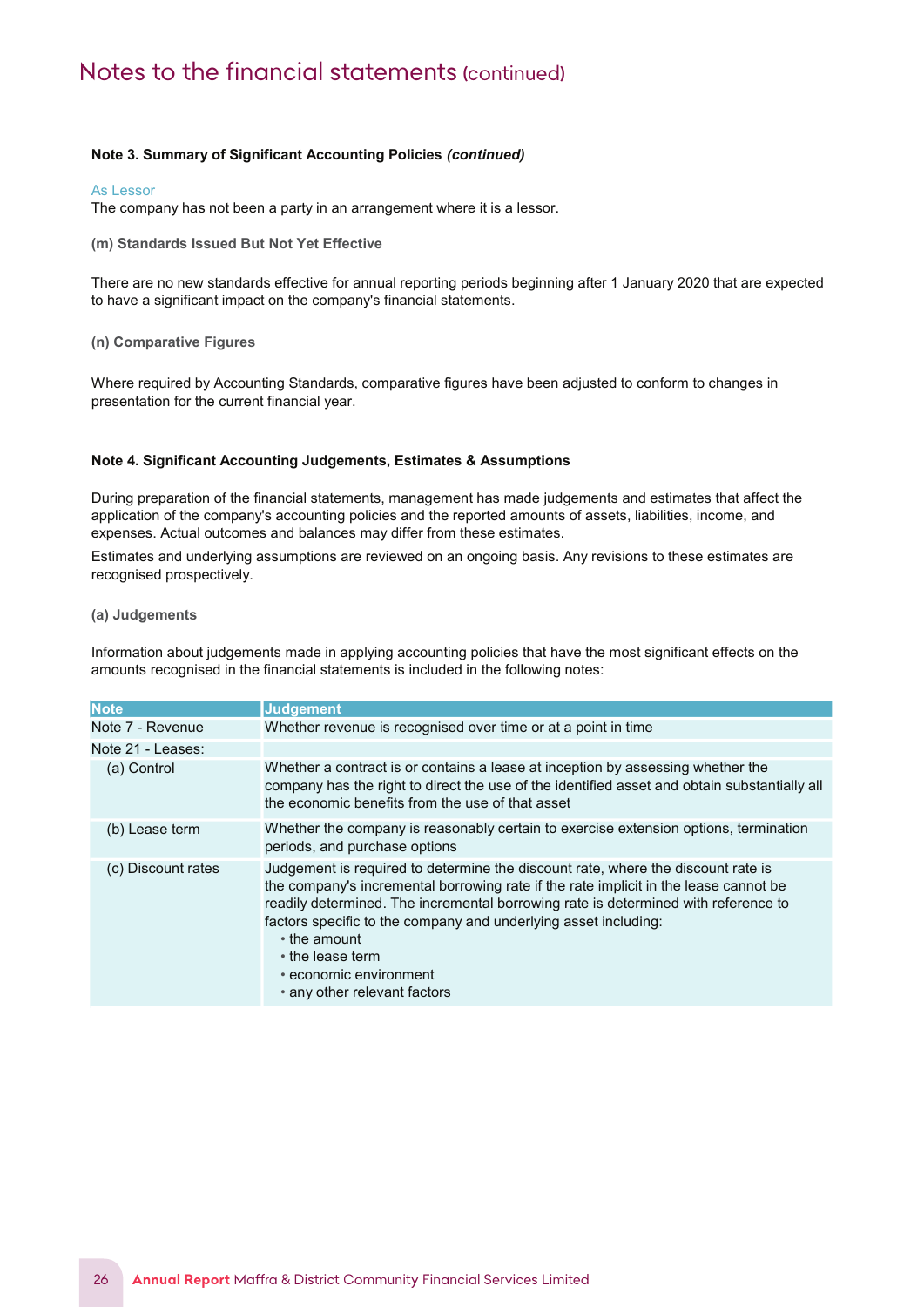#### As Lessor

The company has not been a party in an arrangement where it is a lessor.

(m) Standards Issued But Not Yet Effective

There are no new standards effective for annual reporting periods beginning after 1 January 2020 that are expected to have a significant impact on the company's financial statements.

#### (n) Comparative Figures

Notes to the Financial Statements

Where required by Accounting Standards, comparative figures have been adjusted to conform to changes in presentation for the current financial year.

#### Note 4. Significant Accounting Judgements, Estimates & Assumptions

During preparation of the financial statements, management has made judgements and estimates that affect the application of the company's accounting policies and the reported amounts of assets, liabilities, income, and expenses. Actual outcomes and balances may differ from these estimates.

Estimates and underlying assumptions are reviewed on an ongoing basis. Any revisions to these estimates are recognised prospectively.

#### (a) Judgements

Information about judgements made in applying accounting policies that have the most significant effects on the amounts recognised in the financial statements is included in the following notes:

| <b>Note</b>        | <b>Judgement</b>                                                                                                                                                                                                                                                                                                                                                                                                                |
|--------------------|---------------------------------------------------------------------------------------------------------------------------------------------------------------------------------------------------------------------------------------------------------------------------------------------------------------------------------------------------------------------------------------------------------------------------------|
| Note 7 - Revenue   | Whether revenue is recognised over time or at a point in time                                                                                                                                                                                                                                                                                                                                                                   |
| Note 21 - Leases:  |                                                                                                                                                                                                                                                                                                                                                                                                                                 |
| (a) Control        | Whether a contract is or contains a lease at inception by assessing whether the<br>company has the right to direct the use of the identified asset and obtain substantially all<br>the economic benefits from the use of that asset                                                                                                                                                                                             |
| (b) Lease term     | Whether the company is reasonably certain to exercise extension options, termination<br>periods, and purchase options                                                                                                                                                                                                                                                                                                           |
| (c) Discount rates | Judgement is required to determine the discount rate, where the discount rate is<br>the company's incremental borrowing rate if the rate implicit in the lease cannot be<br>readily determined. The incremental borrowing rate is determined with reference to<br>factors specific to the company and underlying asset including:<br>• the amount<br>• the lease term<br>• economic environment<br>• any other relevant factors |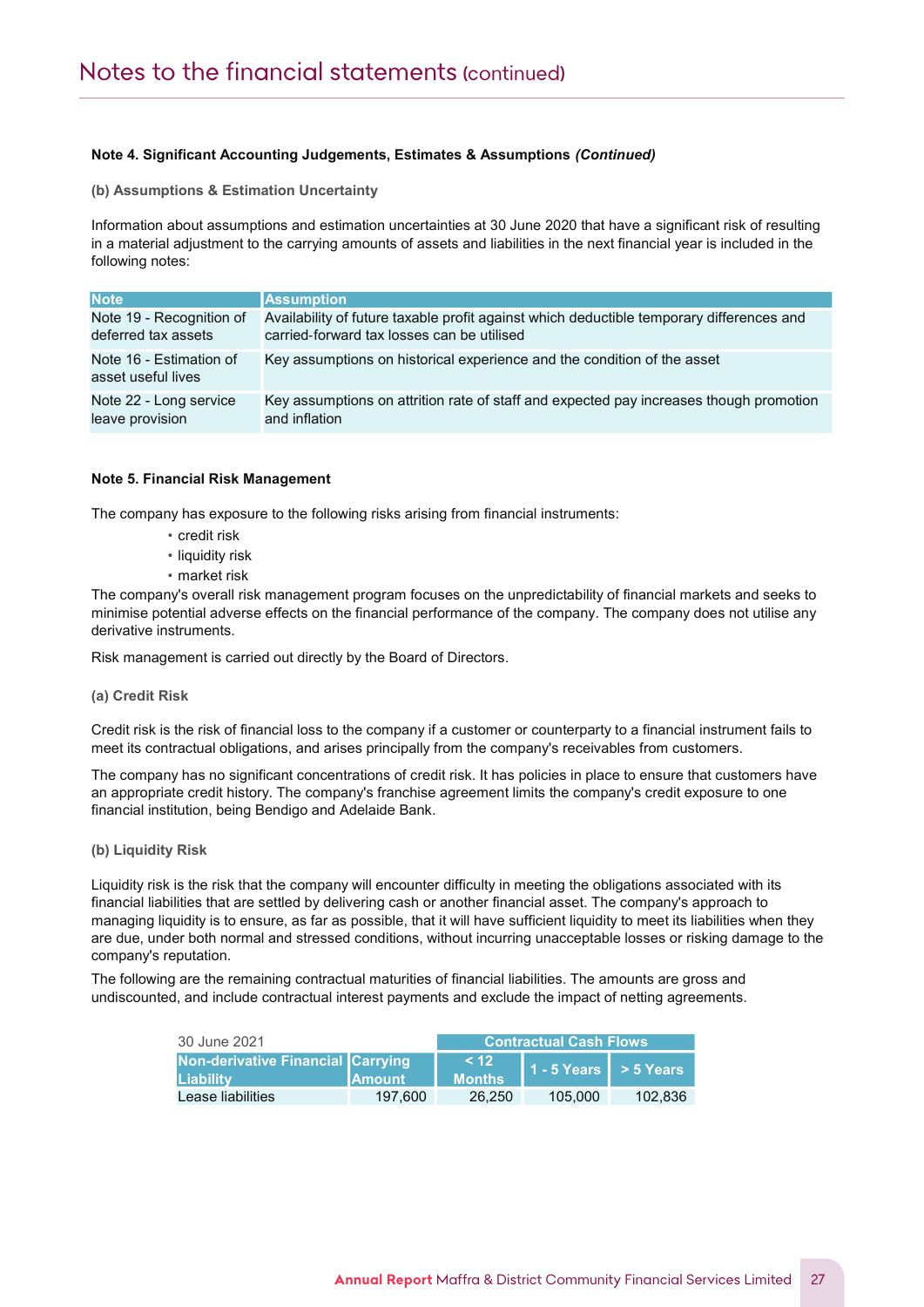# Note 4. Significant Accounting Judgements, Estimates & Assumptions (Continued)

(b) Assumptions & Estimation Uncertainty

Notes to the Financial Statements

Information about assumptions and estimation uncertainties at 30 June 2020 that have a significant risk of resulting in a material adjustment to the carrying amounts of assets and liabilities in the next financial year is included in the following notes:

| <b>Note</b>                                   | <b>Assumption</b>                                                                        |
|-----------------------------------------------|------------------------------------------------------------------------------------------|
| Note 19 - Recognition of                      | Availability of future taxable profit against which deductible temporary differences and |
| deferred tax assets                           | carried-forward tax losses can be utilised                                               |
| Note 16 - Estimation of<br>asset useful lives | Key assumptions on historical experience and the condition of the asset                  |
| Note 22 - Long service                        | Key assumptions on attrition rate of staff and expected pay increases though promotion   |
| leave provision                               | and inflation                                                                            |

# Note 5. Financial Risk Management

The company has exposure to the following risks arising from financial instruments:

- credit risk
- liquidity risk
- market risk

The company's overall risk management program focuses on the unpredictability of financial markets and seeks to minimise potential adverse effects on the financial performance of the company. The company does not utilise any derivative instruments.

Risk management is carried out directly by the Board of Directors.

#### (a) Credit Risk

Credit risk is the risk of financial loss to the company if a customer or counterparty to a financial instrument fails to meet its contractual obligations, and arises principally from the company's receivables from customers.

The company has no significant concentrations of credit risk. It has policies in place to ensure that customers have an appropriate credit history. The company's franchise agreement limits the company's credit exposure to one financial institution, being Bendigo and Adelaide Bank.

#### (b) Liquidity Risk

Liquidity risk is the risk that the company will encounter difficulty in meeting the obligations associated with its financial liabilities that are settled by delivering cash or another financial asset. The company's approach to managing liquidity is to ensure, as far as possible, that it will have sufficient liquidity to meet its liabilities when they are due, under both normal and stressed conditions, without incurring unacceptable losses or risking damage to the company's reputation.

The following are the remaining contractual maturities of financial liabilities. The amounts are gross and undiscounted, and include contractual interest payments and exclude the impact of netting agreements.

| 30 June 2021                                   |                | <b>Contractual Cash Flows</b>     |                           |         |
|------------------------------------------------|----------------|-----------------------------------|---------------------------|---------|
| Non-derivative Financial Carrying<br>Liability | <b>IAmount</b> | <b>7&lt; 122</b><br><b>Months</b> | $1 - 5$ Years $> 5$ Years |         |
| Lease liabilities                              | 197.600        | 26.250                            | 105.000                   | 102.836 |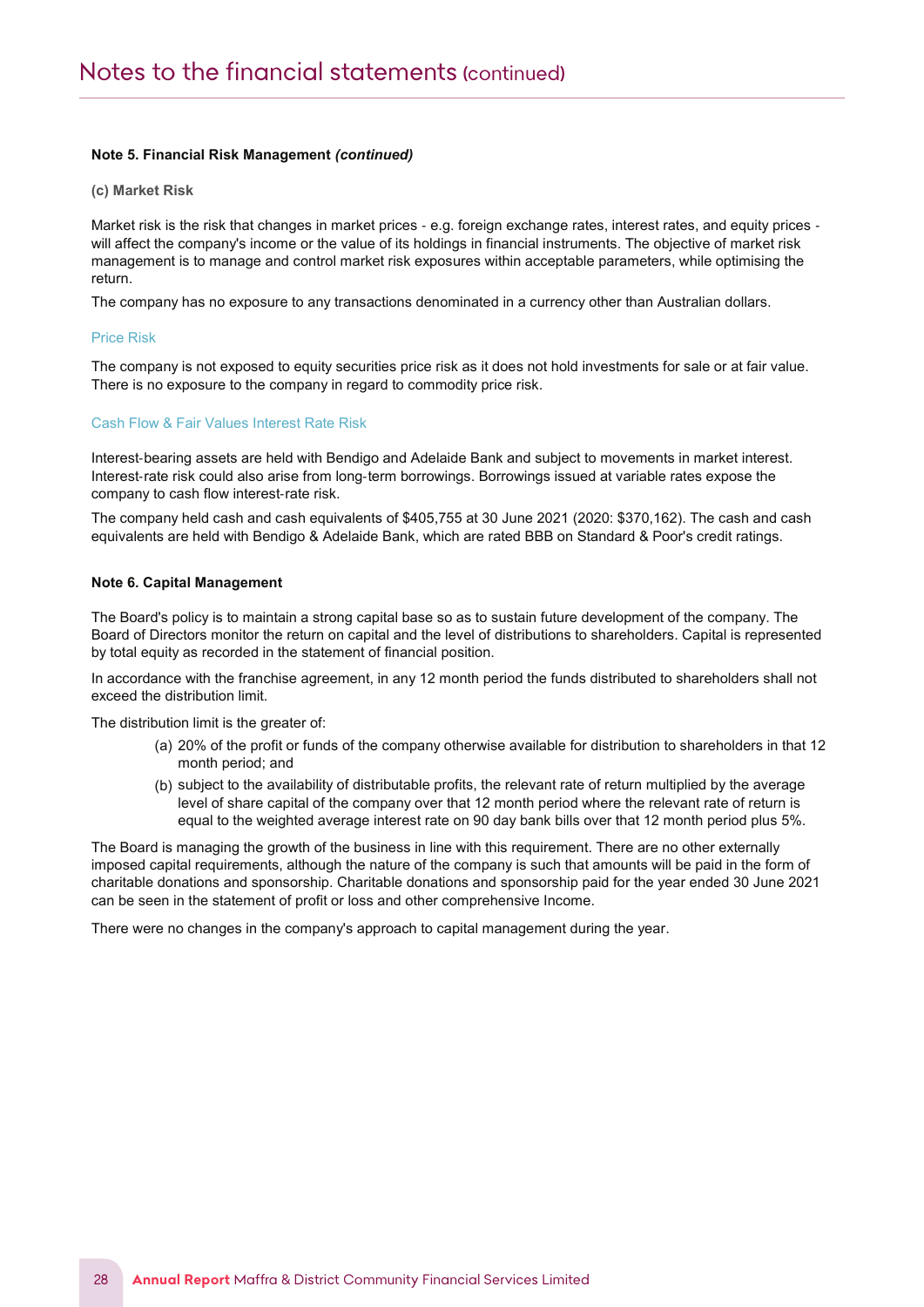# Note 5. Financial Risk Management (continued)

(c) Market Risk

Notes to the Financial Statements

Market risk is the risk that changes in market prices - e.g. foreign exchange rates, interest rates, and equity prices will affect the company's income or the value of its holdings in financial instruments. The objective of market risk management is to manage and control market risk exposures within acceptable parameters, while optimising the return.

The company has no exposure to any transactions denominated in a currency other than Australian dollars.

#### Price Risk

The company is not exposed to equity securities price risk as it does not hold investments for sale or at fair value. There is no exposure to the company in regard to commodity price risk.

#### Cash Flow & Fair Values Interest Rate Risk

Interest-bearing assets are held with Bendigo and Adelaide Bank and subject to movements in market interest. Interest-rate risk could also arise from long-term borrowings. Borrowings issued at variable rates expose the company to cash flow interest‐rate risk.

The company held cash and cash equivalents of \$405,755 at 30 June 2021 (2020: \$370,162). The cash and cash equivalents are held with Bendigo & Adelaide Bank, which are rated BBB on Standard & Poor's credit ratings.

#### Note 6. Capital Management

The Board's policy is to maintain a strong capital base so as to sustain future development of the company. The Board of Directors monitor the return on capital and the level of distributions to shareholders. Capital is represented by total equity as recorded in the statement of financial position.

In accordance with the franchise agreement, in any 12 month period the funds distributed to shareholders shall not exceed the distribution limit.

The distribution limit is the greater of:

- (a) 20% of the profit or funds of the company otherwise available for distribution to shareholders in that 12 month period; and
- (b) subject to the availability of distributable profits, the relevant rate of return multiplied by the average level of share capital of the company over that 12 month period where the relevant rate of return is equal to the weighted average interest rate on 90 day bank bills over that 12 month period plus 5%.

The Board is managing the growth of the business in line with this requirement. There are no other externally imposed capital requirements, although the nature of the company is such that amounts will be paid in the form of charitable donations and sponsorship. Charitable donations and sponsorship paid for the year ended 30 June 2021 can be seen in the statement of profit or loss and other comprehensive Income.

There were no changes in the company's approach to capital management during the year.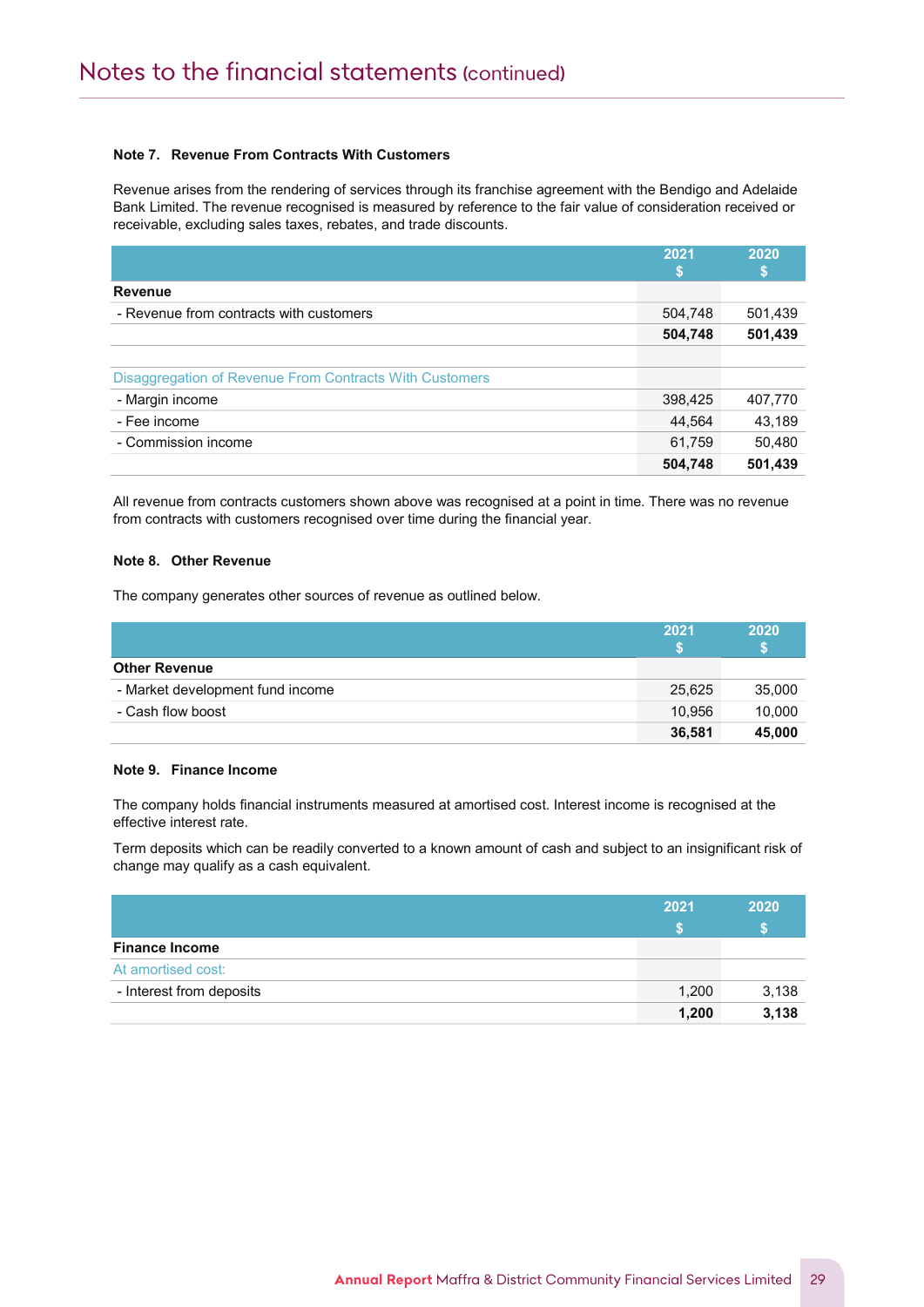# Note 7. Revenue From Contracts With Customers

Revenue arises from the rendering of services through its franchise agreement with the Bendigo and Adelaide Bank Limited. The revenue recognised is measured by reference to the fair value of consideration received or receivable, excluding sales taxes, rebates, and trade discounts.

|                                                         | 2021    | 2020    |
|---------------------------------------------------------|---------|---------|
|                                                         |         | S       |
| <b>Revenue</b>                                          |         |         |
| - Revenue from contracts with customers                 | 504,748 | 501,439 |
|                                                         | 504,748 | 501,439 |
|                                                         |         |         |
| Disaggregation of Revenue From Contracts With Customers |         |         |
| - Margin income                                         | 398,425 | 407,770 |
| - Fee income                                            | 44,564  | 43,189  |
| - Commission income                                     | 61,759  | 50,480  |
|                                                         | 504,748 | 501,439 |

All revenue from contracts customers shown above was recognised at a point in time. There was no revenue from contracts with customers recognised over time during the financial year.

#### Note 8. Other Revenue

Notes to the Financial Statements and the Financial Statements and the Financial Statements and the Financial S

The company generates other sources of revenue as outlined below.

|                                  | 2021   | 2020   |
|----------------------------------|--------|--------|
| <b>Other Revenue</b>             |        |        |
| - Market development fund income | 25,625 | 35,000 |
| - Cash flow boost                | 10,956 | 10,000 |
|                                  | 36,581 | 45,000 |

#### Note 9. Finance Income

The company holds financial instruments measured at amortised cost. Interest income is recognised at the effective interest rate.

Term deposits which can be readily converted to a known amount of cash and subject to an insignificant risk of change may qualify as a cash equivalent.

|                          | 2021  | 2020  |
|--------------------------|-------|-------|
|                          |       |       |
| <b>Finance Income</b>    |       |       |
| At amortised cost:       |       |       |
| - Interest from deposits | 1,200 | 3,138 |
|                          | 1,200 | 3,138 |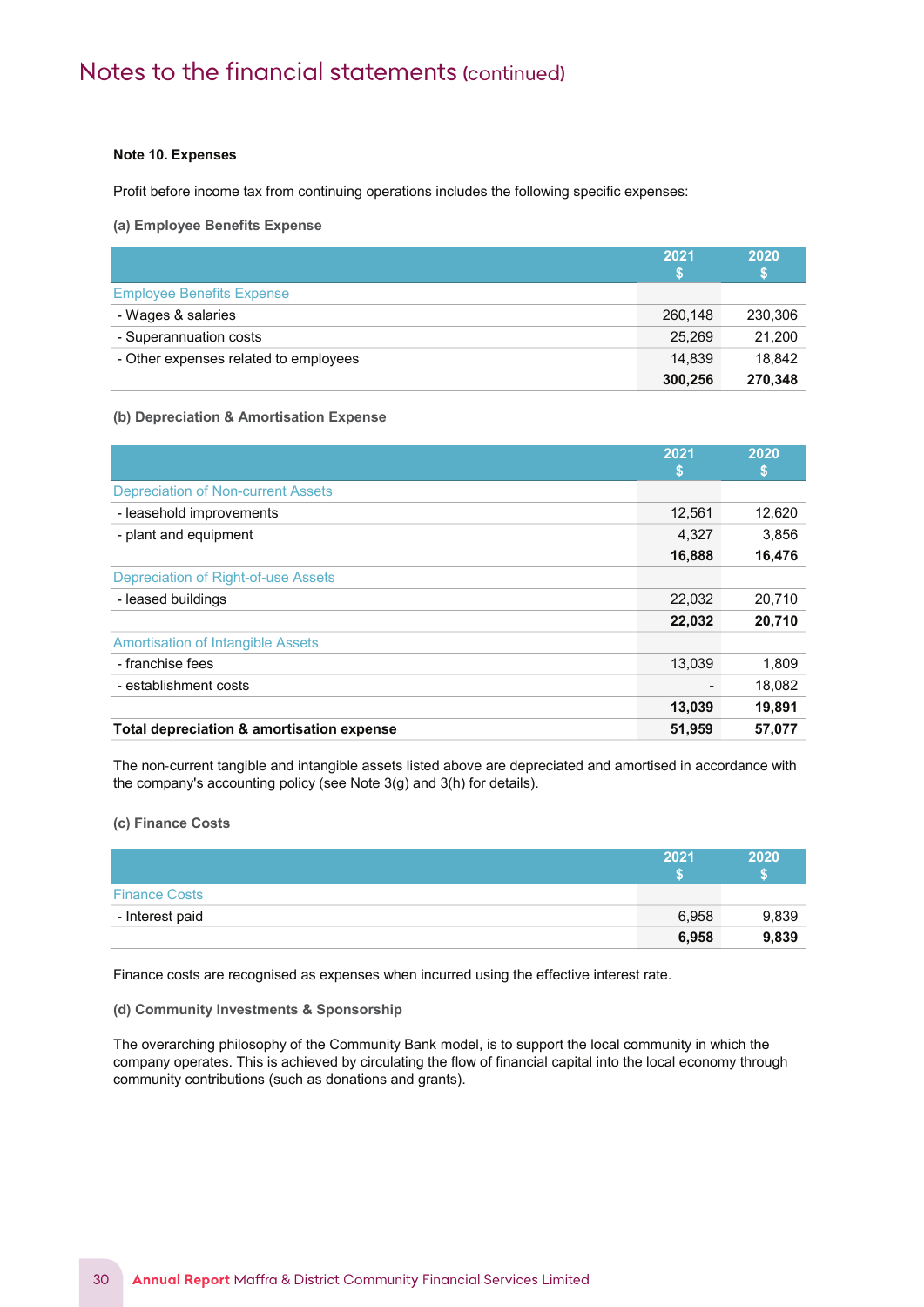#### Note 10. Expenses

Notes to the Financial Statements and the Financial Statements and the Financial Statements and the Financial S

Profit before income tax from continuing operations includes the following specific expenses:

(a) Employee Benefits Expense

|                                       | 2021    | 2020    |
|---------------------------------------|---------|---------|
| <b>Employee Benefits Expense</b>      |         |         |
| - Wages & salaries                    | 260.148 | 230,306 |
| - Superannuation costs                | 25,269  | 21,200  |
| - Other expenses related to employees | 14.839  | 18.842  |
|                                       | 300,256 | 270,348 |

#### (b) Depreciation & Amortisation Expense

|                                           | 2021<br>S | 2020<br>S |
|-------------------------------------------|-----------|-----------|
| <b>Depreciation of Non-current Assets</b> |           |           |
| - leasehold improvements                  | 12.561    | 12,620    |
| - plant and equipment                     | 4,327     | 3,856     |
|                                           | 16,888    | 16,476    |
| Depreciation of Right-of-use Assets       |           |           |
| - leased buildings                        | 22,032    | 20,710    |
|                                           | 22,032    | 20,710    |
| <b>Amortisation of Intangible Assets</b>  |           |           |
| - franchise fees                          | 13,039    | 1,809     |
| - establishment costs                     |           | 18,082    |
|                                           | 13,039    | 19,891    |
| Total depreciation & amortisation expense | 51,959    | 57,077    |

The non‐current tangible and intangible assets listed above are depreciated and amortised in accordance with the company's accounting policy (see Note 3(g) and 3(h) for details).

## (c) Finance Costs

|                      | 2021  | 2020  |
|----------------------|-------|-------|
| <b>Finance Costs</b> |       |       |
| - Interest paid      | 6,958 | 9,839 |
|                      | 6,958 | 9,839 |

Finance costs are recognised as expenses when incurred using the effective interest rate.

# (d) Community Investments & Sponsorship

The overarching philosophy of the Community Bank model, is to support the local community in which the company operates. This is achieved by circulating the flow of financial capital into the local economy through community contributions (such as donations and grants).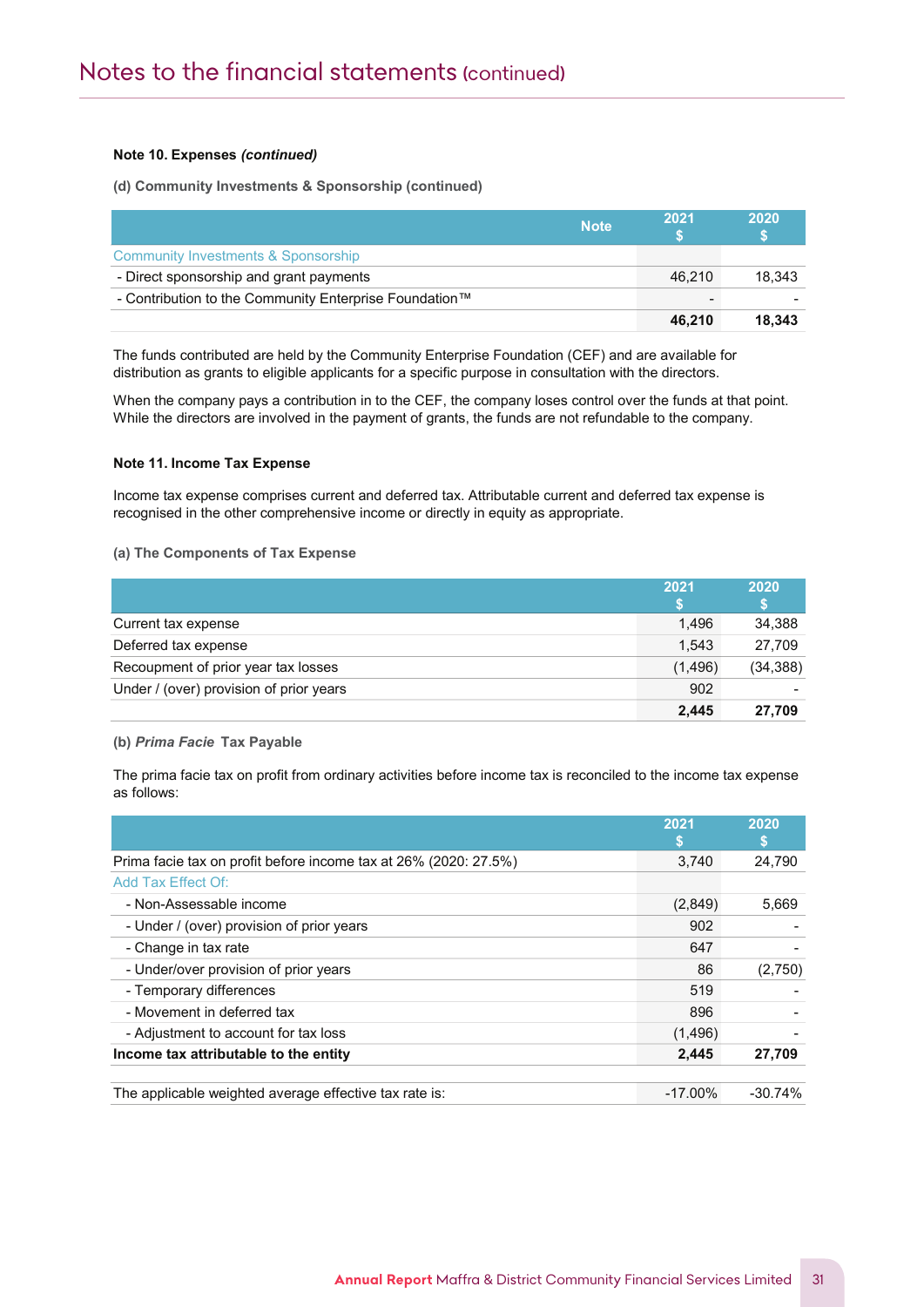# Note 10. Expenses (continued)

Notes to the Financial Statements and the Financial Statements and the Financial Statements and the Financial S

(d) Community Investments & Sponsorship (continued)

|                                                        | <b>Note</b> | 2021   | 2020   |
|--------------------------------------------------------|-------------|--------|--------|
| Community Investments & Sponsorship                    |             |        |        |
| - Direct sponsorship and grant payments                |             | 46.210 | 18.343 |
| - Contribution to the Community Enterprise Foundation™ |             |        |        |
|                                                        |             | 46.210 | 18.343 |

The funds contributed are held by the Community Enterprise Foundation (CEF) and are available for distribution as grants to eligible applicants for a specific purpose in consultation with the directors.

When the company pays a contribution in to the CEF, the company loses control over the funds at that point. While the directors are involved in the payment of grants, the funds are not refundable to the company.

### Note 11. Income Tax Expense

Income tax expense comprises current and deferred tax. Attributable current and deferred tax expense is recognised in the other comprehensive income or directly in equity as appropriate.

#### (a) The Components of Tax Expense

|                                         | 2021    | 2020      |
|-----------------------------------------|---------|-----------|
| Current tax expense                     | 1.496   | 34,388    |
| Deferred tax expense                    | 1.543   | 27.709    |
| Recoupment of prior year tax losses     | (1,496) | (34, 388) |
| Under / (over) provision of prior years | 902     |           |
|                                         | 2,445   | 27.709    |

#### (b) Prima Facie Tax Payable

The prima facie tax on profit from ordinary activities before income tax is reconciled to the income tax expense as follows:

|                                                                  | 2021       | 2020      |
|------------------------------------------------------------------|------------|-----------|
| Prima facie tax on profit before income tax at 26% (2020: 27.5%) | 3,740      | 24,790    |
| Add Tax Effect Of:                                               |            |           |
| - Non-Assessable income                                          | (2,849)    | 5,669     |
| - Under / (over) provision of prior years                        | 902        |           |
| - Change in tax rate                                             | 647        |           |
| - Under/over provision of prior years                            | 86         | (2,750)   |
| - Temporary differences                                          | 519        |           |
| - Movement in deferred tax                                       | 896        |           |
| - Adjustment to account for tax loss                             | (1,496)    |           |
| Income tax attributable to the entity                            | 2,445      | 27,709    |
|                                                                  |            |           |
| The applicable weighted average effective tax rate is:           | $-17.00\%$ | $-30.74%$ |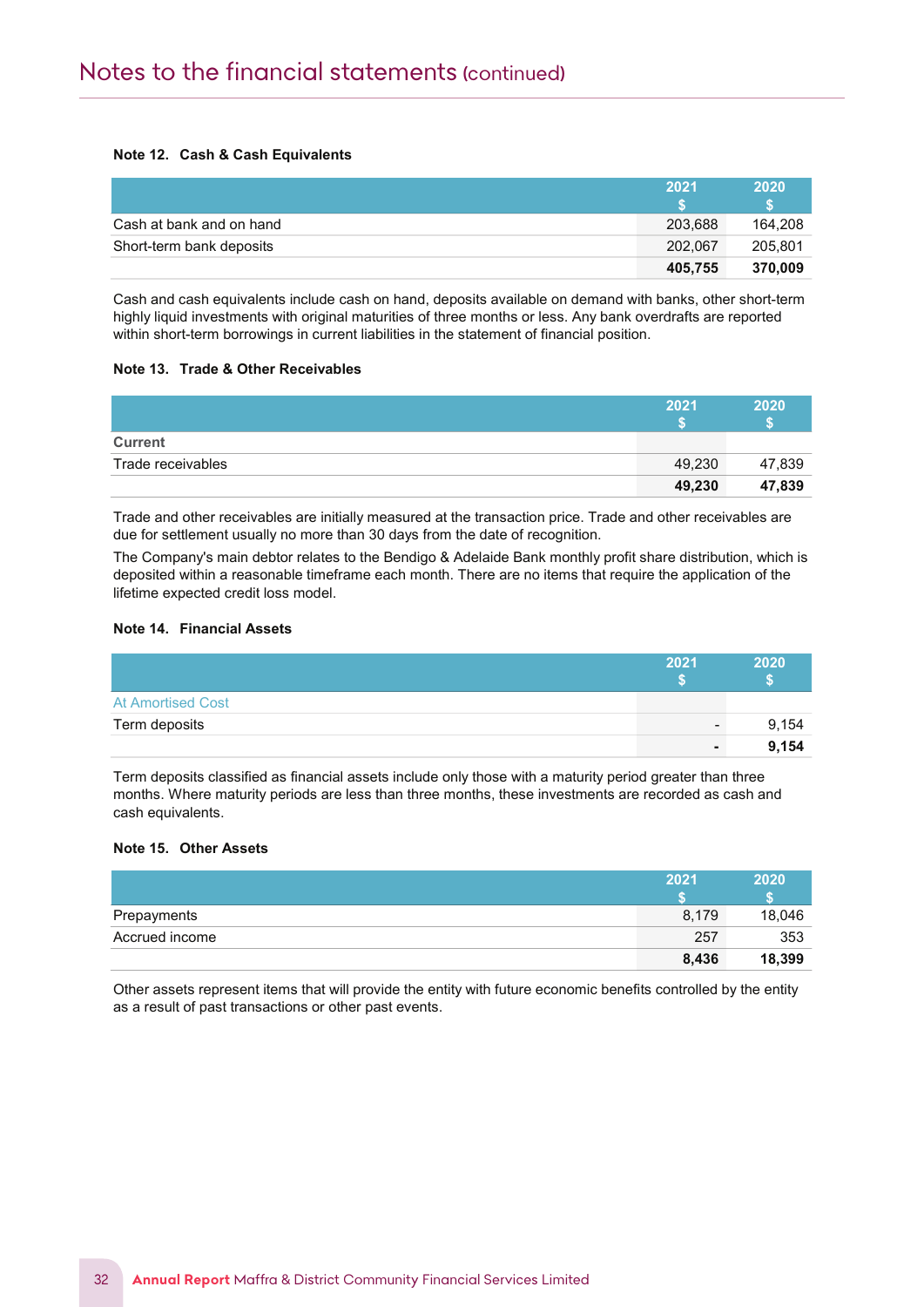# Note 12. Cash & Cash Equivalents

Notes to the Financial Statements

|                          | 2021    | 2020    |
|--------------------------|---------|---------|
|                          |         |         |
| Cash at bank and on hand | 203.688 | 164.208 |
| Short-term bank deposits | 202.067 | 205.801 |
|                          | 405.755 | 370.009 |

Cash and cash equivalents include cash on hand, deposits available on demand with banks, other short-term highly liquid investments with original maturities of three months or less. Any bank overdrafts are reported within short-term borrowings in current liabilities in the statement of financial position.

# Note 13. Trade & Other Receivables

|                   | 2021   | 2020   |
|-------------------|--------|--------|
|                   |        |        |
| <b>Current</b>    |        |        |
| Trade receivables | 49,230 | 47,839 |
|                   | 49,230 | 47,839 |

Trade and other receivables are initially measured at the transaction price. Trade and other receivables are due for settlement usually no more than 30 days from the date of recognition.

The Company's main debtor relates to the Bendigo & Adelaide Bank monthly profit share distribution, which is deposited within a reasonable timeframe each month. There are no items that require the application of the lifetime expected credit loss model.

# Note 14. Financial Assets

|                          | 2021            | 2020  |
|--------------------------|-----------------|-------|
| <b>At Amortised Cost</b> |                 |       |
| Term deposits            | $\qquad \qquad$ | 9,154 |
|                          | $\blacksquare$  | 9.154 |

Term deposits classified as financial assets include only those with a maturity period greater than three months. Where maturity periods are less than three months, these investments are recorded as cash and cash equivalents.

# Note 15. Other Assets

|                | 2021  | 2020   |
|----------------|-------|--------|
|                |       |        |
| Prepayments    | 8,179 | 18,046 |
| Accrued income | 257   | 353    |
|                | 8,436 | 18,399 |

Other assets represent items that will provide the entity with future economic benefits controlled by the entity as a result of past transactions or other past events.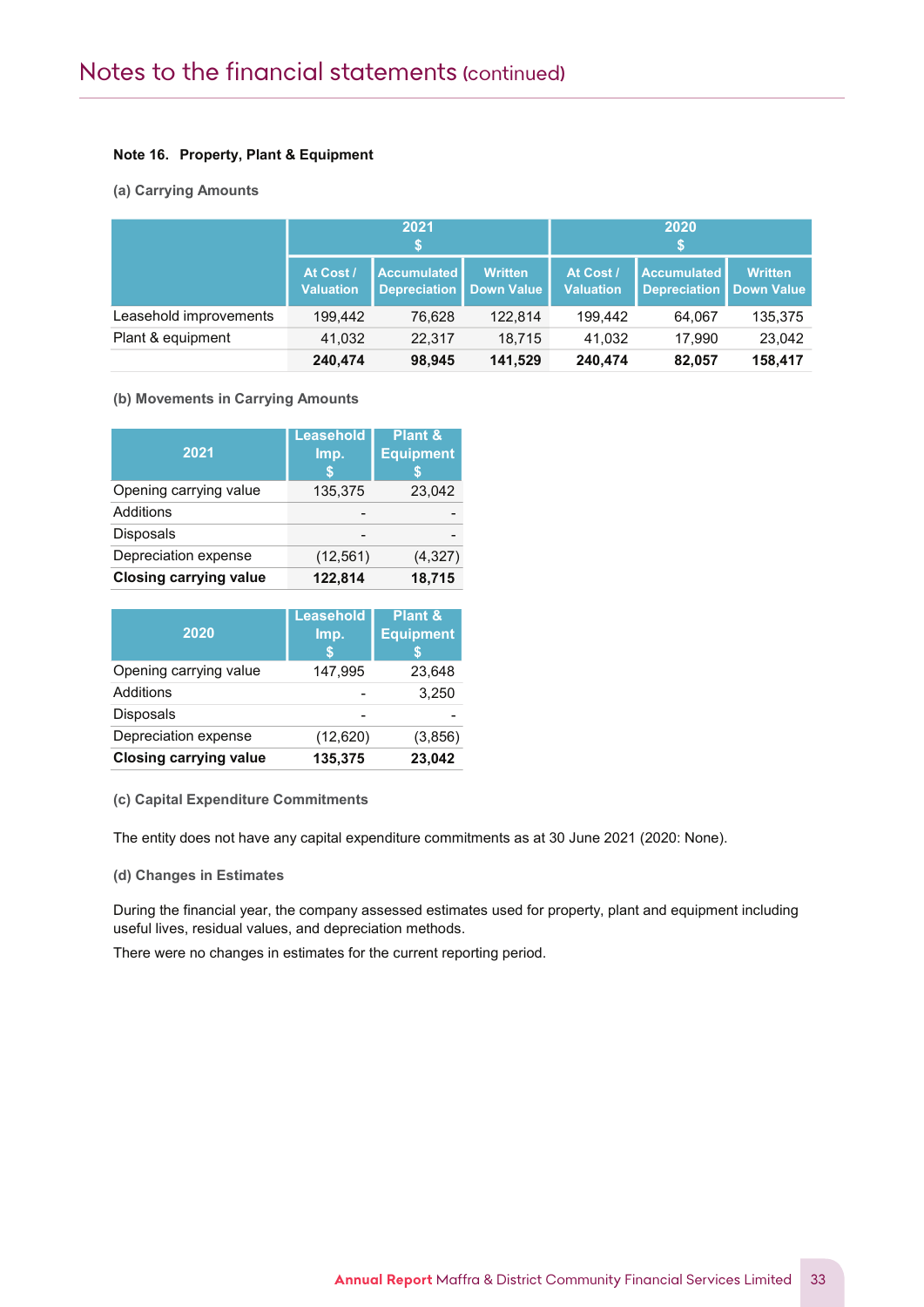# Note 16. Property, Plant & Equipment

# (a) Carrying Amounts

Notes to the Financial Statements

|                        |                               | 2021<br>S                                       |                |                               | 2020<br>S                                       |                |
|------------------------|-------------------------------|-------------------------------------------------|----------------|-------------------------------|-------------------------------------------------|----------------|
|                        | At Cost /<br><b>Valuation</b> | <b>Accumulated</b><br>Depreciation   Down Value | <b>Written</b> | At Cost /<br><b>Valuation</b> | <b>Accumulated</b><br>Depreciation   Down Value | <b>Written</b> |
| Leasehold improvements | 199.442                       | 76.628                                          | 122.814        | 199.442                       | 64.067                                          | 135,375        |
| Plant & equipment      | 41,032                        | 22.317                                          | 18.715         | 41.032                        | 17.990                                          | 23,042         |
|                        | 240.474                       | 98,945                                          | 141.529        | 240.474                       | 82,057                                          | 158,417        |

# (b) Movements in Carrying Amounts

| 2021                          | <b>Leasehold</b><br>Imp. | Plant &<br><b>Equipment</b> |
|-------------------------------|--------------------------|-----------------------------|
| Opening carrying value        | 135,375                  | 23,042                      |
| Additions                     |                          |                             |
| <b>Disposals</b>              |                          |                             |
| Depreciation expense          | (12, 561)                | (4, 327)                    |
| <b>Closing carrying value</b> | 122,814                  | 18,715                      |

| 2020                          | <b>Leasehold</b><br>Imp.<br>S | Plant &<br><b>Equipment</b> |
|-------------------------------|-------------------------------|-----------------------------|
| Opening carrying value        | 147,995                       | 23,648                      |
| Additions                     |                               | 3,250                       |
| <b>Disposals</b>              |                               |                             |
| Depreciation expense          | (12,620)                      | (3,856)                     |
| <b>Closing carrying value</b> | 135,375                       | 23,042                      |

(c) Capital Expenditure Commitments

The entity does not have any capital expenditure commitments as at 30 June 2021 (2020: None).

(d) Changes in Estimates

During the financial year, the company assessed estimates used for property, plant and equipment including useful lives, residual values, and depreciation methods.

There were no changes in estimates for the current reporting period.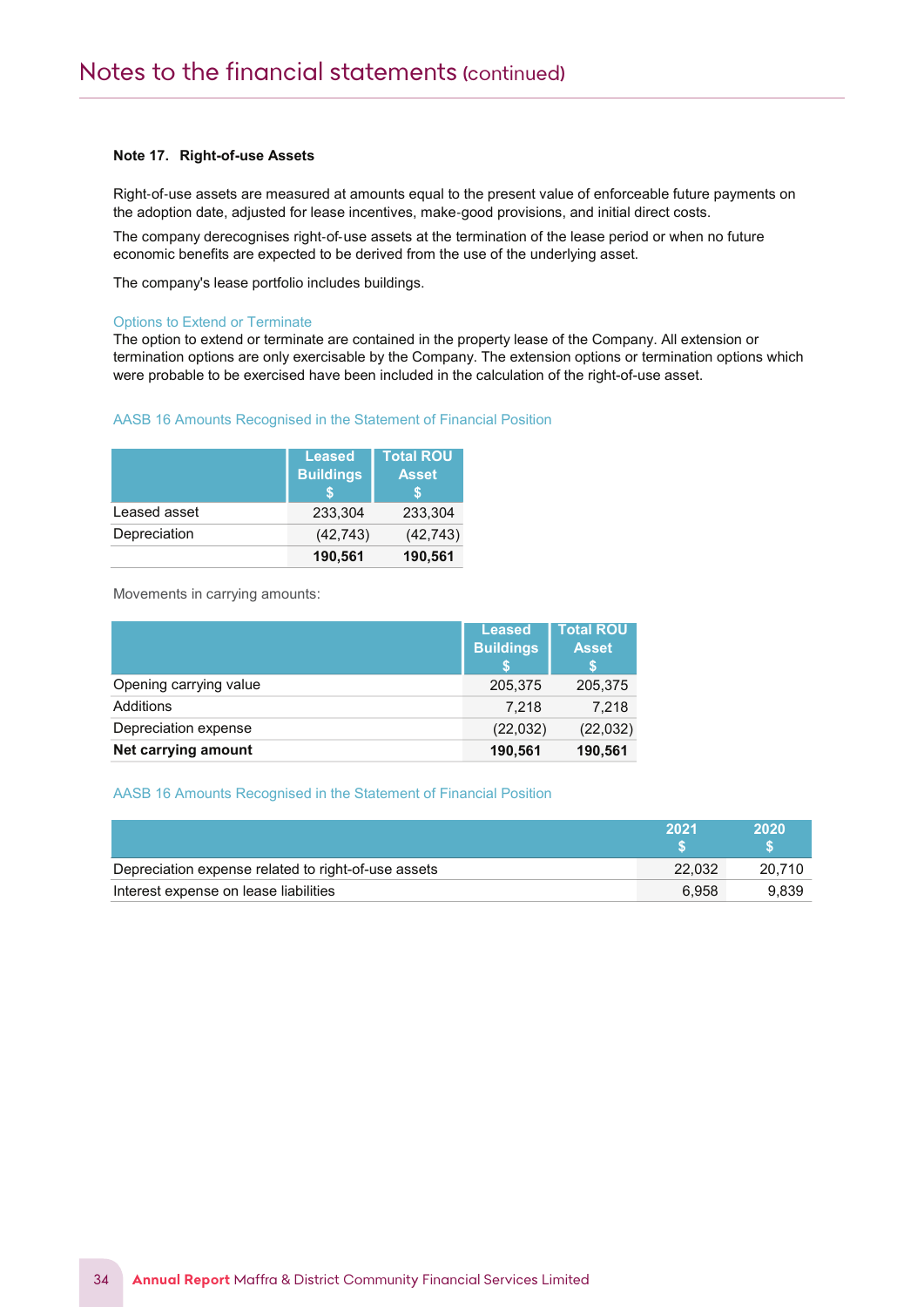#### Note 17. Right-of-use Assets

Notes to the Financial Statements

Right‐of‐use assets are measured at amounts equal to the present value of enforceable future payments on the adoption date, adjusted for lease incentives, make‐good provisions, and initial direct costs.

The company derecognises right-of-use assets at the termination of the lease period or when no future economic benefits are expected to be derived from the use of the underlying asset.

The company's lease portfolio includes buildings.

#### Options to Extend or Terminate

The option to extend or terminate are contained in the property lease of the Company. All extension or termination options are only exercisable by the Company. The extension options or termination options which were probable to be exercised have been included in the calculation of the right-of-use asset.

#### AASB 16 Amounts Recognised in the Statement of Financial Position

|              | <b>Leased</b><br><b>Buildings</b><br>S | <b>Total ROU</b><br><b>Asset</b> |
|--------------|----------------------------------------|----------------------------------|
| Leased asset | 233.304                                | 233.304                          |
| Depreciation | (42, 743)                              | (42, 743)                        |
|              | 190,561                                | 190,561                          |

Movements in carrying amounts:

|                        | <b>Leased</b><br><b>Buildings</b> | <b>Total ROU</b><br><b>Asset</b><br>S |
|------------------------|-----------------------------------|---------------------------------------|
| Opening carrying value | 205,375                           | 205,375                               |
| Additions              | 7.218                             | 7,218                                 |
| Depreciation expense   | (22, 032)                         | (22, 032)                             |
| Net carrying amount    | 190,561                           | 190,561                               |

#### AASB 16 Amounts Recognised in the Statement of Financial Position

|                                                     | 2021   | 2020   |
|-----------------------------------------------------|--------|--------|
| Depreciation expense related to right-of-use assets | 22.032 | 20.710 |
| Interest expense on lease liabilities               | 6.958  | 9.839  |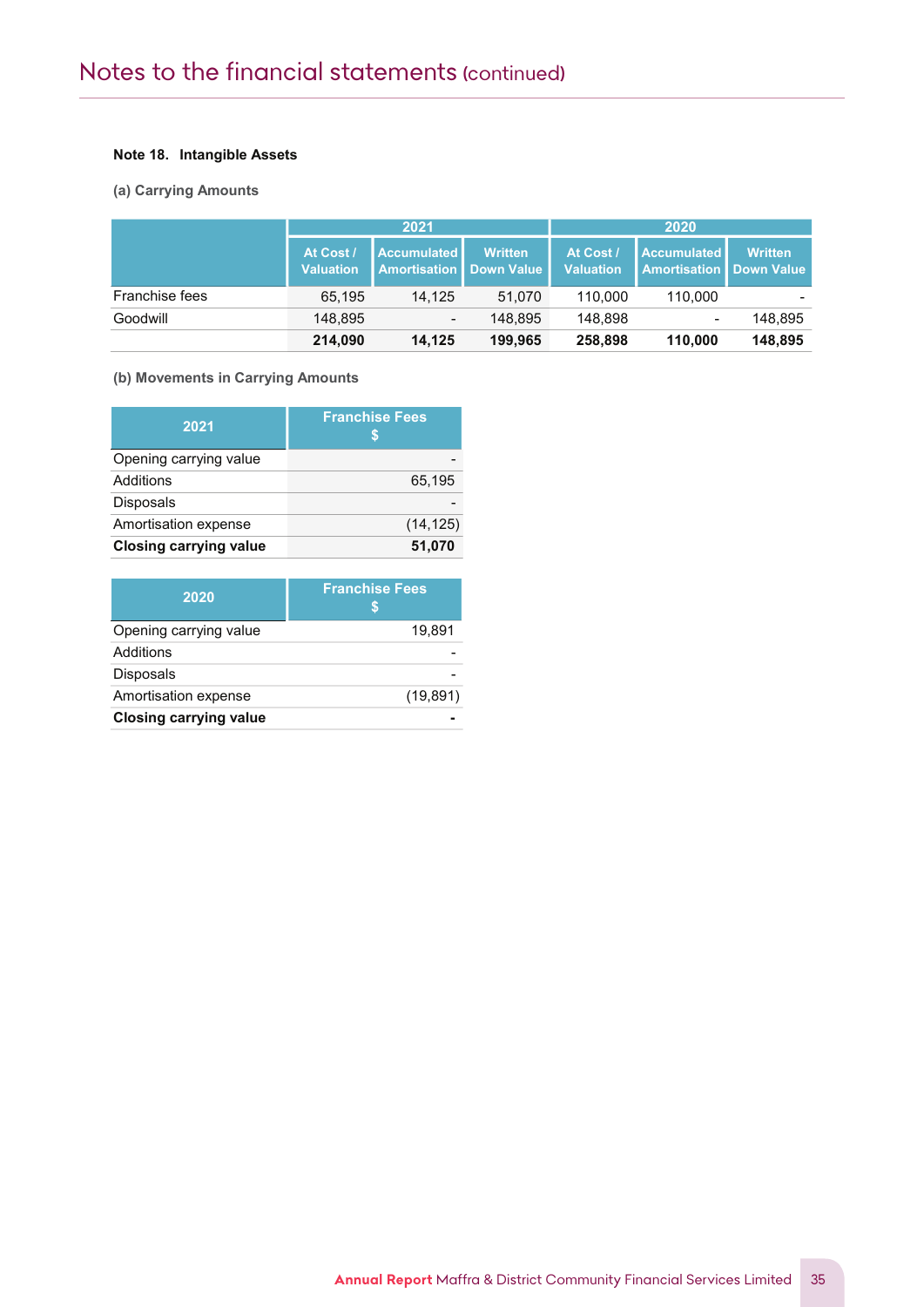# Note 18. Intangible Assets

# (a) Carrying Amounts

Notes to the Financial Statements

|                       | 2021                          |                                                        | 2020           |                               |                                                 |                |
|-----------------------|-------------------------------|--------------------------------------------------------|----------------|-------------------------------|-------------------------------------------------|----------------|
|                       | At Cost /<br><b>Valuation</b> | <b>Accumulated</b><br><b>Amortisation I Down Value</b> | <b>Written</b> | At Cost /<br><b>Valuation</b> | Accumulated<br><b>Amortisation   Down Value</b> | <b>Written</b> |
| <b>Franchise fees</b> | 65.195                        | 14.125                                                 | 51.070         | 110.000                       | 110.000                                         |                |
| Goodwill              | 148,895                       | $\overline{\phantom{a}}$                               | 148.895        | 148.898                       | $\overline{\phantom{0}}$                        | 148.895        |
|                       | 214,090                       | 14.125                                                 | 199.965        | 258,898                       | 110,000                                         | 148,895        |

# (b) Movements in Carrying Amounts

| 2021                          | <b>Franchise Fees</b> |
|-------------------------------|-----------------------|
| Opening carrying value        |                       |
| Additions                     | 65,195                |
| <b>Disposals</b>              |                       |
| Amortisation expense          | (14, 125)             |
| <b>Closing carrying value</b> | 51,070                |

| 2020                          | <b>Franchise Fees</b><br>S |
|-------------------------------|----------------------------|
| Opening carrying value        | 19,891                     |
| Additions                     |                            |
| <b>Disposals</b>              |                            |
| Amortisation expense          | (19, 891)                  |
| <b>Closing carrying value</b> |                            |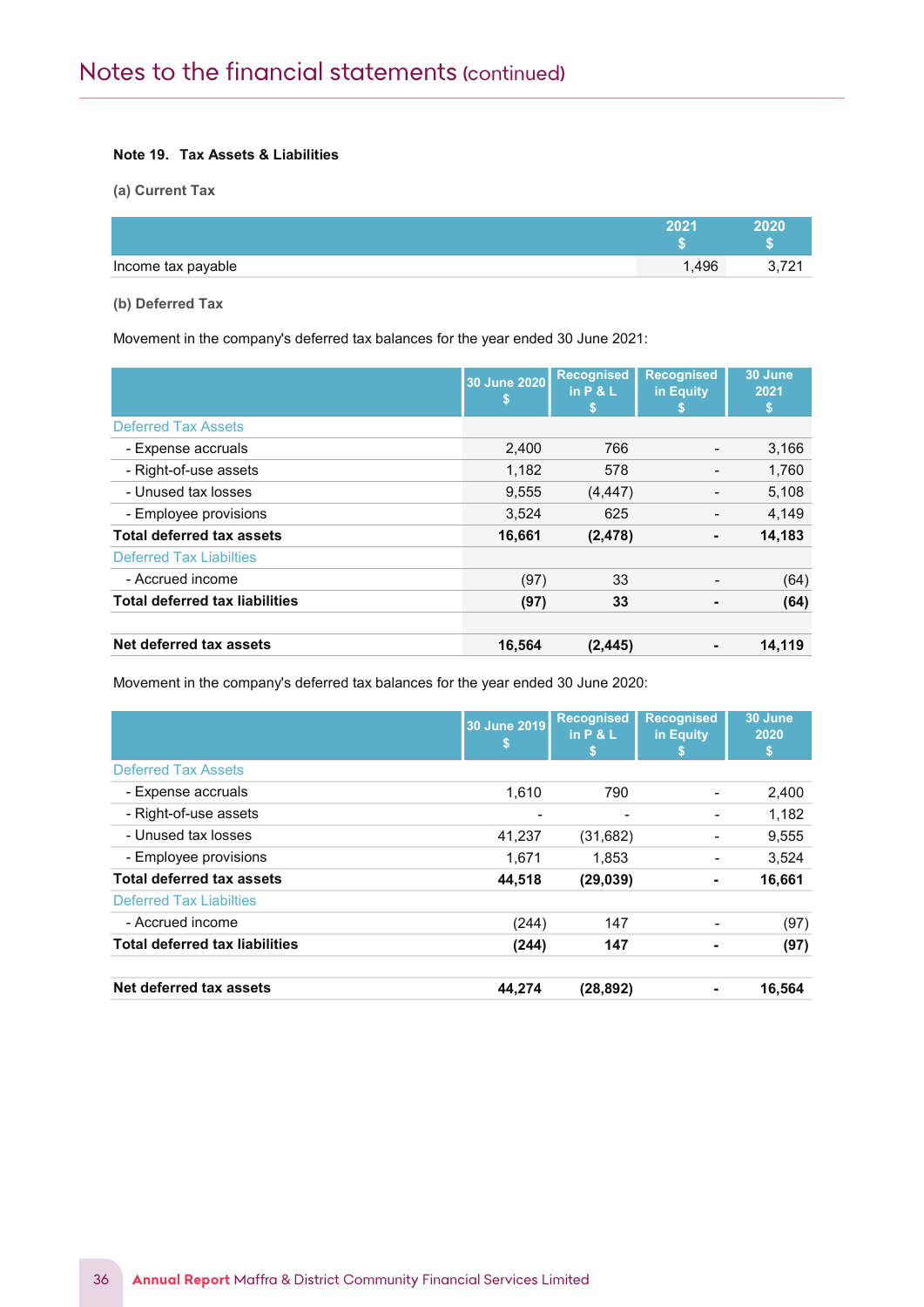# Note 19. Tax Assets & Liabilities

(a) Current Tax

Notes to the Financial Statements

|                    | יממפ | 2020 |
|--------------------|------|------|
|                    |      |      |
| Income tax payable | ,496 | 0.12 |

(b) Deferred Tax

Movement in the company's deferred tax balances for the year ended 30 June 2021:

|                                       | 30 June 2020<br>\$ | <b>Recognised</b><br>in $P & L$<br>S | <b>Recognised</b><br>in Equity | 30 June<br>2021<br>\$ |
|---------------------------------------|--------------------|--------------------------------------|--------------------------------|-----------------------|
| <b>Deferred Tax Assets</b>            |                    |                                      |                                |                       |
| - Expense accruals                    | 2,400              | 766                                  |                                | 3,166                 |
| - Right-of-use assets                 | 1,182              | 578                                  |                                | 1,760                 |
| - Unused tax losses                   | 9,555              | (4, 447)                             |                                | 5,108                 |
| - Employee provisions                 | 3,524              | 625                                  |                                | 4,149                 |
| <b>Total deferred tax assets</b>      | 16,661             | (2, 478)                             | ۰                              | 14,183                |
| <b>Deferred Tax Liabilties</b>        |                    |                                      |                                |                       |
| - Accrued income                      | (97)               | 33                                   |                                | (64)                  |
| <b>Total deferred tax liabilities</b> | (97)               | 33                                   |                                | (64)                  |
| Net deferred tax assets               | 16,564             | (2, 445)                             |                                | 14.119                |

Movement in the company's deferred tax balances for the year ended 30 June 2020:

|                                       | 30 June 2019<br>\$ | <b>Recognised</b><br>in $P & L$<br>S | <b>Recognised</b><br>in Equity | 30 June<br>2020<br>\$ |
|---------------------------------------|--------------------|--------------------------------------|--------------------------------|-----------------------|
| <b>Deferred Tax Assets</b>            |                    |                                      |                                |                       |
| - Expense accruals                    | 1.610              | 790                                  |                                | 2,400                 |
| - Right-of-use assets                 |                    |                                      |                                | 1,182                 |
| - Unused tax losses                   | 41,237             | (31,682)                             |                                | 9,555                 |
| - Employee provisions                 | 1,671              | 1,853                                |                                | 3,524                 |
| <b>Total deferred tax assets</b>      | 44,518             | (29, 039)                            | ۰                              | 16,661                |
| <b>Deferred Tax Liabilties</b>        |                    |                                      |                                |                       |
| - Accrued income                      | (244)              | 147                                  |                                | (97)                  |
| <b>Total deferred tax liabilities</b> | (244)              | 147                                  |                                | (97)                  |
| Net deferred tax assets               | 44,274             | (28, 892)                            | ٠                              | 16,564                |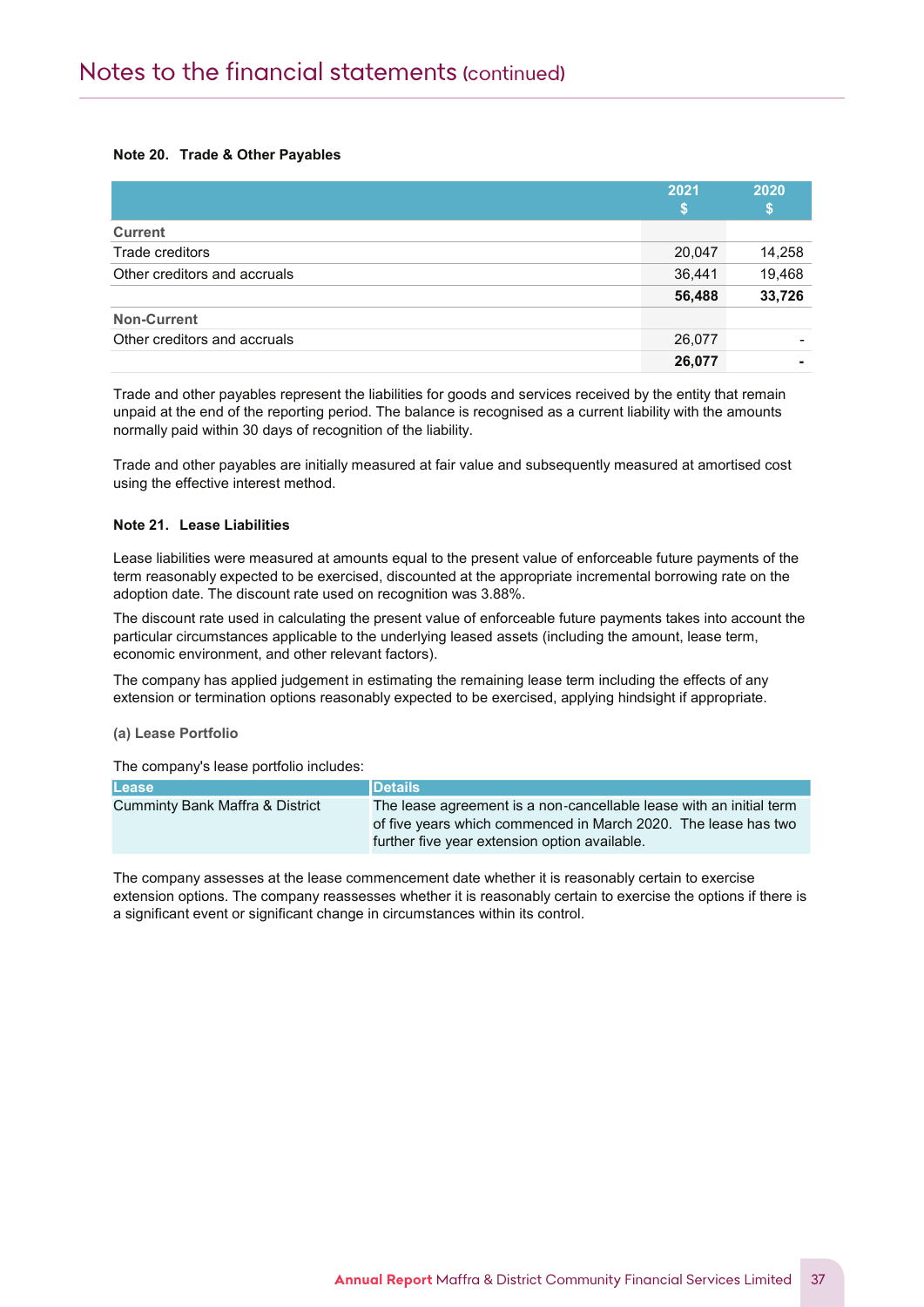# Note 20. Trade & Other Payables

Notes to the Financial Statements

|                              | 2021   | 2020<br>S |
|------------------------------|--------|-----------|
| <b>Current</b>               |        |           |
| Trade creditors              | 20,047 | 14,258    |
| Other creditors and accruals | 36,441 | 19,468    |
|                              | 56,488 | 33,726    |
| <b>Non-Current</b>           |        |           |
| Other creditors and accruals | 26,077 |           |
|                              | 26,077 |           |

Trade and other payables represent the liabilities for goods and services received by the entity that remain unpaid at the end of the reporting period. The balance is recognised as a current liability with the amounts normally paid within 30 days of recognition of the liability.

Trade and other payables are initially measured at fair value and subsequently measured at amortised cost using the effective interest method.

#### Note 21. Lease Liabilities

Lease liabilities were measured at amounts equal to the present value of enforceable future payments of the term reasonably expected to be exercised, discounted at the appropriate incremental borrowing rate on the adoption date. The discount rate used on recognition was 3.88%.

The discount rate used in calculating the present value of enforceable future payments takes into account the particular circumstances applicable to the underlying leased assets (including the amount, lease term, economic environment, and other relevant factors).

The company has applied judgement in estimating the remaining lease term including the effects of any extension or termination options reasonably expected to be exercised, applying hindsight if appropriate.

# (a) Lease Portfolio

The company's lease portfolio includes:

| <b>Lease</b>                               | <b>IDetails</b>                                                                                                                                                                        |
|--------------------------------------------|----------------------------------------------------------------------------------------------------------------------------------------------------------------------------------------|
| <b>Cumminty Bank Maffra &amp; District</b> | The lease agreement is a non-cancellable lease with an initial term<br>of five years which commenced in March 2020. The lease has two<br>further five year extension option available. |

The company assesses at the lease commencement date whether it is reasonably certain to exercise extension options. The company reassesses whether it is reasonably certain to exercise the options if there is a significant event or significant change in circumstances within its control.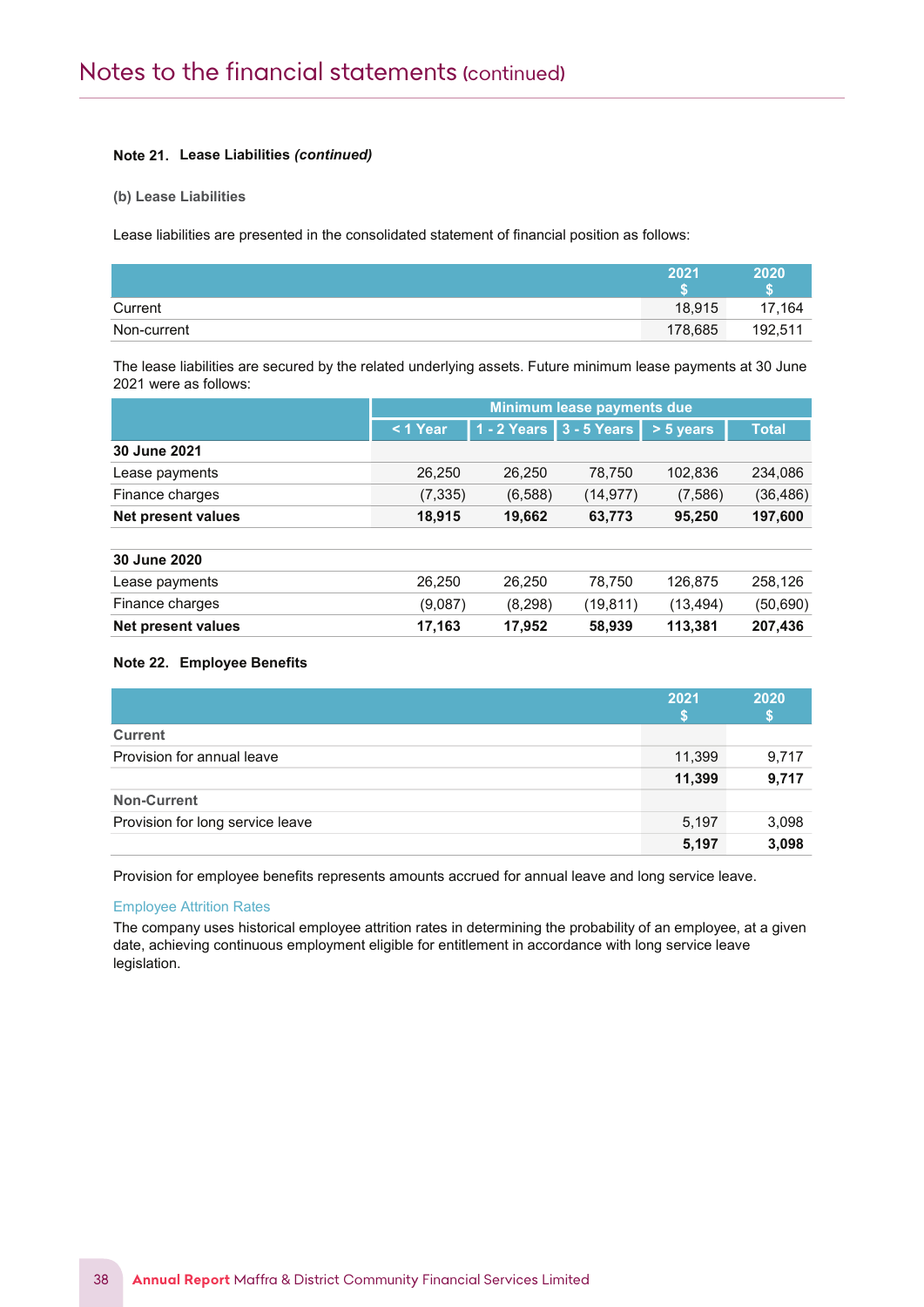# Note 21. Lease Liabilities (continued)

(b) Lease Liabilities

Notes to the Financial Statements

Lease liabilities are presented in the consolidated statement of financial position as follows:

|             | 2021    | 2020    |
|-------------|---------|---------|
| Current     | 18,915  | 17.164  |
| Non-current | 178,685 | 192,511 |

The lease liabilities are secured by the related underlying assets. Future minimum lease payments at 30 June 2021 were as follows:

|                           | Minimum lease payments due |               |             |             |              |
|---------------------------|----------------------------|---------------|-------------|-------------|--------------|
|                           | $1$ Year                   | $1 - 2$ Years | 3 - 5 Years | $> 5$ years | <b>Total</b> |
| 30 June 2021              |                            |               |             |             |              |
| Lease payments            | 26,250                     | 26,250        | 78,750      | 102,836     | 234,086      |
| Finance charges           | (7, 335)                   | (6,588)       | (14, 977)   | (7,586)     | (36, 486)    |
| <b>Net present values</b> | 18,915                     | 19,662        | 63,773      | 95,250      | 197,600      |
| 30 June 2020              |                            |               |             |             |              |
| Lease payments            | 26,250                     | 26,250        | 78.750      | 126,875     | 258,126      |
| Finance charges           | (9,087)                    | (8,298)       | (19, 811)   | (13, 494)   | (50, 690)    |
| <b>Net present values</b> | 17,163                     | 17,952        | 58,939      | 113,381     | 207,436      |

# Note 22. Employee Benefits

|                                  | 2021   | 2020  |
|----------------------------------|--------|-------|
|                                  |        |       |
| <b>Current</b>                   |        |       |
| Provision for annual leave       | 11,399 | 9,717 |
|                                  | 11,399 | 9,717 |
| <b>Non-Current</b>               |        |       |
| Provision for long service leave | 5,197  | 3,098 |
|                                  | 5,197  | 3,098 |

Provision for employee benefits represents amounts accrued for annual leave and long service leave.

# Employee Attrition Rates

The company uses historical employee attrition rates in determining the probability of an employee, at a given date, achieving continuous employment eligible for entitlement in accordance with long service leave legislation.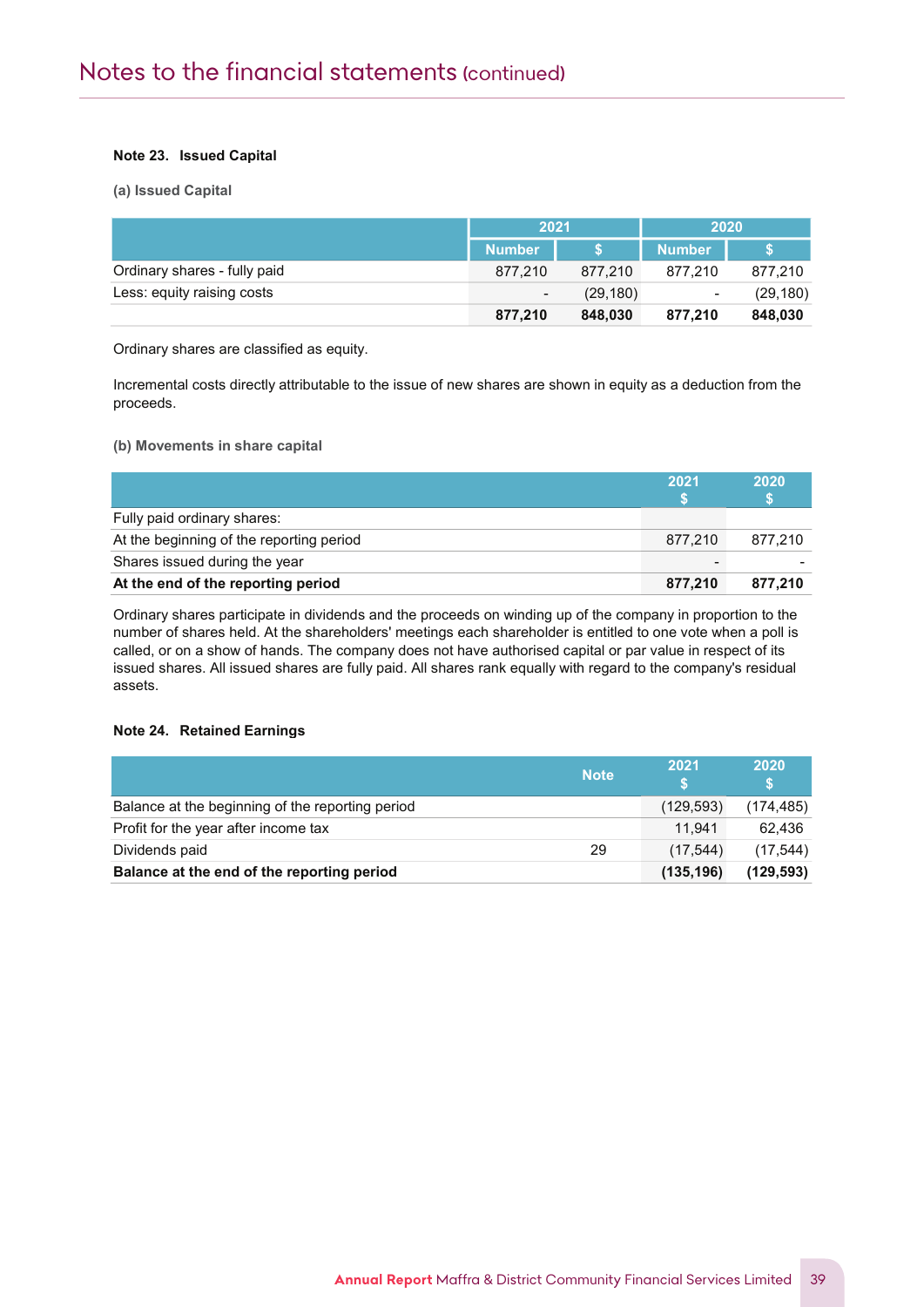# Note 23. Issued Capital

Notes to the Financial Statements

(a) Issued Capital

|                              | 2021           |           | 2020                     |           |
|------------------------------|----------------|-----------|--------------------------|-----------|
|                              | <b>Number</b>  |           | <b>Number</b>            |           |
| Ordinary shares - fully paid | 877.210        | 877.210   | 877.210                  | 877.210   |
| Less: equity raising costs   | $\blacksquare$ | (29, 180) | $\overline{\phantom{0}}$ | (29, 180) |
|                              | 877,210        | 848,030   | 877,210                  | 848,030   |

Ordinary shares are classified as equity.

Incremental costs directly attributable to the issue of new shares are shown in equity as a deduction from the proceeds.

# (b) Movements in share capital

|                                          | 2021                     | 2020    |
|------------------------------------------|--------------------------|---------|
| Fully paid ordinary shares:              |                          |         |
| At the beginning of the reporting period | 877.210                  | 877.210 |
| Shares issued during the year            | $\overline{\phantom{0}}$ |         |
| At the end of the reporting period       | 877.210                  | 877.210 |

Ordinary shares participate in dividends and the proceeds on winding up of the company in proportion to the number of shares held. At the shareholders' meetings each shareholder is entitled to one vote when a poll is called, or on a show of hands. The company does not have authorised capital or par value in respect of its issued shares. All issued shares are fully paid. All shares rank equally with regard to the company's residual assets.

# Note 24. Retained Earnings

|                                                  | <b>Note</b> | 2021       | 2020       |
|--------------------------------------------------|-------------|------------|------------|
| Balance at the beginning of the reporting period |             | (129, 593) | (174, 485) |
| Profit for the year after income tax             |             | 11.941     | 62.436     |
| Dividends paid                                   | 29          | (17.544)   | (17, 544)  |
| Balance at the end of the reporting period       |             | (135, 196) | (129.593)  |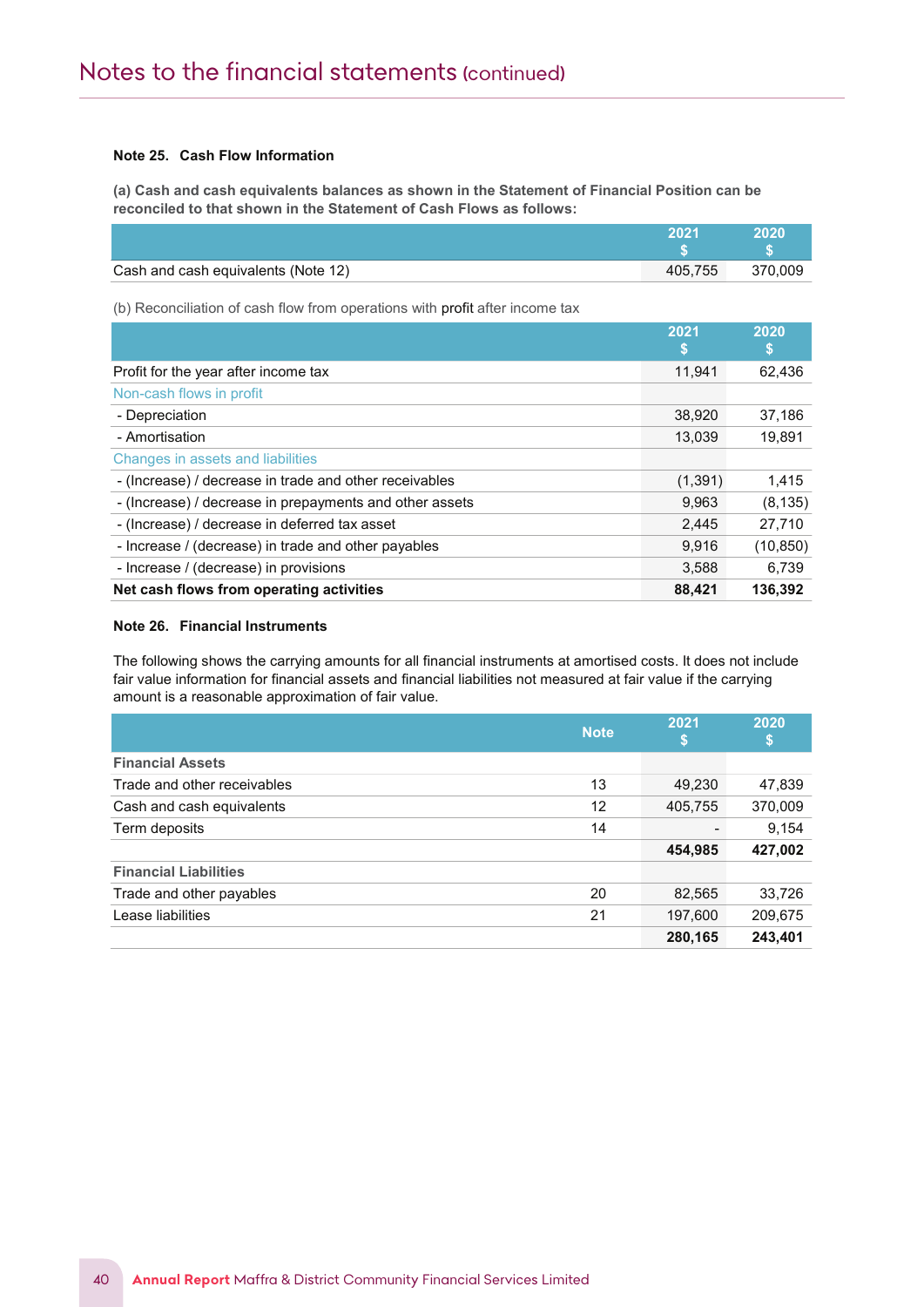# Note 25. Cash Flow Information

Notes to the Financial Statements

(a) Cash and cash equivalents balances as shown in the Statement of Financial Position can be reconciled to that shown in the Statement of Cash Flows as follows:

|                                     | つハつイ    | 2020    |
|-------------------------------------|---------|---------|
|                                     |         |         |
| Cash and cash equivalents (Note 12) | 405.755 | 370.009 |

(b) Reconciliation of cash flow from operations with profit after income tax

|                                                         | 2021<br>S | 2020<br>\$ |
|---------------------------------------------------------|-----------|------------|
| Profit for the year after income tax                    | 11,941    | 62,436     |
| Non-cash flows in profit                                |           |            |
| - Depreciation                                          | 38,920    | 37,186     |
| - Amortisation                                          | 13,039    | 19.891     |
| Changes in assets and liabilities                       |           |            |
| - (Increase) / decrease in trade and other receivables  | (1, 391)  | 1,415      |
| - (Increase) / decrease in prepayments and other assets | 9,963     | (8, 135)   |
| - (Increase) / decrease in deferred tax asset           | 2.445     | 27.710     |
| - Increase / (decrease) in trade and other payables     | 9.916     | (10, 850)  |
| - Increase / (decrease) in provisions                   | 3.588     | 6.739      |
| Net cash flows from operating activities                | 88,421    | 136,392    |

# Note 26. Financial Instruments

The following shows the carrying amounts for all financial instruments at amortised costs. It does not include fair value information for financial assets and financial liabilities not measured at fair value if the carrying amount is a reasonable approximation of fair value.

|                              | <b>Note</b> | 2021<br>ьr | 2020<br>\$ |
|------------------------------|-------------|------------|------------|
| <b>Financial Assets</b>      |             |            |            |
| Trade and other receivables  | 13          | 49,230     | 47,839     |
| Cash and cash equivalents    | 12          | 405,755    | 370,009    |
| Term deposits                | 14          |            | 9,154      |
|                              |             | 454,985    | 427,002    |
| <b>Financial Liabilities</b> |             |            |            |
| Trade and other payables     | 20          | 82,565     | 33,726     |
| Lease liabilities            | 21          | 197,600    | 209,675    |
|                              |             | 280,165    | 243,401    |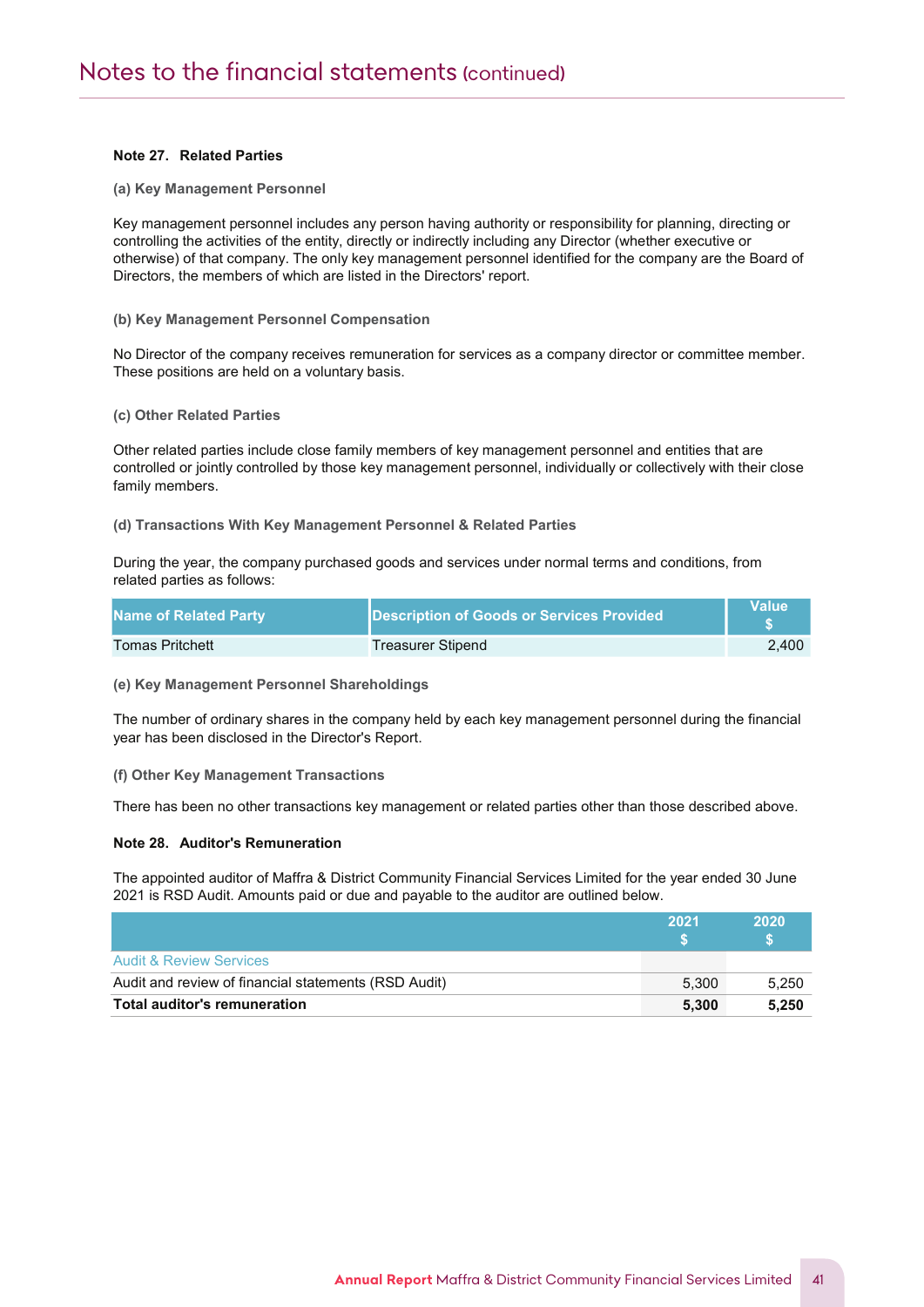# Note 27. Related Parties

Notes to the Financial Statements

(a) Key Management Personnel

Key management personnel includes any person having authority or responsibility for planning, directing or controlling the activities of the entity, directly or indirectly including any Director (whether executive or otherwise) of that company. The only key management personnel identified for the company are the Board of Directors, the members of which are listed in the Directors' report.

#### (b) Key Management Personnel Compensation

No Director of the company receives remuneration for services as a company director or committee member. These positions are held on a voluntary basis.

#### (c) Other Related Parties

Other related parties include close family members of key management personnel and entities that are controlled or jointly controlled by those key management personnel, individually or collectively with their close family members.

(d) Transactions With Key Management Personnel & Related Parties

During the year, the company purchased goods and services under normal terms and conditions, from related parties as follows:

| Name of Related Party  | Description of Goods or Services Provided | Value |
|------------------------|-------------------------------------------|-------|
| <b>Tomas Pritchett</b> | Treasurer Stipend                         | 2.400 |

#### (e) Key Management Personnel Shareholdings

The number of ordinary shares in the company held by each key management personnel during the financial year has been disclosed in the Director's Report.

(f) Other Key Management Transactions

There has been no other transactions key management or related parties other than those described above.

# Note 28. Auditor's Remuneration

The appointed auditor of Maffra & District Community Financial Services Limited for the year ended 30 June 2021 is RSD Audit. Amounts paid or due and payable to the auditor are outlined below.

|                                                      | 2021  | 2020  |
|------------------------------------------------------|-------|-------|
| <b>Audit &amp; Review Services</b>                   |       |       |
| Audit and review of financial statements (RSD Audit) | 5.300 | 5,250 |
| Total auditor's remuneration                         | 5.300 | 5.250 |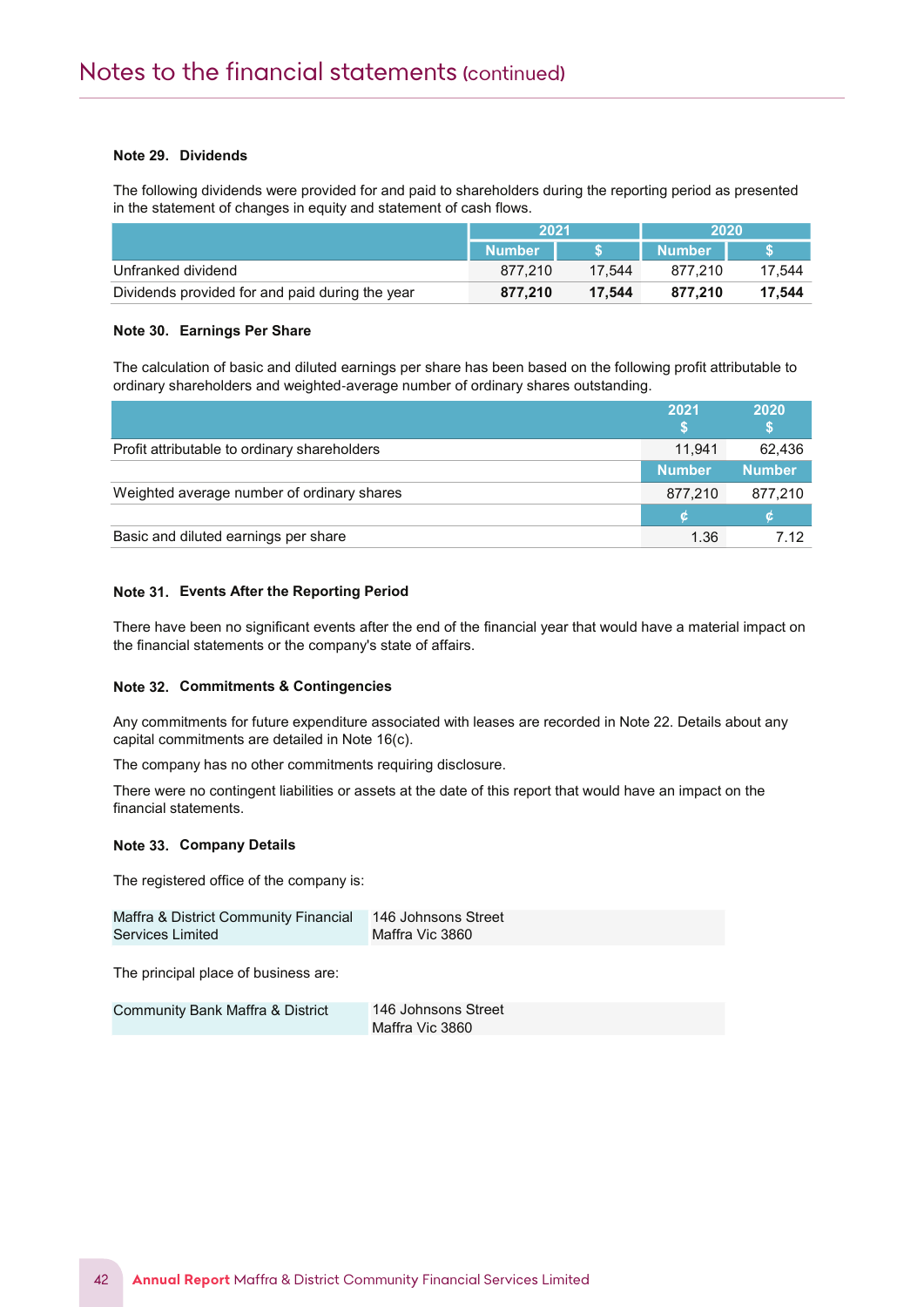# Note 29. Dividends

Notes to the Financial Statements

The following dividends were provided for and paid to shareholders during the reporting period as presented in the statement of changes in equity and statement of cash flows.

|                                                 | 2021          |        | 2020                 |        |
|-------------------------------------------------|---------------|--------|----------------------|--------|
|                                                 | <b>Number</b> |        | ⊦Number <sup>।</sup> |        |
| Unfranked dividend                              | 877.210       | 17.544 | 877.210              | 17.544 |
| Dividends provided for and paid during the year | 877.210       | 17.544 | 877.210              | 17.544 |

# Note 30. Earnings Per Share

The calculation of basic and diluted earnings per share has been based on the following profit attributable to ordinary shareholders and weighted‐average number of ordinary shares outstanding.

|                                              | 2021          | 2020          |
|----------------------------------------------|---------------|---------------|
| Profit attributable to ordinary shareholders | 11.941        | 62,436        |
|                                              | <b>Number</b> | <b>Number</b> |
| Weighted average number of ordinary shares   | 877,210       | 877,210       |
|                                              |               |               |
| Basic and diluted earnings per share         | 1.36          | 7.12          |

# Note 31. Events After the Reporting Period

There have been no significant events after the end of the financial year that would have a material impact on the financial statements or the company's state of affairs.

# Note 32. Commitments & Contingencies

Any commitments for future expenditure associated with leases are recorded in Note 22. Details about any capital commitments are detailed in Note 16(c).

The company has no other commitments requiring disclosure.

There were no contingent liabilities or assets at the date of this report that would have an impact on the financial statements.

#### Note 33. Company Details

The registered office of the company is:

| Maffra & District Community Financial 146 Johnsons Street |                 |
|-----------------------------------------------------------|-----------------|
| Services Limited                                          | Maffra Vic 3860 |

The principal place of business are:

Community Bank Maffra & District 146 Johnsons Street Maffra Vic 3860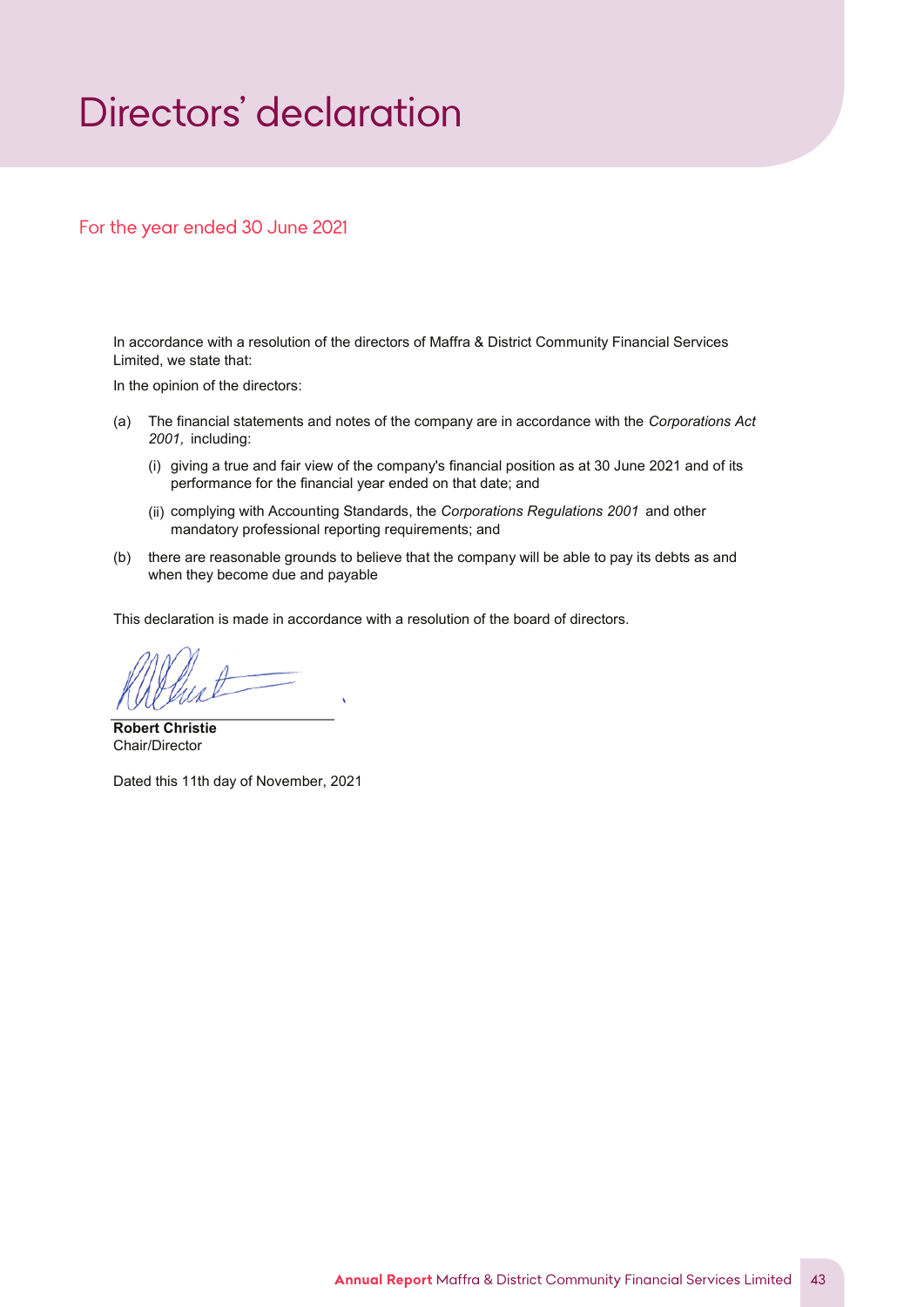# <span id="page-43-0"></span>*Directors' declaration*

# For the year ended 30 June 2021

In accordance with a resolution of the directors of Maffra & District Community Financial Services Limited, we state that:

In the opinion of the directors:

- (a) The financial statements and notes of the company are in accordance with the Corporations Act 2001, including:
	- (i) giving a true and fair view of the company's financial position as at 30 June 2021 and of its performance for the financial year ended on that date; and
	- (ii) complying with Accounting Standards, the Corporations Regulations 2001 and other mandatory professional reporting requirements; and
- (b) there are reasonable grounds to believe that the company will be able to pay its debts as and when they become due and payable

This declaration is made in accordance with a resolution of the board of directors.

Robert Christie Chair/Director

Dated this 11th day of November, 2021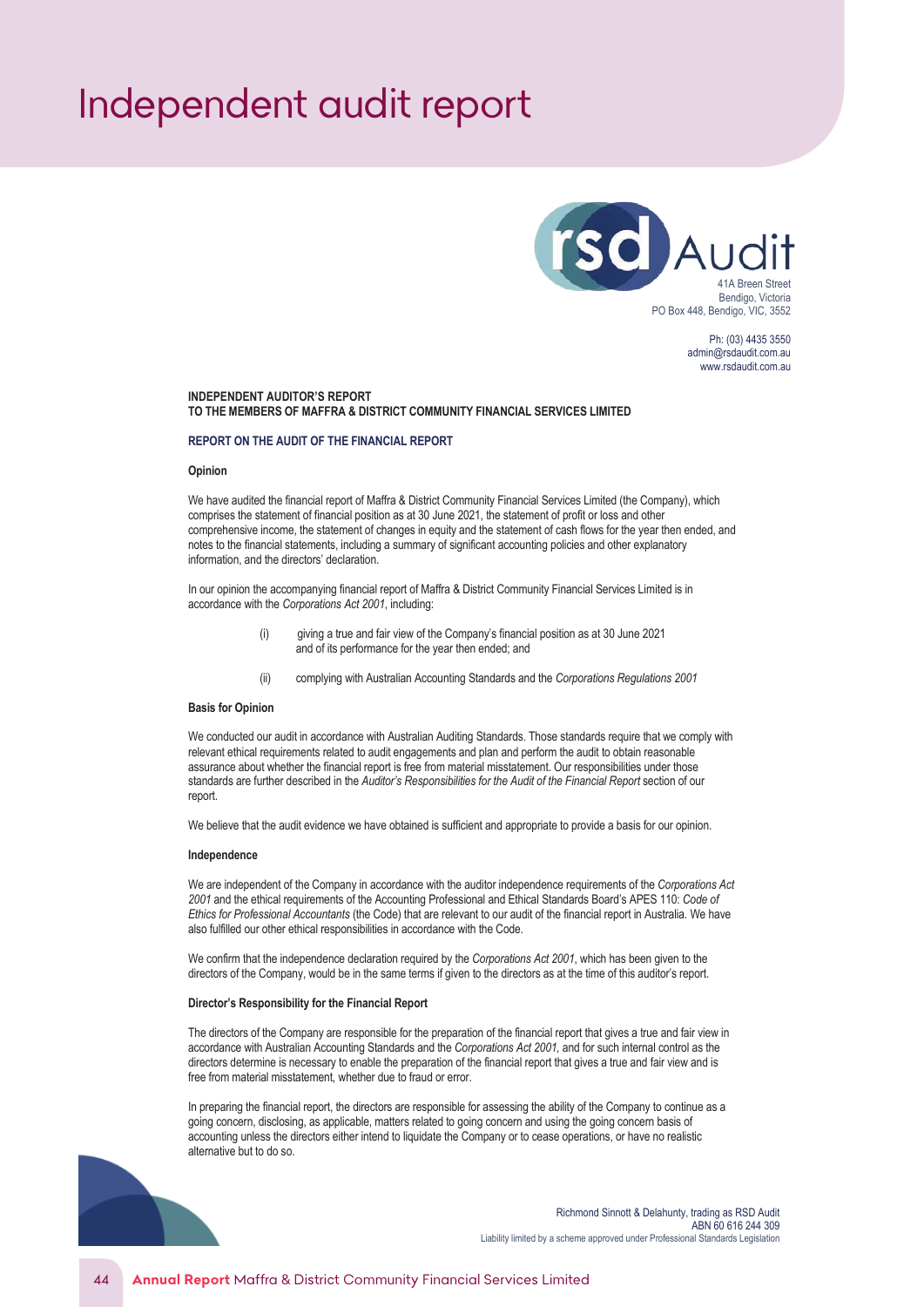# <span id="page-44-0"></span>*Independent audit report*



Ph: (03) 4435 3550 admin@rsdaudit.com.au www.rsdaudit.com.au

#### **INDEPENDENT AUDITOR'S REPORT TO THE MEMBERS OF MAFFRA & DISTRICT COMMUNITY FINANCIAL SERVICES LIMITED**

#### **REPORT ON THE AUDIT OF THE FINANCIAL REPORT**

#### **Opinion**

We have audited the financial report of Maffra & District Community Financial Services Limited (the Company), which comprises the statement of financial position as at 30 June 2021, the statement of profit or loss and other comprehensive income, the statement of changes in equity and the statement of cash flows for the year then ended, and notes to the financial statements, including a summary of significant accounting policies and other explanatory information, and the directors' declaration.

In our opinion the accompanying financial report of Maffra & District Community Financial Services Limited is in accordance with the *Corporations Act 2001*, including:

- (i) giving a true and fair view of the Company's financial position as at 30 June 2021 and of its performance for the year then ended; and
- (ii) complying with Australian Accounting Standards and the *Corporations Regulations 2001*

#### **Basis for Opinion**

We conducted our audit in accordance with Australian Auditing Standards. Those standards require that we comply with relevant ethical requirements related to audit engagements and plan and perform the audit to obtain reasonable assurance about whether the financial report is free from material misstatement. Our responsibilities under those standards are further described in the *Auditor's Responsibilities for the Audit of the Financial Report* section of our report.

We believe that the audit evidence we have obtained is sufficient and appropriate to provide a basis for our opinion.

#### **Independence**

We are independent of the Company in accordance with the auditor independence requirements of the *Corporations Act 2001* and the ethical requirements of the Accounting Professional and Ethical Standards Board's APES 110: *Code of Ethics for Professional Accountants* (the Code) that are relevant to our audit of the financial report in Australia. We have also fulfilled our other ethical responsibilities in accordance with the Code.

We confirm that the independence declaration required by the *Corporations Act 2001*, which has been given to the directors of the Company, would be in the same terms if given to the directors as at the time of this auditor's report.

#### **Director's Responsibility for the Financial Report**

The directors of the Company are responsible for the preparation of the financial report that gives a true and fair view in accordance with Australian Accounting Standards and the *Corporations Act 2001,* and for such internal control as the directors determine is necessary to enable the preparation of the financial report that gives a true and fair view and is free from material misstatement, whether due to fraud or error.

In preparing the financial report, the directors are responsible for assessing the ability of the Company to continue as a going concern, disclosing, as applicable, matters related to going concern and using the going concern basis of accounting unless the directors either intend to liquidate the Company or to cease operations, or have no realistic alternative but to do so.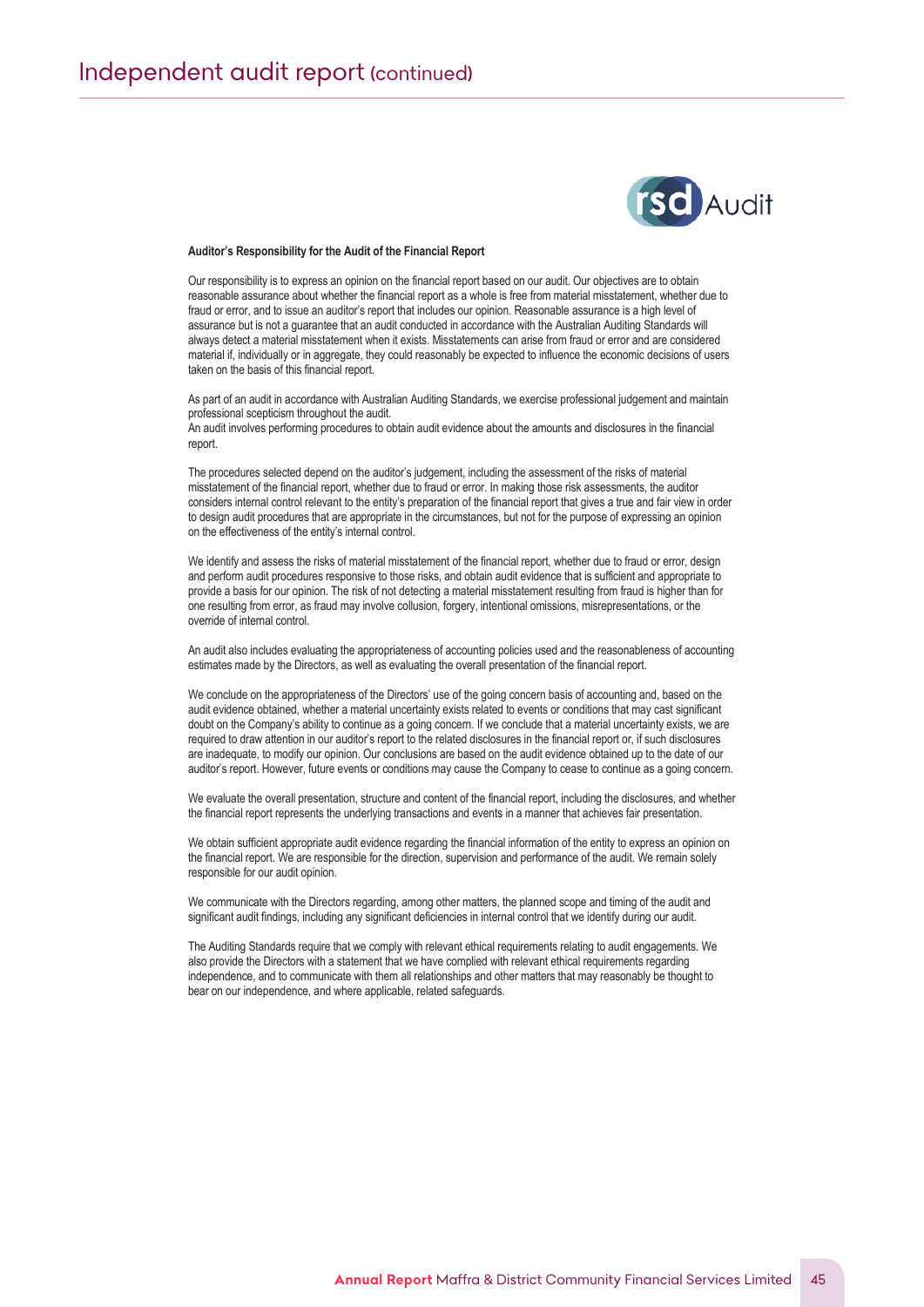

#### **Auditor's Responsibility for the Audit of the Financial Report**

Our responsibility is to express an opinion on the financial report based on our audit. Our objectives are to obtain reasonable assurance about whether the financial report as a whole is free from material misstatement, whether due to fraud or error, and to issue an auditor's report that includes our opinion. Reasonable assurance is a high level of assurance but is not a guarantee that an audit conducted in accordance with the Australian Auditing Standards will always detect a material misstatement when it exists. Misstatements can arise from fraud or error and are considered material if, individually or in aggregate, they could reasonably be expected to influence the economic decisions of users taken on the basis of this financial report.

As part of an audit in accordance with Australian Auditing Standards, we exercise professional judgement and maintain professional scepticism throughout the audit. An audit involves performing procedures to obtain audit evidence about the amounts and disclosures in the financial report.

The procedures selected depend on the auditor's judgement, including the assessment of the risks of material misstatement of the financial report, whether due to fraud or error. In making those risk assessments, the auditor considers internal control relevant to the entity's preparation of the financial report that gives a true and fair view in order to design audit procedures that are appropriate in the circumstances, but not for the purpose of expressing an opinion on the effectiveness of the entity's internal control.

We identify and assess the risks of material misstatement of the financial report, whether due to fraud or error, design and perform audit procedures responsive to those risks, and obtain audit evidence that is sufficient and appropriate to provide a basis for our opinion. The risk of not detecting a material misstatement resulting from fraud is higher than for one resulting from error, as fraud may involve collusion, forgery, intentional omissions, misrepresentations, or the override of internal control.

An audit also includes evaluating the appropriateness of accounting policies used and the reasonableness of accounting estimates made by the Directors, as well as evaluating the overall presentation of the financial report.

We conclude on the appropriateness of the Directors' use of the going concern basis of accounting and, based on the audit evidence obtained, whether a material uncertainty exists related to events or conditions that may cast significant doubt on the Company's ability to continue as a going concern. If we conclude that a material uncertainty exists, we are required to draw attention in our auditor's report to the related disclosures in the financial report or, if such disclosures are inadequate, to modify our opinion. Our conclusions are based on the audit evidence obtained up to the date of our auditor's report. However, future events or conditions may cause the Company to cease to continue as a going concern.

We evaluate the overall presentation, structure and content of the financial report, including the disclosures, and whether the financial report represents the underlying transactions and events in a manner that achieves fair presentation.

We obtain sufficient appropriate audit evidence regarding the financial information of the entity to express an opinion on the financial report. We are responsible for the direction, supervision and performance of the audit. We remain solely responsible for our audit opinion.

We communicate with the Directors regarding, among other matters, the planned scope and timing of the audit and significant audit findings, including any significant deficiencies in internal control that we identify during our audit.

The Auditing Standards require that we comply with relevant ethical requirements relating to audit engagements. We also provide the Directors with a statement that we have complied with relevant ethical requirements regarding independence, and to communicate with them all relationships and other matters that may reasonably be thought to bear on our independence, and where applicable, related safeguards.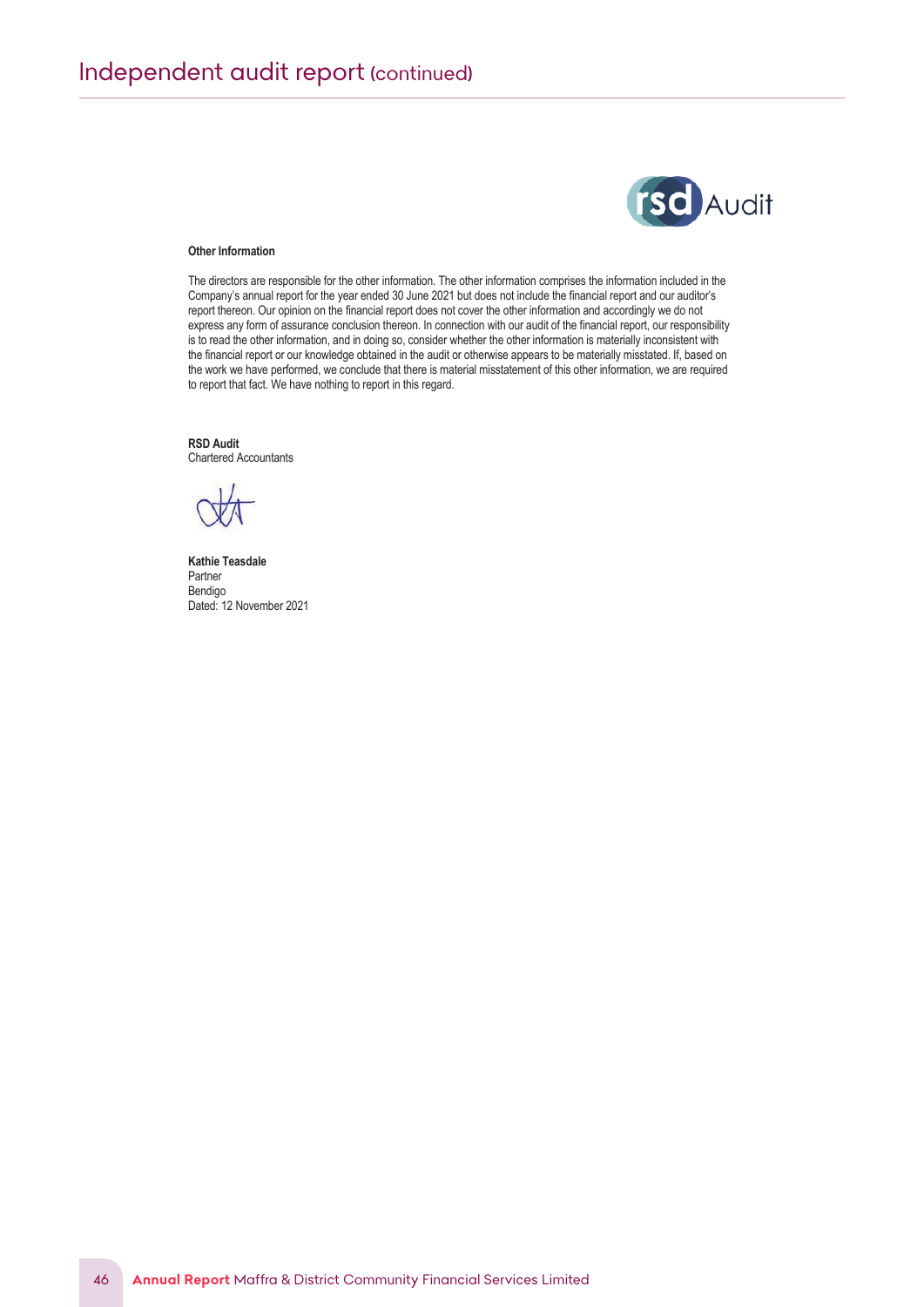

#### **Other Information**

The directors are responsible for the other information. The other information comprises the information included in the Company's annual report for the year ended 30 June 2021 but does not include the financial report and our auditor's report thereon. Our opinion on the financial report does not cover the other information and accordingly we do not express any form of assurance conclusion thereon. In connection with our audit of the financial report, our responsibility is to read the other information, and in doing so, consider whether the other information is materially inconsistent with the financial report or our knowledge obtained in the audit or otherwise appears to be materially misstated. If, based on the work we have performed, we conclude that there is material misstatement of this other information, we are required to report that fact. We have nothing to report in this regard.

**RSD Audit** Chartered Accountants

**Kathie Teasdale** Partner Bendigo Dated: 12 November 2021